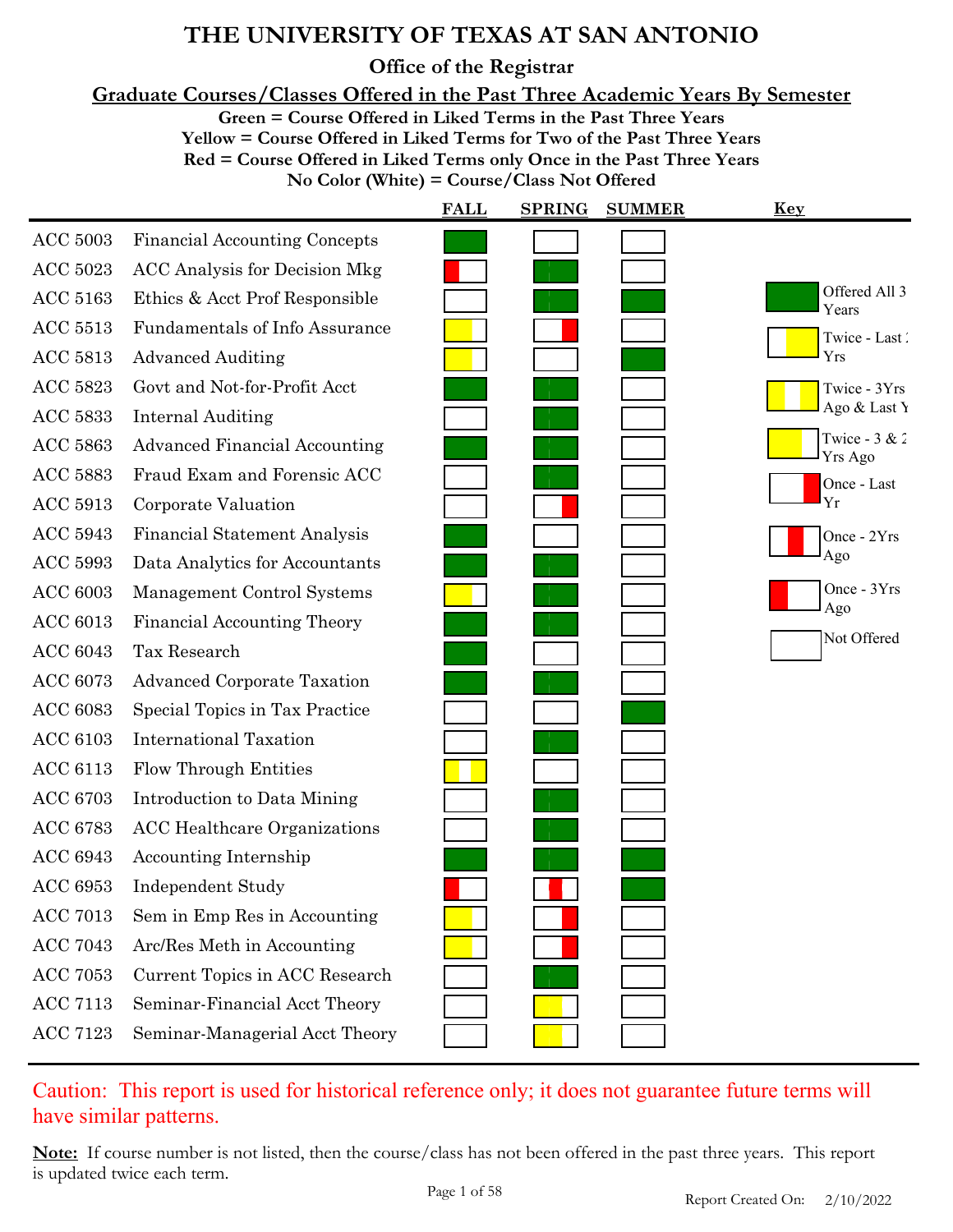**Office of the Registrar**

**Graduate Courses/Classes Offered in the Past Three Academic Years By Semester**

**Green = Course Offered in Liked Terms in the Past Three Years**

**Yellow = Course Offered in Liked Terms for Two of the Past Three Years**

**Red = Course Offered in Liked Terms only Once in the Past Three Years**

**No Color (White) = Course/Class Not Offered**

|                 |                                       | <b>FALL</b> | <b>SPRING</b> | <b>SUMMER</b> | <b>Key</b>                 |
|-----------------|---------------------------------------|-------------|---------------|---------------|----------------------------|
| <b>ACC 5003</b> | <b>Financial Accounting Concepts</b>  |             |               |               |                            |
| <b>ACC 5023</b> | <b>ACC Analysis for Decision Mkg</b>  |             |               |               |                            |
| <b>ACC 5163</b> | Ethics & Acct Prof Responsible        |             |               |               | Offered All 3<br>Years     |
| <b>ACC 5513</b> | <b>Fundamentals of Info Assurance</b> |             |               |               | Twice - Last               |
| <b>ACC 5813</b> | <b>Advanced Auditing</b>              |             |               |               | Yrs                        |
| <b>ACC 5823</b> | Govt and Not-for-Profit Acct          |             |               |               | Twice - 3Yrs               |
| <b>ACC 5833</b> | <b>Internal Auditing</b>              |             |               |               | Ago & Last Y               |
| <b>ACC 5863</b> | <b>Advanced Financial Accounting</b>  |             |               |               | Twice - $3 & 2$<br>Yrs Ago |
| <b>ACC 5883</b> | Fraud Exam and Forensic ACC           |             |               |               | Once - Last                |
| <b>ACC 5913</b> | Corporate Valuation                   |             |               |               | Yr                         |
| <b>ACC 5943</b> | Financial Statement Analysis          |             |               |               | Once - 2Yrs                |
| <b>ACC 5993</b> | Data Analytics for Accountants        |             |               |               | Ago                        |
| <b>ACC 6003</b> | Management Control Systems            |             |               |               | Once - 3Yrs                |
| <b>ACC 6013</b> | <b>Financial Accounting Theory</b>    |             |               |               | Ago                        |
| <b>ACC 6043</b> | Tax Research                          |             |               |               | Not Offered                |
| <b>ACC 6073</b> | <b>Advanced Corporate Taxation</b>    |             |               |               |                            |
| <b>ACC 6083</b> | Special Topics in Tax Practice        |             |               |               |                            |
| <b>ACC 6103</b> | <b>International Taxation</b>         |             |               |               |                            |
| <b>ACC 6113</b> | <b>Flow Through Entities</b>          |             |               |               |                            |
| <b>ACC 6703</b> | Introduction to Data Mining           |             |               |               |                            |
| <b>ACC 6783</b> | <b>ACC</b> Healthcare Organizations   |             |               |               |                            |
| <b>ACC 6943</b> | Accounting Internship                 |             |               |               |                            |
| <b>ACC 6953</b> | <b>Independent Study</b>              |             |               |               |                            |
| <b>ACC 7013</b> | Sem in Emp Res in Accounting          |             |               |               |                            |
| <b>ACC 7043</b> | Arc/Res Meth in Accounting            |             |               |               |                            |
| <b>ACC 7053</b> | Current Topics in ACC Research        |             |               |               |                            |
| <b>ACC 7113</b> | Seminar-Financial Acct Theory         |             |               |               |                            |
| <b>ACC 7123</b> | Seminar-Managerial Acct Theory        |             |               |               |                            |

Caution: This report is used for historical reference only; it does not guarantee future terms will have similar patterns.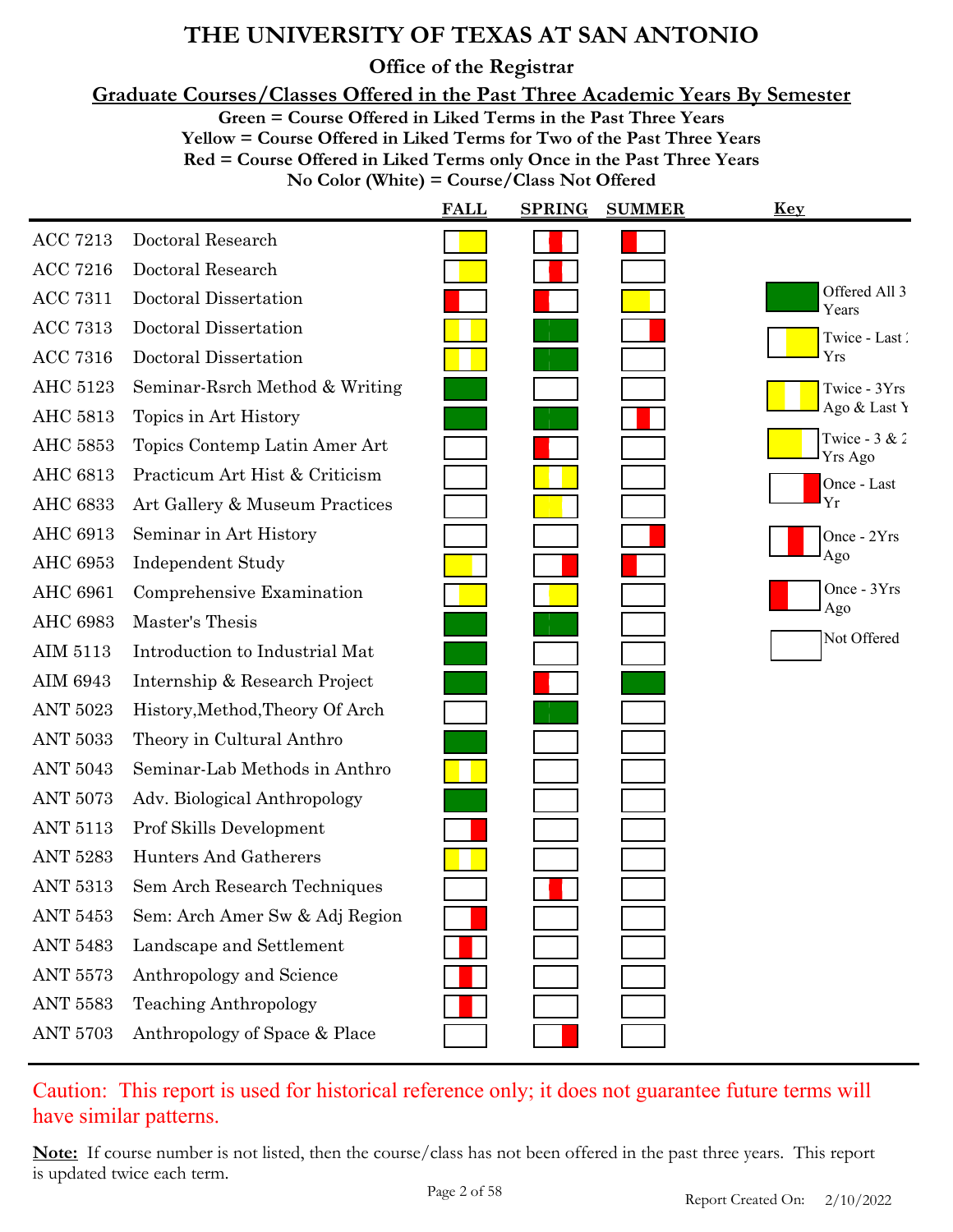**Office of the Registrar**

**Graduate Courses/Classes Offered in the Past Three Academic Years By Semester**

**Green = Course Offered in Liked Terms in the Past Three Years**

**Yellow = Course Offered in Liked Terms for Two of the Past Three Years Red = Course Offered in Liked Terms only Once in the Past Three Years**

**No Color (White) = Course/Class Not Offered**

|                                 | <b>FALL</b> | <b>SPRING</b> | <b>SUMMER</b> | <b>Key</b>                 |
|---------------------------------|-------------|---------------|---------------|----------------------------|
| Doctoral Research               |             |               |               |                            |
| Doctoral Research               |             |               |               |                            |
| Doctoral Dissertation           |             |               |               | Offered All 3<br>Years     |
| Doctoral Dissertation           |             |               |               | Twice - Last               |
| Doctoral Dissertation           |             |               |               | Yrs                        |
| Seminar-Rsrch Method & Writing  |             |               |               | Twice - 3Yrs               |
| Topics in Art History           |             |               |               | Ago & Last Y               |
| Topics Contemp Latin Amer Art   |             |               |               | Twice - $3 & 2$<br>Yrs Ago |
| Practicum Art Hist & Criticism  |             |               |               | Once - Last                |
| Art Gallery & Museum Practices  |             |               |               | Yr                         |
| Seminar in Art History          |             |               |               | Once - 2Yrs                |
| Independent Study               |             |               |               | Ago                        |
| Comprehensive Examination       |             |               |               | Once - 3Yrs<br>Ago         |
| Master's Thesis                 |             |               |               |                            |
| Introduction to Industrial Mat  |             |               |               | Not Offered                |
| Internship & Research Project   |             |               |               |                            |
| History, Method, Theory Of Arch |             |               |               |                            |
| Theory in Cultural Anthro       |             |               |               |                            |
| Seminar-Lab Methods in Anthro   |             |               |               |                            |
| Adv. Biological Anthropology    |             |               |               |                            |
| Prof Skills Development         |             |               |               |                            |
| Hunters And Gatherers           |             |               |               |                            |
| Sem Arch Research Techniques    |             |               |               |                            |
| Sem: Arch Amer Sw & Adj Region  |             |               |               |                            |
| Landscape and Settlement        |             |               |               |                            |
| Anthropology and Science        |             |               |               |                            |
| <b>Teaching Anthropology</b>    |             |               |               |                            |
| Anthropology of Space & Place   |             |               |               |                            |
|                                 |             |               |               |                            |

Caution: This report is used for historical reference only; it does not guarantee future terms will have similar patterns.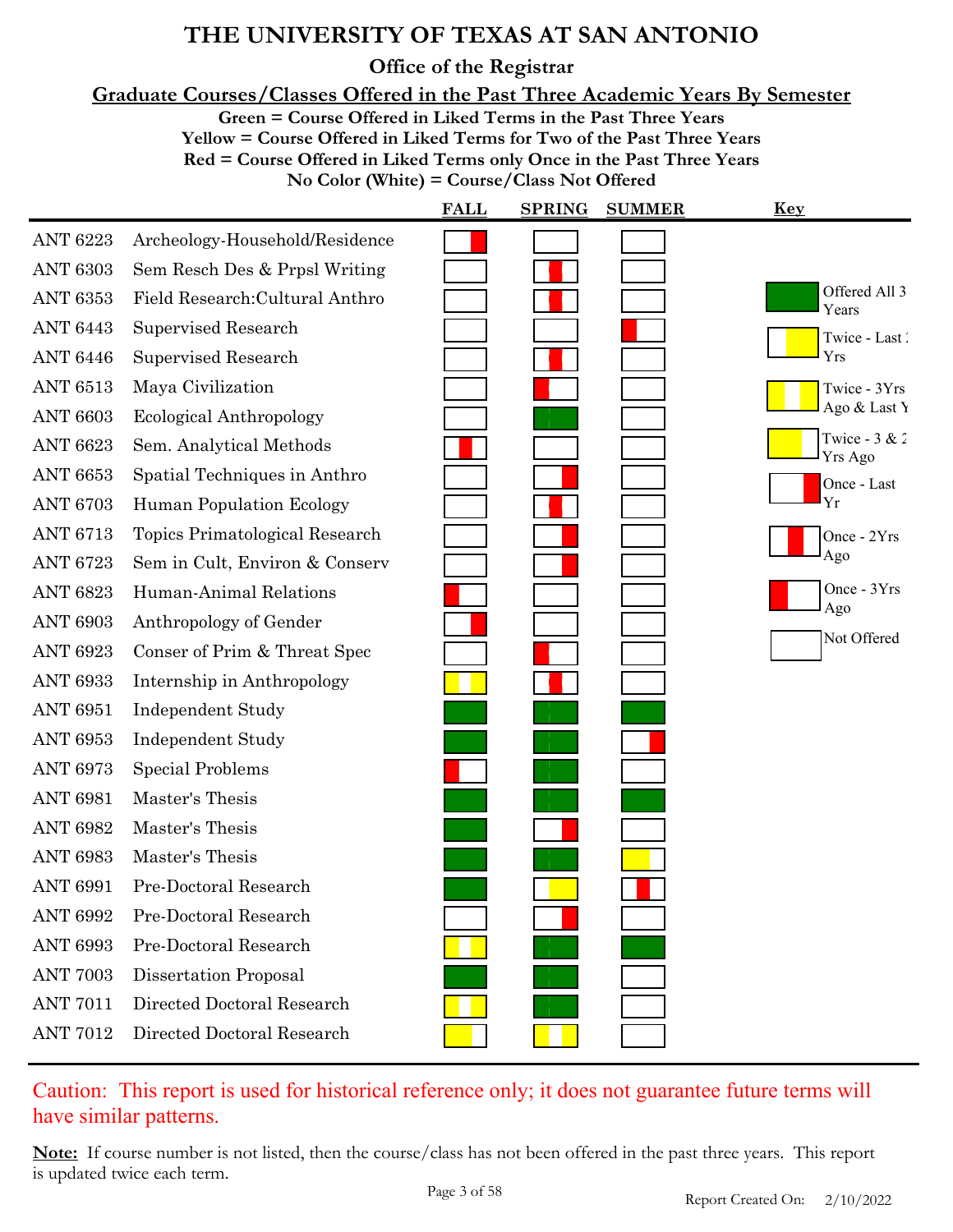**Office of the Registrar**

**Graduate Courses/Classes Offered in the Past Three Academic Years By Semester**

**Green = Course Offered in Liked Terms in the Past Three Years**

**Yellow = Course Offered in Liked Terms for Two of the Past Three Years**

**Red = Course Offered in Liked Terms only Once in the Past Three Years**

**No Color (White) = Course/Class Not Offered**

|                 |                                 | <b>FALL</b> | <b>SPRING</b> | <b>SUMMER</b> | <u>Key</u>                 |
|-----------------|---------------------------------|-------------|---------------|---------------|----------------------------|
| <b>ANT 6223</b> | Archeology-Household/Residence  |             |               |               |                            |
| <b>ANT 6303</b> | Sem Resch Des & Prpsl Writing   |             |               |               |                            |
| <b>ANT 6353</b> | Field Research: Cultural Anthro |             |               |               | Offered All 3<br>Years     |
| <b>ANT 6443</b> | Supervised Research             |             |               |               | Twice - Last               |
| <b>ANT 6446</b> | Supervised Research             |             |               |               | Yrs                        |
| <b>ANT 6513</b> | Maya Civilization               |             |               |               | Twice - 3Yrs               |
| <b>ANT 6603</b> | Ecological Anthropology         |             |               |               | Ago & Last Y               |
| <b>ANT 6623</b> | Sem. Analytical Methods         |             |               |               | Twice - $3 & 2$<br>Yrs Ago |
| <b>ANT 6653</b> | Spatial Techniques in Anthro    |             |               |               | Once - Last                |
| <b>ANT 6703</b> | Human Population Ecology        |             |               |               | Yr                         |
| <b>ANT 6713</b> | Topics Primatological Research  |             |               |               | Once - 2Yrs                |
| <b>ANT 6723</b> | Sem in Cult, Environ & Conserv  |             |               |               | Ago                        |
| <b>ANT 6823</b> | Human-Animal Relations          |             |               |               | Once - 3Yrs                |
| <b>ANT 6903</b> | Anthropology of Gender          |             |               |               | Ago                        |
| <b>ANT 6923</b> | Conser of Prim & Threat Spec    |             |               |               | Not Offered                |
| <b>ANT 6933</b> | Internship in Anthropology      |             |               |               |                            |
| <b>ANT 6951</b> | <b>Independent Study</b>        |             |               |               |                            |
| <b>ANT 6953</b> | <b>Independent Study</b>        |             |               |               |                            |
| <b>ANT 6973</b> | <b>Special Problems</b>         |             |               |               |                            |
| <b>ANT 6981</b> | Master's Thesis                 |             |               |               |                            |
| <b>ANT 6982</b> | Master's Thesis                 |             |               |               |                            |
| <b>ANT 6983</b> | Master's Thesis                 |             |               |               |                            |
| <b>ANT 6991</b> | Pre-Doctoral Research           |             |               |               |                            |
| <b>ANT 6992</b> | Pre-Doctoral Research           |             |               |               |                            |
| <b>ANT 6993</b> | Pre-Doctoral Research           |             |               |               |                            |
| <b>ANT 7003</b> | Dissertation Proposal           |             |               |               |                            |
| <b>ANT 7011</b> | Directed Doctoral Research      |             |               |               |                            |
| <b>ANT 7012</b> | Directed Doctoral Research      |             |               |               |                            |
|                 |                                 |             |               |               |                            |

### Caution: This report is used for historical reference only; it does not guarantee future terms will have similar patterns.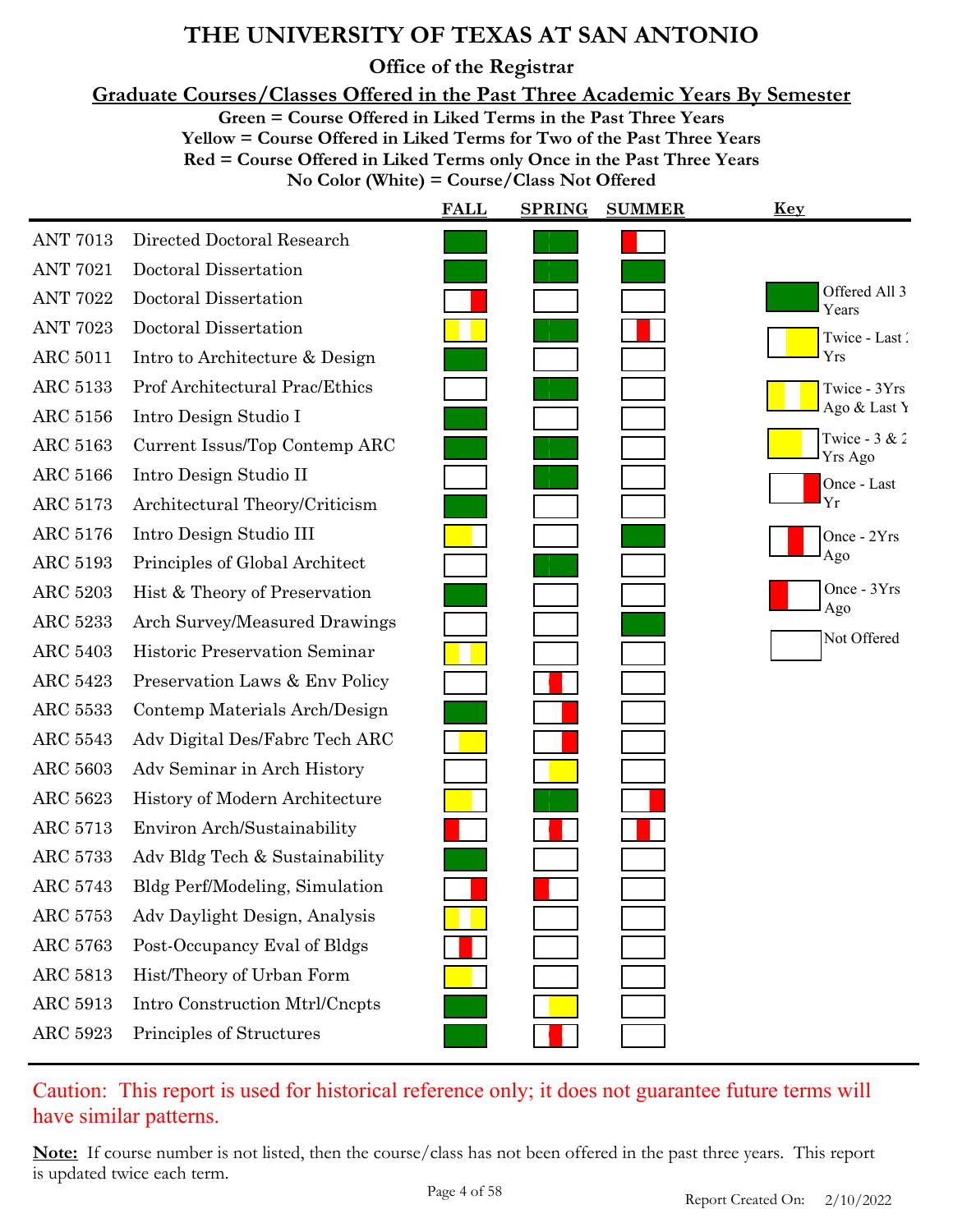**Office of the Registrar**

**Graduate Courses/Classes Offered in the Past Three Academic Years By Semester**

**Green = Course Offered in Liked Terms in the Past Three Years**

**Yellow = Course Offered in Liked Terms for Two of the Past Three Years Red = Course Offered in Liked Terms only Once in the Past Three Years No Color (White) = Course/Class Not Offered**

|                 |                                | <b>FALL</b> | <b>SPRING</b> | <b>SUMMER</b> | <b>Key</b>                 |
|-----------------|--------------------------------|-------------|---------------|---------------|----------------------------|
| <b>ANT 7013</b> | Directed Doctoral Research     |             |               |               |                            |
| <b>ANT 7021</b> | Doctoral Dissertation          |             |               |               |                            |
| <b>ANT 7022</b> | Doctoral Dissertation          |             |               |               | Offered All 3<br>Years     |
| <b>ANT 7023</b> | Doctoral Dissertation          |             |               |               | Twice - Last               |
| <b>ARC 5011</b> | Intro to Architecture & Design |             |               |               | Yrs                        |
| <b>ARC 5133</b> | Prof Architectural Prac/Ethics |             |               |               | Twice - 3Yrs               |
| ARC 5156        | Intro Design Studio I          |             |               |               | Ago & Last Y               |
| ARC 5163        | Current Issus/Top Contemp ARC  |             |               |               | Twice - $3 & 2$<br>Yrs Ago |
| ARC 5166        | Intro Design Studio II         |             |               |               | Once - Last                |
| ARC 5173        | Architectural Theory/Criticism |             |               |               | Yr                         |
| ARC 5176        | Intro Design Studio III        |             |               |               | Once - 2Yrs                |
| ARC 5193        | Principles of Global Architect |             |               |               | Ago                        |
| <b>ARC 5203</b> | Hist & Theory of Preservation  |             |               |               | Once - 3Yrs<br>Ago         |
| <b>ARC 5233</b> | Arch Survey/Measured Drawings  |             |               |               | Not Offered                |
| <b>ARC 5403</b> | Historic Preservation Seminar  |             |               |               |                            |
| <b>ARC 5423</b> | Preservation Laws & Env Policy |             |               |               |                            |
| <b>ARC 5533</b> | Contemp Materials Arch/Design  |             |               |               |                            |
| <b>ARC 5543</b> | Adv Digital Des/Fabre Tech ARC |             |               |               |                            |
| ARC 5603        | Adv Seminar in Arch History    |             |               |               |                            |
| ARC 5623        | History of Modern Architecture |             |               |               |                            |
| ARC 5713        | Environ Arch/Sustainability    |             |               |               |                            |
| ARC 5733        | Adv Bldg Tech & Sustainability |             |               |               |                            |
| ARC 5743        | Bldg Perf/Modeling, Simulation |             |               |               |                            |
| ARC 5753        | Adv Daylight Design, Analysis  |             |               |               |                            |
| ARC 5763        | Post-Occupancy Eval of Bldgs   |             |               |               |                            |
| ARC 5813        | Hist/Theory of Urban Form      |             |               |               |                            |
| ARC 5913        | Intro Construction Mtrl/Cncpts |             |               |               |                            |
| ARC 5923        | Principles of Structures       |             |               |               |                            |

Caution: This report is used for historical reference only; it does not guarantee future terms will have similar patterns.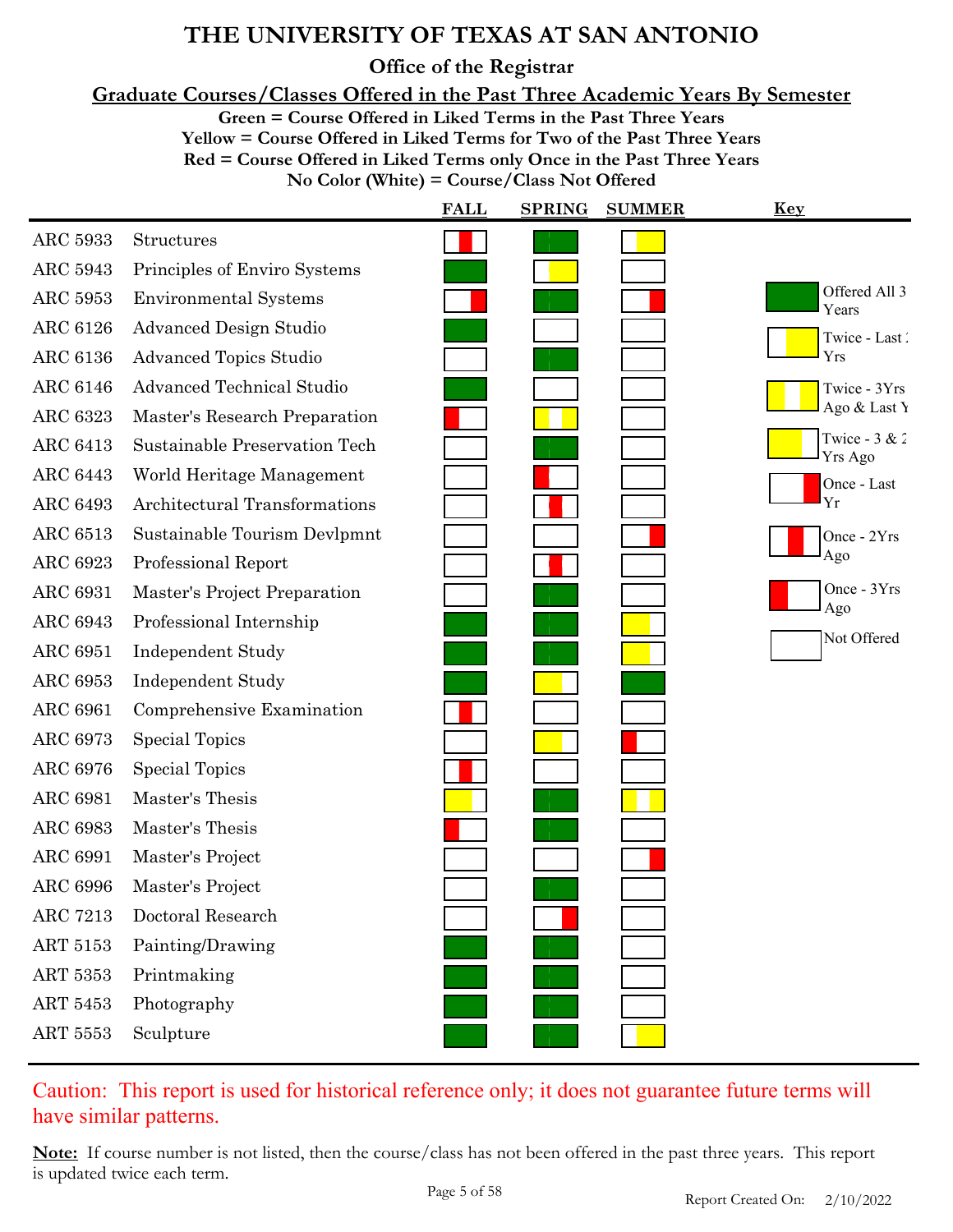**Office of the Registrar**

**Graduate Courses/Classes Offered in the Past Three Academic Years By Semester**

**Green = Course Offered in Liked Terms in the Past Three Years**

**Yellow = Course Offered in Liked Terms for Two of the Past Three Years Red = Course Offered in Liked Terms only Once in the Past Three Years No Color (White) = Course/Class Not Offered**

|                 |                                  | <b>FALL</b> | <b>SPRING</b> | <b>SUMMER</b> | <u>Key</u>                 |
|-----------------|----------------------------------|-------------|---------------|---------------|----------------------------|
| ARC 5933        | Structures                       |             |               |               |                            |
| <b>ARC 5943</b> | Principles of Enviro Systems     |             |               |               |                            |
| ARC 5953        | <b>Environmental Systems</b>     |             |               |               | Offered All 3<br>Years     |
| <b>ARC 6126</b> | <b>Advanced Design Studio</b>    |             |               |               | Twice - Last               |
| <b>ARC 6136</b> | <b>Advanced Topics Studio</b>    |             |               |               | Yrs                        |
| <b>ARC 6146</b> | <b>Advanced Technical Studio</b> |             |               |               | Twice - 3Yrs               |
| <b>ARC 6323</b> | Master's Research Preparation    |             |               |               | Ago & Last Y               |
| <b>ARC 6413</b> | Sustainable Preservation Tech    |             |               |               | Twice - $3 & 2$<br>Yrs Ago |
| <b>ARC 6443</b> | World Heritage Management        |             |               |               | Once - Last                |
| <b>ARC 6493</b> | Architectural Transformations    |             |               |               | Yr                         |
| <b>ARC 6513</b> | Sustainable Tourism Devlpmnt     |             |               |               | Once - 2Yrs                |
| <b>ARC 6923</b> | Professional Report              |             |               |               | Ago                        |
| <b>ARC 6931</b> | Master's Project Preparation     |             |               |               | Once - 3Yrs<br>Ago         |
| <b>ARC 6943</b> | Professional Internship          |             |               |               |                            |
| <b>ARC 6951</b> | <b>Independent Study</b>         |             |               |               | Not Offered                |
| ARC 6953        | <b>Independent Study</b>         |             |               |               |                            |
| <b>ARC 6961</b> | Comprehensive Examination        |             |               |               |                            |
| <b>ARC 6973</b> | <b>Special Topics</b>            |             |               |               |                            |
| <b>ARC 6976</b> | <b>Special Topics</b>            |             |               |               |                            |
| <b>ARC 6981</b> | Master's Thesis                  |             |               |               |                            |
| <b>ARC 6983</b> | Master's Thesis                  |             |               |               |                            |
| <b>ARC 6991</b> | Master's Project                 |             |               |               |                            |
| <b>ARC 6996</b> | Master's Project                 |             |               |               |                            |
| <b>ARC 7213</b> | Doctoral Research                |             |               |               |                            |
| ART 5153        | Painting/Drawing                 |             |               |               |                            |
| ART 5353        | Printmaking                      |             |               |               |                            |
| ART 5453        | Photography                      |             |               |               |                            |
| ART 5553        | Sculpture                        |             |               |               |                            |

### Caution: This report is used for historical reference only; it does not guarantee future terms will have similar patterns.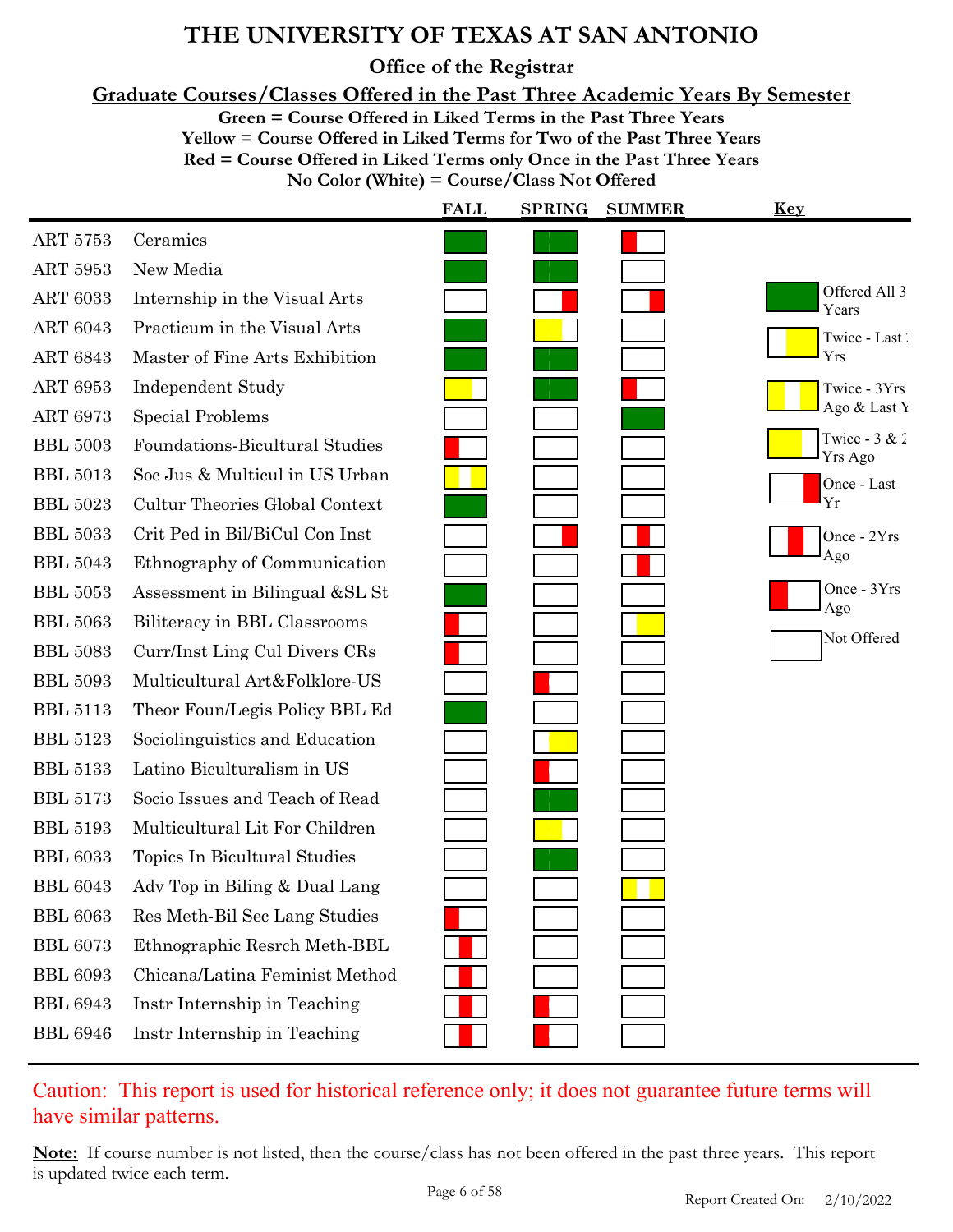**Office of the Registrar**

**Graduate Courses/Classes Offered in the Past Three Academic Years By Semester**

**Green = Course Offered in Liked Terms in the Past Three Years**

**Yellow = Course Offered in Liked Terms for Two of the Past Three Years Red = Course Offered in Liked Terms only Once in the Past Three Years No Color (White) = Course/Class Not Offered**

|                 |                                       | <b>FALL</b> | <b>SPRING</b> | <b>SUMMER</b> | <b>Key</b>                 |
|-----------------|---------------------------------------|-------------|---------------|---------------|----------------------------|
| ART 5753        | Ceramics                              |             |               |               |                            |
| ART 5953        | New Media                             |             |               |               |                            |
| <b>ART 6033</b> | Internship in the Visual Arts         |             |               |               | Offered All 3<br>Years     |
| <b>ART 6043</b> | Practicum in the Visual Arts          |             |               |               | Twice - Last               |
| <b>ART 6843</b> | Master of Fine Arts Exhibition        |             |               |               | Yrs                        |
| <b>ART 6953</b> | <b>Independent Study</b>              |             |               |               | Twice - 3Yrs               |
| <b>ART 6973</b> | <b>Special Problems</b>               |             |               |               | Ago & Last Y               |
| <b>BBL 5003</b> | <b>Foundations-Bicultural Studies</b> |             |               |               | Twice - $3 & 2$<br>Yrs Ago |
| <b>BBL 5013</b> | Soc Jus & Multicul in US Urban        |             |               |               | Once - Last                |
| <b>BBL 5023</b> | <b>Cultur Theories Global Context</b> |             |               |               | Yr                         |
| <b>BBL 5033</b> | Crit Ped in Bil/BiCul Con Inst        |             |               |               | Once - 2Yrs                |
| <b>BBL 5043</b> | Ethnography of Communication          |             |               |               | Ago                        |
| <b>BBL 5053</b> | Assessment in Bilingual &SL St        |             |               |               | Once - 3Yrs<br>Ago         |
| <b>BBL 5063</b> | Biliteracy in BBL Classrooms          |             |               |               | Not Offered                |
| <b>BBL 5083</b> | Curr/Inst Ling Cul Divers CRs         |             |               |               |                            |
| <b>BBL 5093</b> | Multicultural Art&Folklore-US         |             |               |               |                            |
| <b>BBL 5113</b> | Theor Foun/Legis Policy BBL Ed        |             |               |               |                            |
| <b>BBL 5123</b> | Sociolinguistics and Education        |             |               |               |                            |
| <b>BBL 5133</b> | Latino Biculturalism in US            |             |               |               |                            |
| <b>BBL 5173</b> | Socio Issues and Teach of Read        |             |               |               |                            |
| <b>BBL 5193</b> | Multicultural Lit For Children        |             |               |               |                            |
| <b>BBL 6033</b> | Topics In Bicultural Studies          |             |               |               |                            |
| <b>BBL 6043</b> | Adv Top in Biling & Dual Lang         |             |               |               |                            |
| <b>BBL 6063</b> | Res Meth-Bil Sec Lang Studies         |             |               |               |                            |
| <b>BBL 6073</b> | Ethnographic Resrch Meth-BBL          |             |               |               |                            |
| <b>BBL 6093</b> | Chicana/Latina Feminist Method        |             |               |               |                            |
| <b>BBL 6943</b> | Instr Internship in Teaching          |             |               |               |                            |
| <b>BBL 6946</b> | Instr Internship in Teaching          |             |               |               |                            |

Caution: This report is used for historical reference only; it does not guarantee future terms will have similar patterns.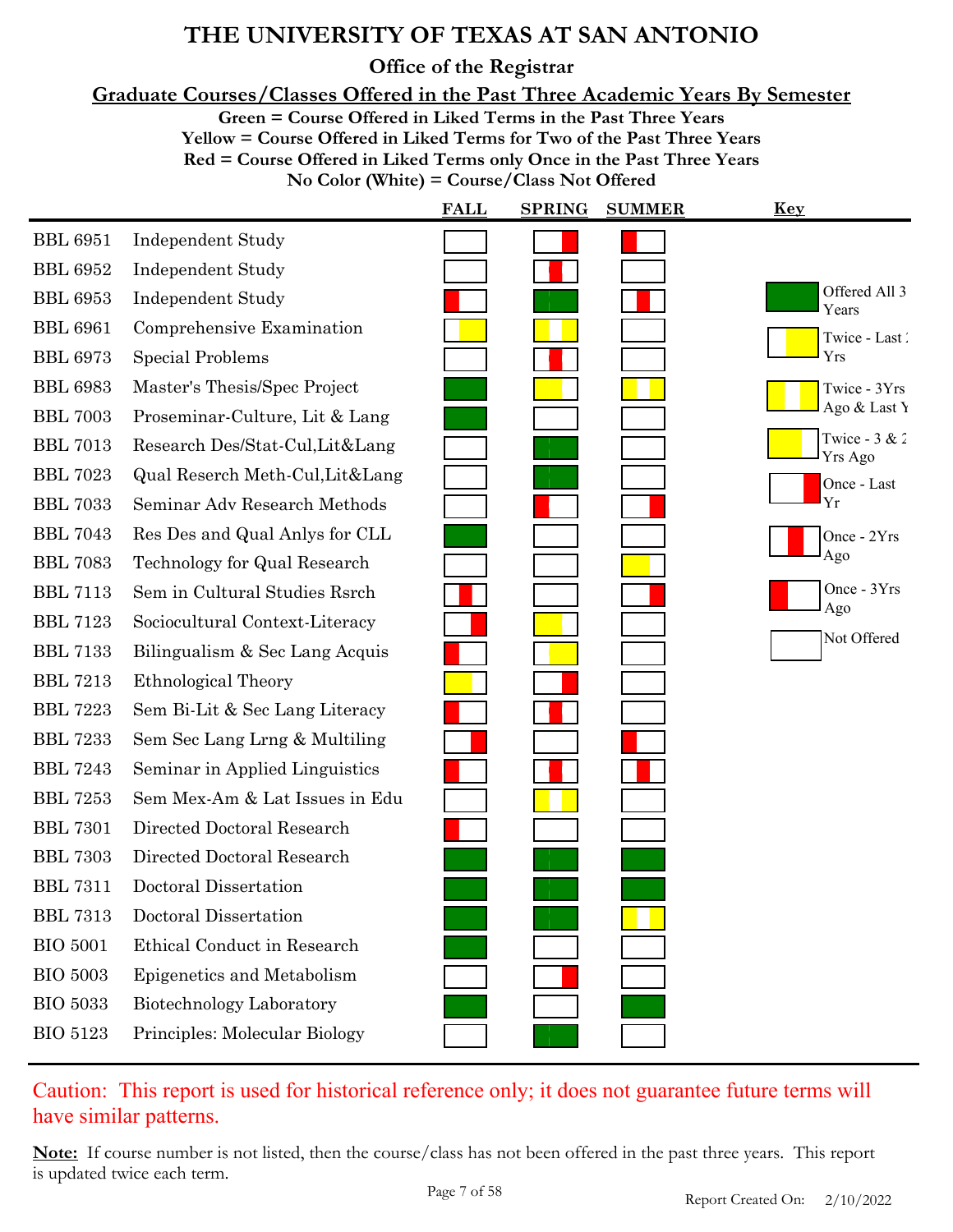**Office of the Registrar**

**Graduate Courses/Classes Offered in the Past Three Academic Years By Semester**

**Green = Course Offered in Liked Terms in the Past Three Years**

**Yellow = Course Offered in Liked Terms for Two of the Past Three Years Red = Course Offered in Liked Terms only Once in the Past Three Years No Color (White) = Course/Class Not Offered**

|                 |                                  | <b>FALL</b> | <b>SPRING</b> | <b>SUMMER</b> | <u>Key</u>                 |
|-----------------|----------------------------------|-------------|---------------|---------------|----------------------------|
| <b>BBL 6951</b> | <b>Independent Study</b>         |             |               |               |                            |
| <b>BBL 6952</b> | <b>Independent Study</b>         |             |               |               |                            |
| <b>BBL</b> 6953 | <b>Independent Study</b>         |             |               |               | Offered All 3<br>Years     |
| <b>BBL 6961</b> | Comprehensive Examination        |             |               |               | Twice - Last               |
| <b>BBL 6973</b> | <b>Special Problems</b>          |             |               |               | Yrs                        |
| <b>BBL 6983</b> | Master's Thesis/Spec Project     |             |               |               | Twice - 3Yrs               |
| <b>BBL 7003</b> | Proseminar-Culture, Lit & Lang   |             |               |               | Ago & Last Y               |
| <b>BBL 7013</b> | Research Des/Stat-Cul, Lit⟪      |             |               |               | Twice - $3 & 2$<br>Yrs Ago |
| <b>BBL 7023</b> | Qual Reserch Meth-Cul, Lit& Lang |             |               |               | Once - Last                |
| <b>BBL 7033</b> | Seminar Adv Research Methods     |             |               |               | Yr                         |
| <b>BBL 7043</b> | Res Des and Qual Anlys for CLL   |             |               |               | Once - 2Yrs                |
| <b>BBL 7083</b> | Technology for Qual Research     |             |               |               | Ago                        |
| <b>BBL 7113</b> | Sem in Cultural Studies Rsrch    |             |               |               | Once - 3Yrs<br>Ago         |
| <b>BBL 7123</b> | Sociocultural Context-Literacy   |             |               |               |                            |
| <b>BBL 7133</b> | Bilingualism & Sec Lang Acquis   |             |               |               | Not Offered                |
| <b>BBL 7213</b> | Ethnological Theory              |             |               |               |                            |
| <b>BBL 7223</b> | Sem Bi-Lit & Sec Lang Literacy   |             |               |               |                            |
| <b>BBL 7233</b> | Sem Sec Lang Lrng & Multiling    |             |               |               |                            |
| <b>BBL 7243</b> | Seminar in Applied Linguistics   |             |               |               |                            |
| <b>BBL 7253</b> | Sem Mex-Am & Lat Issues in Edu   |             |               |               |                            |
| <b>BBL 7301</b> | Directed Doctoral Research       |             |               |               |                            |
| <b>BBL 7303</b> | Directed Doctoral Research       |             |               |               |                            |
| <b>BBL 7311</b> | Doctoral Dissertation            |             |               |               |                            |
| <b>BBL 7313</b> | Doctoral Dissertation            |             |               |               |                            |
| <b>BIO 5001</b> | Ethical Conduct in Research      |             |               |               |                            |
| <b>BIO 5003</b> | Epigenetics and Metabolism       |             |               |               |                            |
| <b>BIO 5033</b> | Biotechnology Laboratory         |             |               |               |                            |
| <b>BIO 5123</b> | Principles: Molecular Biology    |             |               |               |                            |

Caution: This report is used for historical reference only; it does not guarantee future terms will have similar patterns.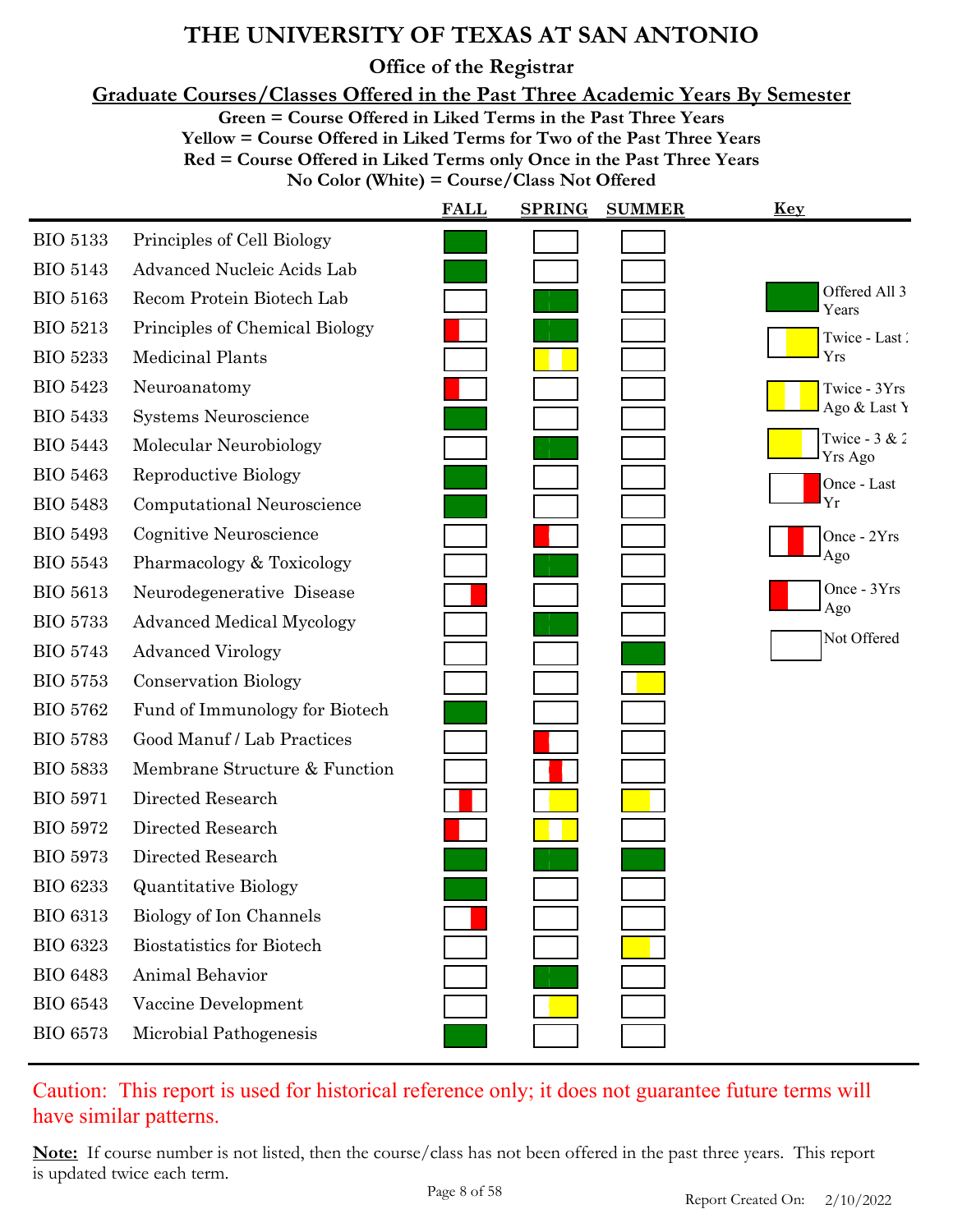**Office of the Registrar**

**Graduate Courses/Classes Offered in the Past Three Academic Years By Semester**

**Green = Course Offered in Liked Terms in the Past Three Years**

**Yellow = Course Offered in Liked Terms for Two of the Past Three Years**

**Red = Course Offered in Liked Terms only Once in the Past Three Years**

**No Color (White) = Course/Class Not Offered**

|                 |                                  | <b>FALL</b> | <b>SPRING</b> | <b>SUMMER</b> | <u>Key</u>                        |
|-----------------|----------------------------------|-------------|---------------|---------------|-----------------------------------|
| <b>BIO 5133</b> | Principles of Cell Biology       |             |               |               |                                   |
| <b>BIO 5143</b> | Advanced Nucleic Acids Lab       |             |               |               |                                   |
| <b>BIO 5163</b> | Recom Protein Biotech Lab        |             |               |               | Offered All 3<br>Years            |
| <b>BIO 5213</b> | Principles of Chemical Biology   |             |               |               | Twice - Last                      |
| <b>BIO 5233</b> | Medicinal Plants                 |             |               |               | Yrs                               |
| <b>BIO 5423</b> | Neuroanatomy                     |             |               |               | Twice - 3Yrs                      |
| <b>BIO 5433</b> | Systems Neuroscience             |             |               |               | Ago & Last Y                      |
| <b>BIO 5443</b> | Molecular Neurobiology           |             |               |               | Twice - $3 & 2$<br><b>Yrs Ago</b> |
| <b>BIO 5463</b> | Reproductive Biology             |             |               |               | Once - Last                       |
| <b>BIO 5483</b> | Computational Neuroscience       |             |               |               | Yr                                |
| <b>BIO 5493</b> | Cognitive Neuroscience           |             |               |               | Once - 2Yrs                       |
| <b>BIO 5543</b> | Pharmacology & Toxicology        |             |               |               | Ago                               |
| <b>BIO 5613</b> | Neurodegenerative Disease        |             |               |               | Once - 3Yrs<br>Ago                |
| <b>BIO 5733</b> | <b>Advanced Medical Mycology</b> |             |               |               | Not Offered                       |
| <b>BIO 5743</b> | <b>Advanced Virology</b>         |             |               |               |                                   |
| <b>BIO 5753</b> | <b>Conservation Biology</b>      |             |               |               |                                   |
| <b>BIO 5762</b> | Fund of Immunology for Biotech   |             |               |               |                                   |
| <b>BIO 5783</b> | Good Manuf / Lab Practices       |             |               |               |                                   |
| <b>BIO 5833</b> | Membrane Structure & Function    |             |               |               |                                   |
| <b>BIO 5971</b> | Directed Research                |             |               |               |                                   |
| <b>BIO 5972</b> | Directed Research                |             |               |               |                                   |
| <b>BIO 5973</b> | Directed Research                |             |               |               |                                   |
| <b>BIO 6233</b> | <b>Quantitative Biology</b>      |             |               |               |                                   |
| <b>BIO 6313</b> | Biology of Ion Channels          |             |               |               |                                   |
| <b>BIO 6323</b> | <b>Biostatistics for Biotech</b> |             |               |               |                                   |
| <b>BIO 6483</b> | Animal Behavior                  |             |               |               |                                   |
| <b>BIO 6543</b> | Vaccine Development              |             |               |               |                                   |
| <b>BIO 6573</b> | Microbial Pathogenesis           |             |               |               |                                   |

### Caution: This report is used for historical reference only; it does not guarantee future terms will have similar patterns.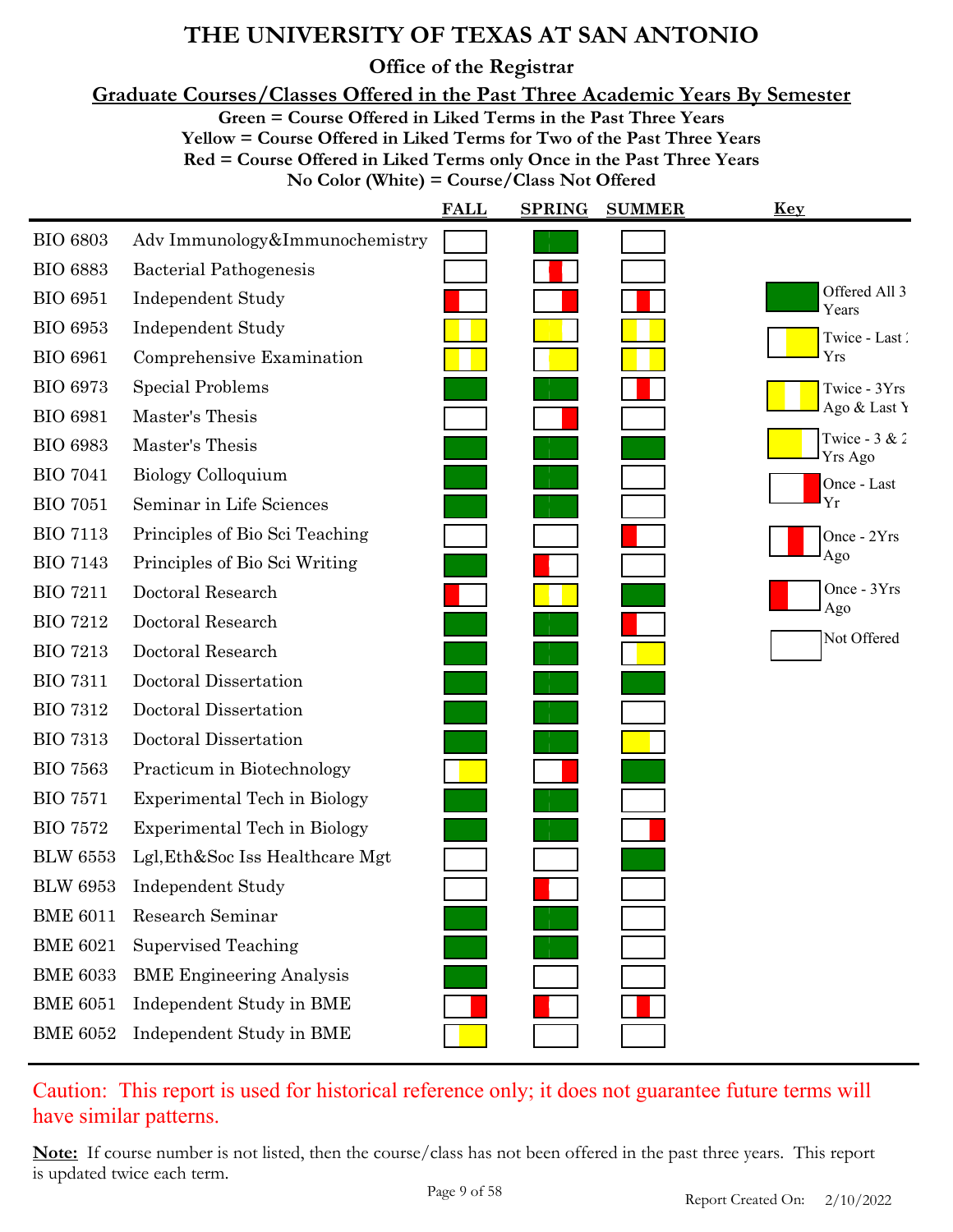**Office of the Registrar**

**Graduate Courses/Classes Offered in the Past Three Academic Years By Semester**

**Green = Course Offered in Liked Terms in the Past Three Years**

**Yellow = Course Offered in Liked Terms for Two of the Past Three Years**

**Red = Course Offered in Liked Terms only Once in the Past Three Years**

**No Color (White) = Course/Class Not Offered**

|                 |                                     | <b>FALL</b> | <b>SPRING</b> | <b>SUMMER</b> | <u>Key</u>                 |
|-----------------|-------------------------------------|-------------|---------------|---------------|----------------------------|
| <b>BIO 6803</b> | Adv Immunology&Immunochemistry      |             |               |               |                            |
| <b>BIO 6883</b> | Bacterial Pathogenesis              |             |               |               |                            |
| <b>BIO 6951</b> | <b>Independent Study</b>            |             |               |               | Offered All 3<br>Years     |
| <b>BIO 6953</b> | <b>Independent Study</b>            |             |               |               | Twice - Last               |
| <b>BIO 6961</b> | Comprehensive Examination           |             |               |               | Yrs                        |
| <b>BIO 6973</b> | Special Problems                    |             |               |               | Twice - 3Yrs               |
| <b>BIO 6981</b> | Master's Thesis                     |             |               |               | Ago & Last Y               |
| <b>BIO 6983</b> | Master's Thesis                     |             |               |               | Twice - $3 & 2$<br>Yrs Ago |
| <b>BIO 7041</b> | Biology Colloquium                  |             |               |               | Once - Last                |
| <b>BIO 7051</b> | Seminar in Life Sciences            |             |               |               | Yr                         |
| <b>BIO 7113</b> | Principles of Bio Sci Teaching      |             |               |               | Once - 2Yrs                |
| <b>BIO 7143</b> | Principles of Bio Sci Writing       |             |               |               | Ago                        |
| <b>BIO 7211</b> | Doctoral Research                   |             |               |               | Once $-3Yrs$<br>Ago        |
| <b>BIO 7212</b> | Doctoral Research                   |             |               |               |                            |
| <b>BIO 7213</b> | Doctoral Research                   |             |               |               | Not Offered                |
| <b>BIO 7311</b> | Doctoral Dissertation               |             |               |               |                            |
| <b>BIO 7312</b> | Doctoral Dissertation               |             |               |               |                            |
| <b>BIO 7313</b> | Doctoral Dissertation               |             |               |               |                            |
| <b>BIO 7563</b> | Practicum in Biotechnology          |             |               |               |                            |
| <b>BIO 7571</b> | Experimental Tech in Biology        |             |               |               |                            |
| <b>BIO 7572</b> | <b>Experimental Tech in Biology</b> |             |               |               |                            |
| <b>BLW 6553</b> | Lgl, Eth&Soc Iss Healthcare Mgt     |             |               |               |                            |
| <b>BLW 6953</b> | Independent Study                   |             |               |               |                            |
| <b>BME 6011</b> | Research Seminar                    |             |               |               |                            |
| <b>BME 6021</b> | <b>Supervised Teaching</b>          |             |               |               |                            |
| <b>BME 6033</b> | <b>BME</b> Engineering Analysis     |             |               |               |                            |
| <b>BME 6051</b> | Independent Study in BME            |             |               |               |                            |
| <b>BME 6052</b> | Independent Study in BME            |             |               |               |                            |
|                 |                                     |             |               |               |                            |

Caution: This report is used for historical reference only; it does not guarantee future terms will have similar patterns.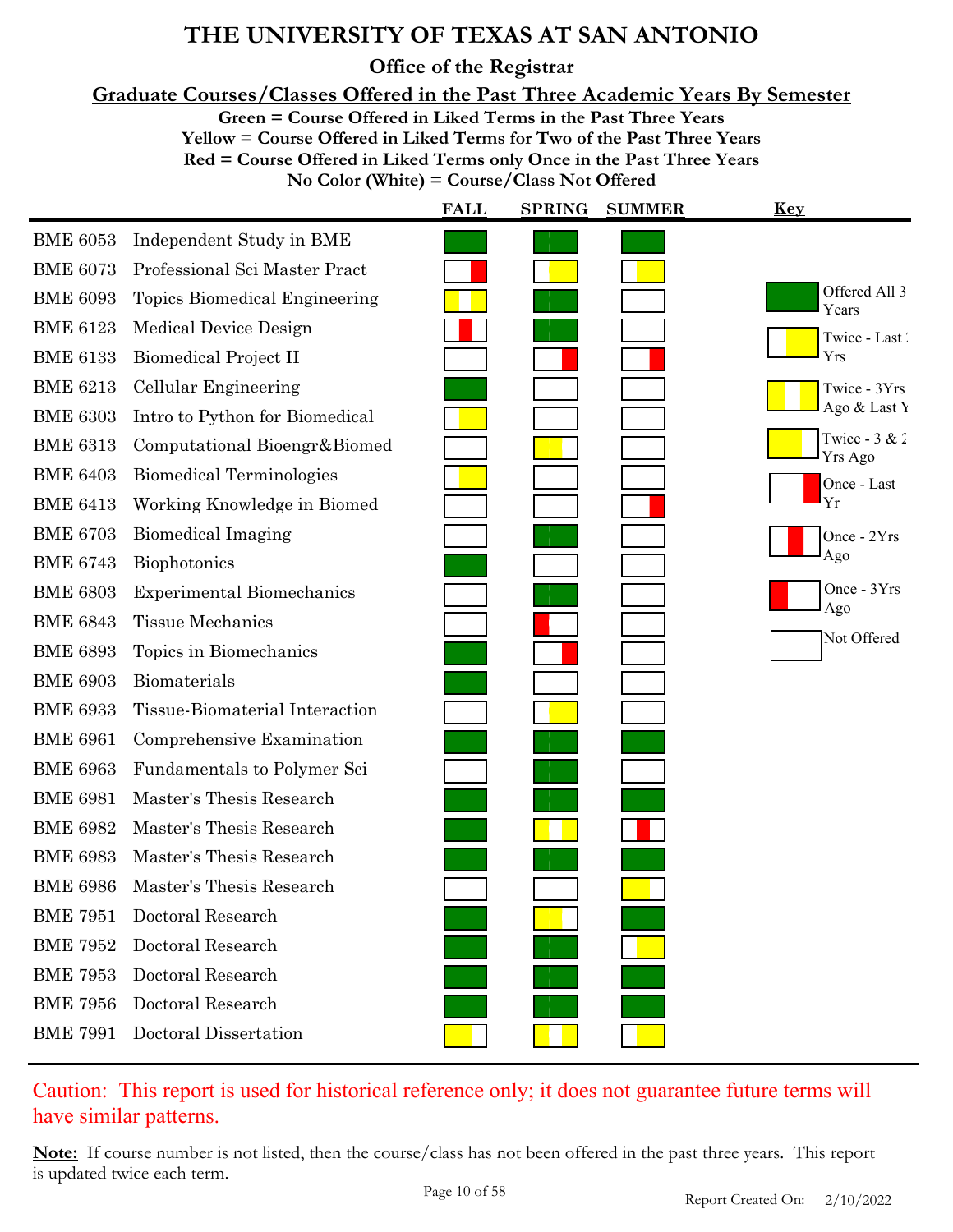**Office of the Registrar**

**Graduate Courses/Classes Offered in the Past Three Academic Years By Semester**

**Green = Course Offered in Liked Terms in the Past Three Years**

**Yellow = Course Offered in Liked Terms for Two of the Past Three Years**

**Red = Course Offered in Liked Terms only Once in the Past Three Years**

**No Color (White) = Course/Class Not Offered**

|                 |                                  | <b>FALL</b> | <b>SPRING</b> | <b>SUMMER</b> | <u>Key</u>                 |
|-----------------|----------------------------------|-------------|---------------|---------------|----------------------------|
| <b>BME 6053</b> | Independent Study in BME         |             |               |               |                            |
| <b>BME 6073</b> | Professional Sci Master Pract    |             |               |               |                            |
| <b>BME 6093</b> | Topics Biomedical Engineering    |             |               |               | Offered All 3<br>Years     |
| <b>BME 6123</b> | Medical Device Design            |             |               |               | Twice - Last               |
| <b>BME 6133</b> | Biomedical Project II            |             |               |               | Yrs                        |
| <b>BME 6213</b> | Cellular Engineering             |             |               |               | Twice - 3Yrs               |
| <b>BME 6303</b> | Intro to Python for Biomedical   |             |               |               | Ago & Last Y               |
| <b>BME 6313</b> | Computational Bioengr&Biomed     |             |               |               | Twice - $3 & 2$<br>Yrs Ago |
| <b>BME 6403</b> | <b>Biomedical Terminologies</b>  |             |               |               | Once - Last                |
| <b>BME 6413</b> | Working Knowledge in Biomed      |             |               |               | Yr                         |
| <b>BME 6703</b> | <b>Biomedical Imaging</b>        |             |               |               | Once - 2Yrs                |
| <b>BME 6743</b> | Biophotonics                     |             |               |               | Ago                        |
| <b>BME 6803</b> | <b>Experimental Biomechanics</b> |             |               |               | Once - 3Yrs<br>Ago         |
| <b>BME 6843</b> | <b>Tissue Mechanics</b>          |             |               |               | Not Offered                |
| <b>BME 6893</b> | Topics in Biomechanics           |             |               |               |                            |
| <b>BME 6903</b> | Biomaterials                     |             |               |               |                            |
| <b>BME 6933</b> | Tissue-Biomaterial Interaction   |             |               |               |                            |
| <b>BME 6961</b> | Comprehensive Examination        |             |               |               |                            |
| <b>BME 6963</b> | Fundamentals to Polymer Sci      |             |               |               |                            |
| <b>BME 6981</b> | Master's Thesis Research         |             |               |               |                            |
| <b>BME 6982</b> | Master's Thesis Research         |             |               |               |                            |
| <b>BME 6983</b> | Master's Thesis Research         |             |               |               |                            |
| <b>BME 6986</b> | Master's Thesis Research         |             |               |               |                            |
| <b>BME 7951</b> | Doctoral Research                |             |               |               |                            |
| <b>BME 7952</b> | Doctoral Research                |             |               |               |                            |
| <b>BME 7953</b> | Doctoral Research                |             |               |               |                            |
| <b>BME 7956</b> | Doctoral Research                |             |               |               |                            |
| <b>BME 7991</b> | Doctoral Dissertation            |             |               |               |                            |

### Caution: This report is used for historical reference only; it does not guarantee future terms will have similar patterns.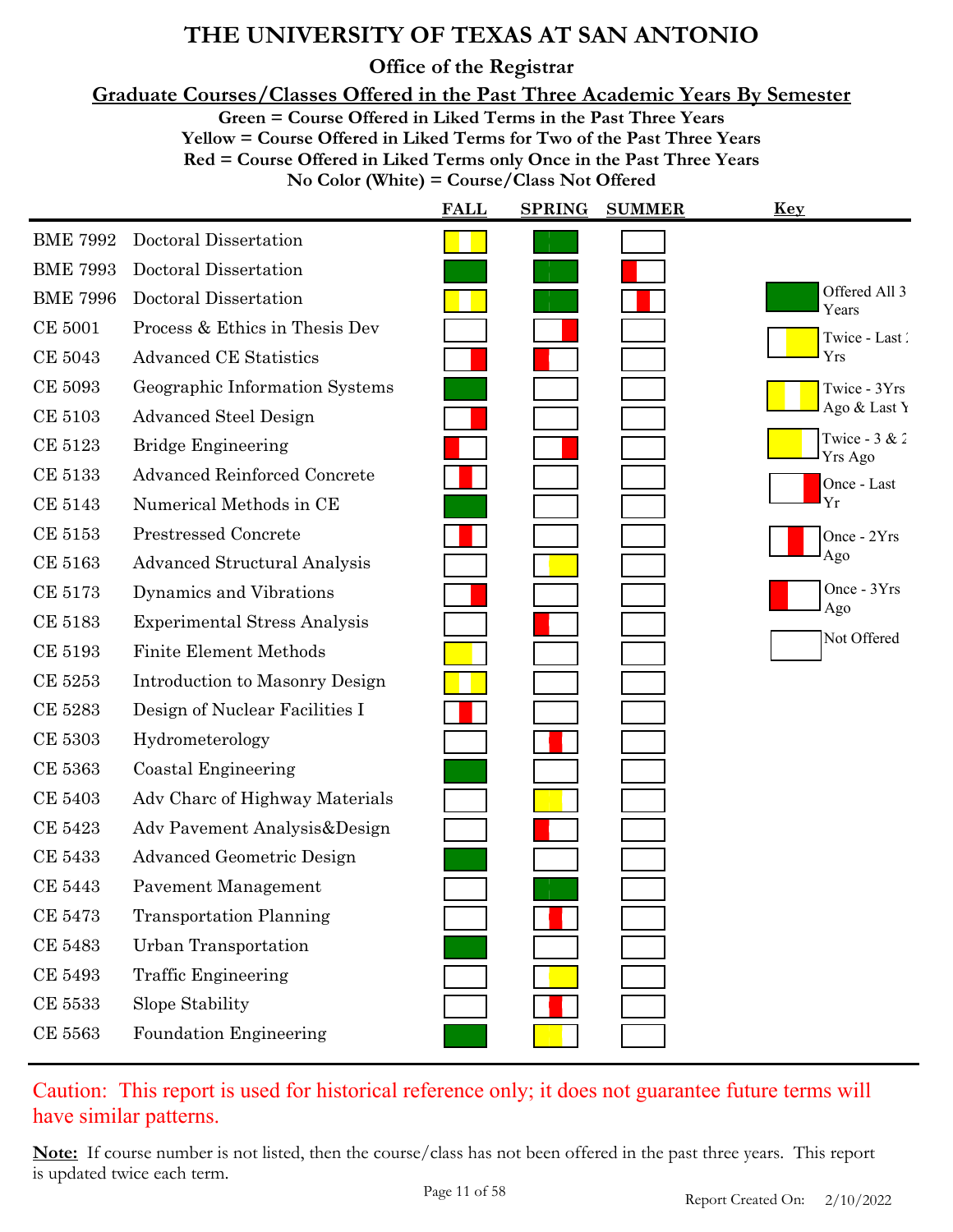**Office of the Registrar**

**Graduate Courses/Classes Offered in the Past Three Academic Years By Semester**

**Green = Course Offered in Liked Terms in the Past Three Years**

**Yellow = Course Offered in Liked Terms for Two of the Past Three Years**

**Red = Course Offered in Liked Terms only Once in the Past Three Years**

**No Color (White) = Course/Class Not Offered**

|                 |                                     | <b>FALL</b> | <b>SPRING</b> | <b>SUMMER</b> | <b>Key</b>                 |
|-----------------|-------------------------------------|-------------|---------------|---------------|----------------------------|
| <b>BME 7992</b> | Doctoral Dissertation               |             |               |               |                            |
| <b>BME 7993</b> | Doctoral Dissertation               |             |               |               |                            |
| <b>BME 7996</b> | Doctoral Dissertation               |             |               |               | Offered All 3<br>Years     |
| <b>CE 5001</b>  | Process & Ethics in Thesis Dev      |             |               |               | Twice - Last               |
| CE 5043         | <b>Advanced CE Statistics</b>       |             |               |               | Yrs                        |
| CE 5093         | Geographic Information Systems      |             |               |               | Twice - 3Yrs               |
| <b>CE 5103</b>  | <b>Advanced Steel Design</b>        |             |               |               | Ago & Last Y               |
| CE 5123         | <b>Bridge Engineering</b>           |             |               |               | Twice - $3 & 2$<br>Yrs Ago |
| <b>CE 5133</b>  | <b>Advanced Reinforced Concrete</b> |             |               |               | Once - Last                |
| CE 5143         | Numerical Methods in CE             |             |               |               | Yr                         |
| CE 5153         | <b>Prestressed Concrete</b>         |             |               |               | Once - 2Yrs                |
| CE 5163         | <b>Advanced Structural Analysis</b> |             |               |               | Ago                        |
| <b>CE 5173</b>  | Dynamics and Vibrations             |             |               |               | Once - 3Yrs<br>Ago         |
| CE 5183         | <b>Experimental Stress Analysis</b> |             |               |               |                            |
| CE 5193         | <b>Finite Element Methods</b>       |             |               |               | Not Offered                |
| CE 5253         | Introduction to Masonry Design      |             |               |               |                            |
| CE 5283         | Design of Nuclear Facilities I      |             |               |               |                            |
| <b>CE 5303</b>  | Hydrometerology                     |             |               |               |                            |
| <b>CE 5363</b>  | Coastal Engineering                 |             |               |               |                            |
| CE 5403         | Adv Charc of Highway Materials      |             |               |               |                            |
| CE 5423         | Adv Pavement Analysis&Design        |             |               |               |                            |
| CE 5433         | <b>Advanced Geometric Design</b>    |             |               |               |                            |
| <b>CE 5443</b>  | Pavement Management                 |             |               |               |                            |
| <b>CE 5473</b>  | <b>Transportation Planning</b>      |             |               |               |                            |
| <b>CE 5483</b>  | <b>Urban Transportation</b>         |             |               |               |                            |
| CE 5493         | <b>Traffic Engineering</b>          |             |               |               |                            |
| CE 5533         | Slope Stability                     |             |               |               |                            |
| CE 5563         | Foundation Engineering              |             |               |               |                            |

### Caution: This report is used for historical reference only; it does not guarantee future terms will have similar patterns.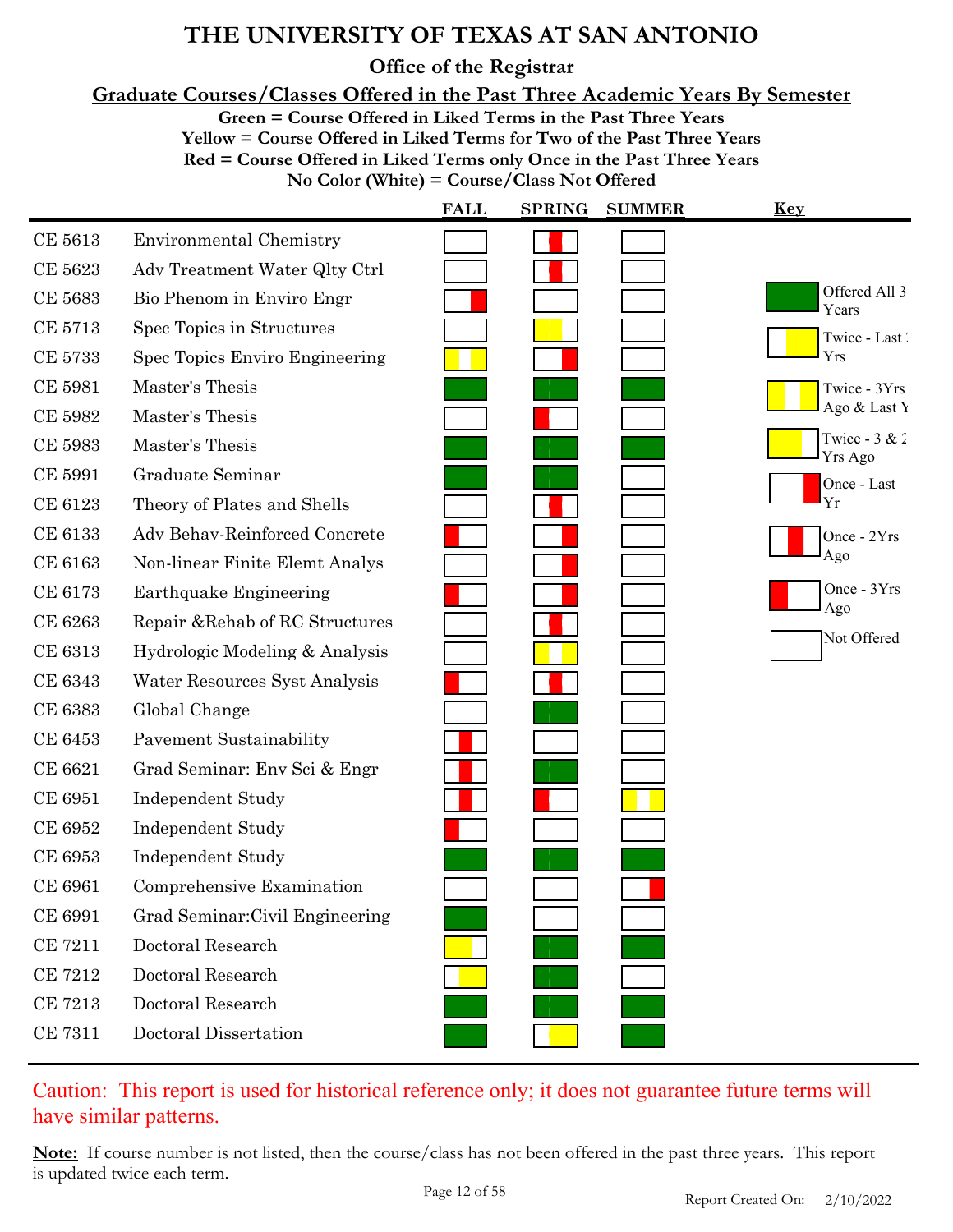**Office of the Registrar**

**Graduate Courses/Classes Offered in the Past Three Academic Years By Semester**

**Green = Course Offered in Liked Terms in the Past Three Years**

**Yellow = Course Offered in Liked Terms for Two of the Past Three Years**

**Red = Course Offered in Liked Terms only Once in the Past Three Years**

**No Color (White) = Course/Class Not Offered**

|                |                                 | <b>FALL</b> | <b>SPRING</b> | <b>SUMMER</b> | <b>Key</b>                        |
|----------------|---------------------------------|-------------|---------------|---------------|-----------------------------------|
| CE 5613        | <b>Environmental Chemistry</b>  |             |               |               |                                   |
| CE 5623        | Adv Treatment Water Qlty Ctrl   |             |               |               |                                   |
| CE 5683        | Bio Phenom in Enviro Engr       |             |               |               | Offered All 3<br>Years            |
| <b>CE 5713</b> | Spec Topics in Structures       |             |               |               | Twice - Last                      |
| <b>CE 5733</b> | Spec Topics Enviro Engineering  |             |               |               | Yrs                               |
| <b>CE 5981</b> | Master's Thesis                 |             |               |               | Twice - 3Yrs                      |
| CE 5982        | Master's Thesis                 |             |               |               | Ago & Last Y                      |
| CE 5983        | Master's Thesis                 |             |               |               | Twice - $3 & 2$<br><b>Yrs Ago</b> |
| <b>CE 5991</b> | Graduate Seminar                |             |               |               | Once - Last                       |
| CE 6123        | Theory of Plates and Shells     |             |               |               | Yr                                |
| CE 6133        | Adv Behav-Reinforced Concrete   |             |               |               | Once - 2Yrs                       |
| CE 6163        | Non-linear Finite Elemt Analys  |             |               |               | Ago                               |
| CE 6173        | Earthquake Engineering          |             |               |               | Once - 3Yrs                       |
| CE 6263        | Repair & Rehab of RC Structures |             |               |               | Ago                               |
| CE 6313        | Hydrologic Modeling & Analysis  |             |               |               | Not Offered                       |
| CE 6343        | Water Resources Syst Analysis   |             |               |               |                                   |
| CE 6383        | Global Change                   |             |               |               |                                   |
| CE 6453        | <b>Pavement Sustainability</b>  |             |               |               |                                   |
| CE 6621        | Grad Seminar: Env Sci & Engr    |             |               |               |                                   |
| CE 6951        | <b>Independent Study</b>        |             |               |               |                                   |
| CE 6952        | <b>Independent Study</b>        |             |               |               |                                   |
| CE 6953        | <b>Independent Study</b>        |             |               |               |                                   |
| CE 6961        | Comprehensive Examination       |             |               |               |                                   |
| CE 6991        | Grad Seminar: Civil Engineering |             |               |               |                                   |
| <b>CE 7211</b> | Doctoral Research               |             |               |               |                                   |
| <b>CE 7212</b> | Doctoral Research               |             |               |               |                                   |
| <b>CE 7213</b> | Doctoral Research               |             |               |               |                                   |
| <b>CE 7311</b> | Doctoral Dissertation           |             |               |               |                                   |

### Caution: This report is used for historical reference only; it does not guarantee future terms will have similar patterns.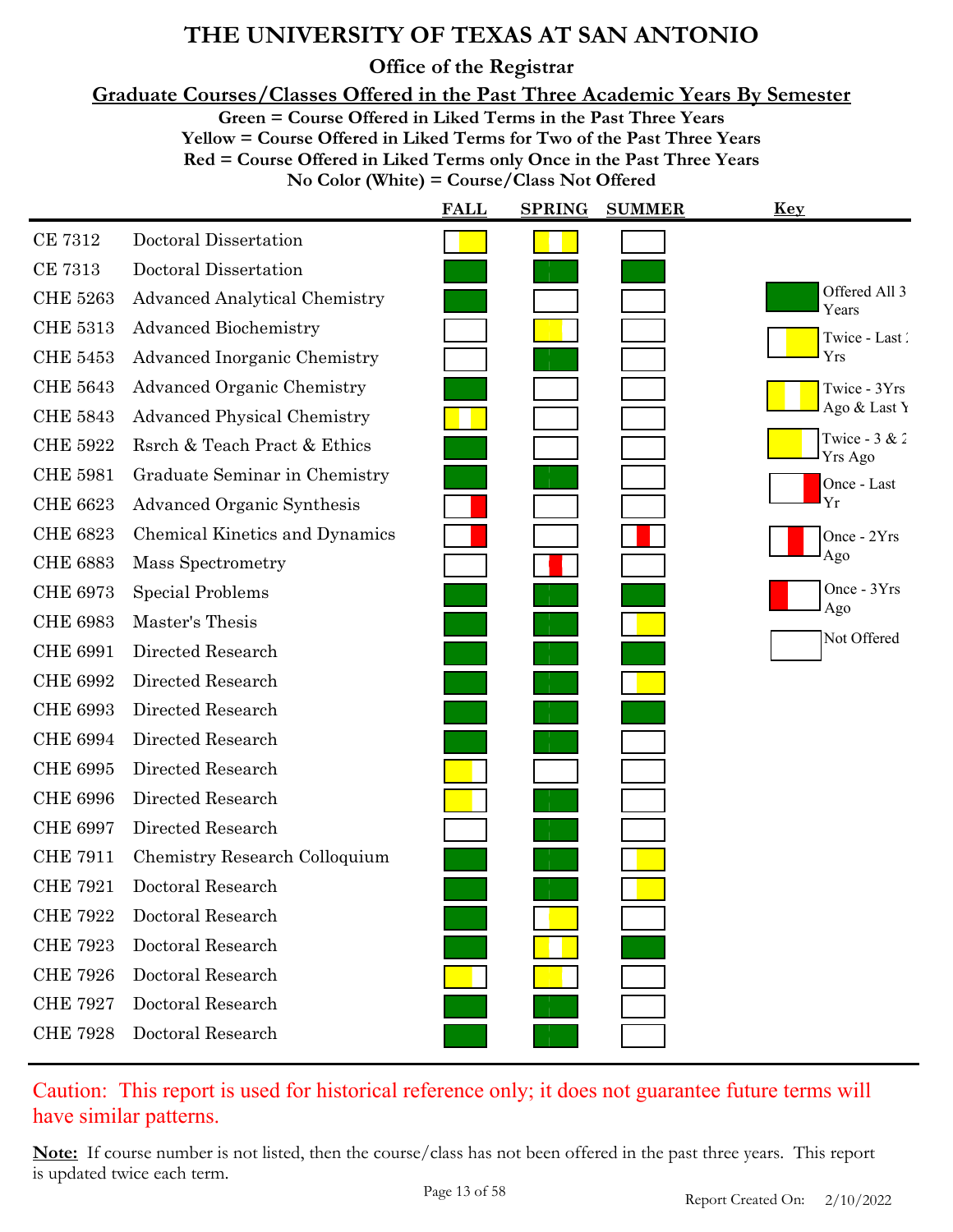**Office of the Registrar**

**Graduate Courses/Classes Offered in the Past Three Academic Years By Semester**

**Green = Course Offered in Liked Terms in the Past Three Years**

**Yellow = Course Offered in Liked Terms for Two of the Past Three Years Red = Course Offered in Liked Terms only Once in the Past Three Years**

**No Color (White) = Course/Class Not Offered**

|                 |                                      | <b>FALL</b> | <b>SPRING</b> | <b>SUMMER</b> | Key                               |
|-----------------|--------------------------------------|-------------|---------------|---------------|-----------------------------------|
| <b>CE 7312</b>  | Doctoral Dissertation                |             |               |               |                                   |
| <b>CE 7313</b>  | Doctoral Dissertation                |             |               |               |                                   |
| <b>CHE 5263</b> | <b>Advanced Analytical Chemistry</b> |             |               |               | Offered All 3<br>Years            |
| <b>CHE 5313</b> | <b>Advanced Biochemistry</b>         |             |               |               | Twice - Last                      |
| <b>CHE 5453</b> | Advanced Inorganic Chemistry         |             |               |               | Yrs                               |
| <b>CHE 5643</b> | <b>Advanced Organic Chemistry</b>    |             |               |               | Twice - 3Yrs                      |
| <b>CHE 5843</b> | <b>Advanced Physical Chemistry</b>   |             |               |               | Ago & Last Y                      |
| <b>CHE 5922</b> | Rsrch & Teach Pract & Ethics         |             |               |               | Twice - $3 & 2$<br><b>Yrs Ago</b> |
| <b>CHE 5981</b> | Graduate Seminar in Chemistry        |             |               |               | Once - Last                       |
| <b>CHE 6623</b> | Advanced Organic Synthesis           |             |               |               | Yr                                |
| <b>CHE 6823</b> | Chemical Kinetics and Dynamics       |             |               |               | Once - 2Yrs                       |
| <b>CHE 6883</b> | <b>Mass Spectrometry</b>             |             |               |               | Ago                               |
| <b>CHE 6973</b> | <b>Special Problems</b>              |             |               |               | Once - 3Yrs<br>Ago                |
| <b>CHE 6983</b> | Master's Thesis                      |             |               |               |                                   |
| <b>CHE 6991</b> | Directed Research                    |             |               |               | Not Offered                       |
| <b>CHE 6992</b> | Directed Research                    |             |               |               |                                   |
| <b>CHE 6993</b> | Directed Research                    |             |               |               |                                   |
| <b>CHE 6994</b> | Directed Research                    |             |               |               |                                   |
| <b>CHE 6995</b> | Directed Research                    |             |               |               |                                   |
| <b>CHE 6996</b> | Directed Research                    |             |               |               |                                   |
| <b>CHE 6997</b> | Directed Research                    |             |               |               |                                   |
| <b>CHE 7911</b> | Chemistry Research Colloquium        |             |               |               |                                   |
| <b>CHE 7921</b> | Doctoral Research                    |             |               |               |                                   |
| <b>CHE 7922</b> | Doctoral Research                    |             |               |               |                                   |
| <b>CHE 7923</b> | Doctoral Research                    |             |               |               |                                   |
| <b>CHE 7926</b> | Doctoral Research                    |             |               |               |                                   |
| <b>CHE 7927</b> | Doctoral Research                    |             |               |               |                                   |
| <b>CHE 7928</b> | Doctoral Research                    |             |               |               |                                   |

### Caution: This report is used for historical reference only; it does not guarantee future terms will have similar patterns.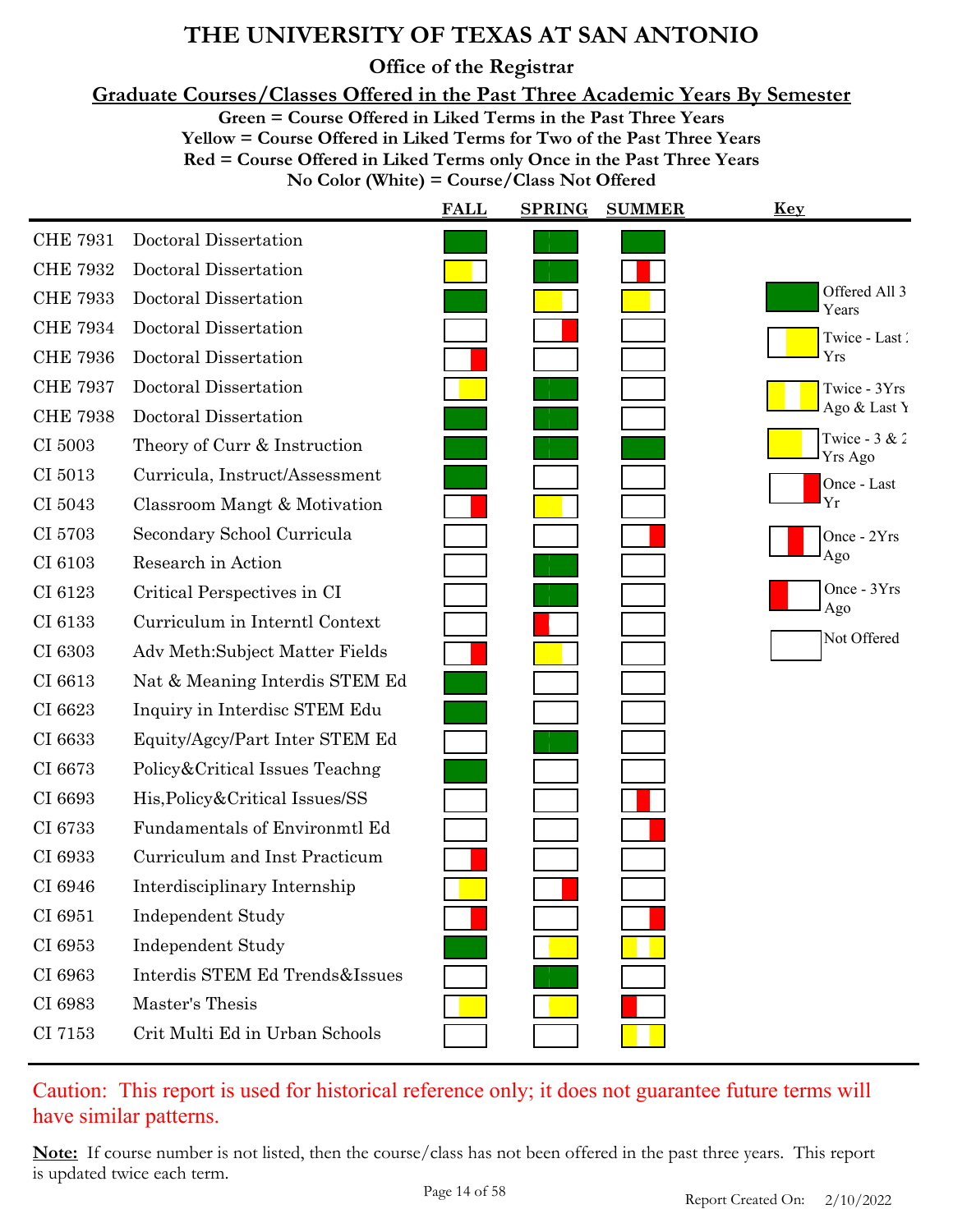**Office of the Registrar**

**Graduate Courses/Classes Offered in the Past Three Academic Years By Semester**

**Green = Course Offered in Liked Terms in the Past Three Years**

**Yellow = Course Offered in Liked Terms for Two of the Past Three Years Red = Course Offered in Liked Terms only Once in the Past Three Years No Color (White) = Course/Class Not Offered**

|                 |                                  | <b>FALL</b> | <b>SPRING</b><br><b>SUMMER</b> | <u>Key</u>                        |
|-----------------|----------------------------------|-------------|--------------------------------|-----------------------------------|
| <b>CHE 7931</b> | Doctoral Dissertation            |             |                                |                                   |
| <b>CHE 7932</b> | Doctoral Dissertation            |             |                                |                                   |
| <b>CHE 7933</b> | Doctoral Dissertation            |             |                                | Offered All 3<br>Years            |
| <b>CHE 7934</b> | Doctoral Dissertation            |             |                                | Twice - Last                      |
| <b>CHE 7936</b> | Doctoral Dissertation            |             |                                | Yrs                               |
| <b>CHE 7937</b> | Doctoral Dissertation            |             |                                | Twice - 3Yrs                      |
| <b>CHE 7938</b> | Doctoral Dissertation            |             |                                | Ago & Last Y                      |
| CI 5003         | Theory of Curr & Instruction     |             |                                | Twice - $3 & 2$<br><b>Yrs Ago</b> |
| CI 5013         | Curricula, Instruct/Assessment   |             |                                | Once - Last                       |
| CI 5043         | Classroom Mangt & Motivation     |             |                                | Yr                                |
| CI 5703         | Secondary School Curricula       |             |                                | Once - 2Yrs                       |
| CI 6103         | Research in Action               |             |                                | Ago                               |
| CI 6123         | Critical Perspectives in CI      |             |                                | Once - 3Yrs<br>Ago                |
| CI 6133         | Curriculum in Interntl Context   |             |                                |                                   |
| CI 6303         | Adv Meth:Subject Matter Fields   |             |                                | Not Offered                       |
| CI 6613         | Nat & Meaning Interdis STEM Ed   |             |                                |                                   |
| CI 6623         | Inquiry in Interdisc STEM Edu    |             |                                |                                   |
| CI 6633         | Equity/Agcy/Part Inter STEM Ed   |             |                                |                                   |
| CI 6673         | Policy&Critical Issues Teachng   |             |                                |                                   |
| CI 6693         | His, Policy & Critical Issues/SS |             |                                |                                   |
| CI 6733         | Fundamentals of Environmtl Ed    |             |                                |                                   |
| CI 6933         | Curriculum and Inst Practicum    |             |                                |                                   |
| CI 6946         | Interdisciplinary Internship     |             |                                |                                   |
| CI 6951         | <b>Independent Study</b>         |             |                                |                                   |
| CI 6953         | <b>Independent Study</b>         |             |                                |                                   |
| CI 6963         | Interdis STEM Ed Trends&Issues   |             |                                |                                   |
| CI 6983         | Master's Thesis                  |             |                                |                                   |
| CI 7153         | Crit Multi Ed in Urban Schools   |             |                                |                                   |
|                 |                                  |             |                                |                                   |

#### Caution: This report is used for historical reference only; it does not guarantee future terms will have similar patterns.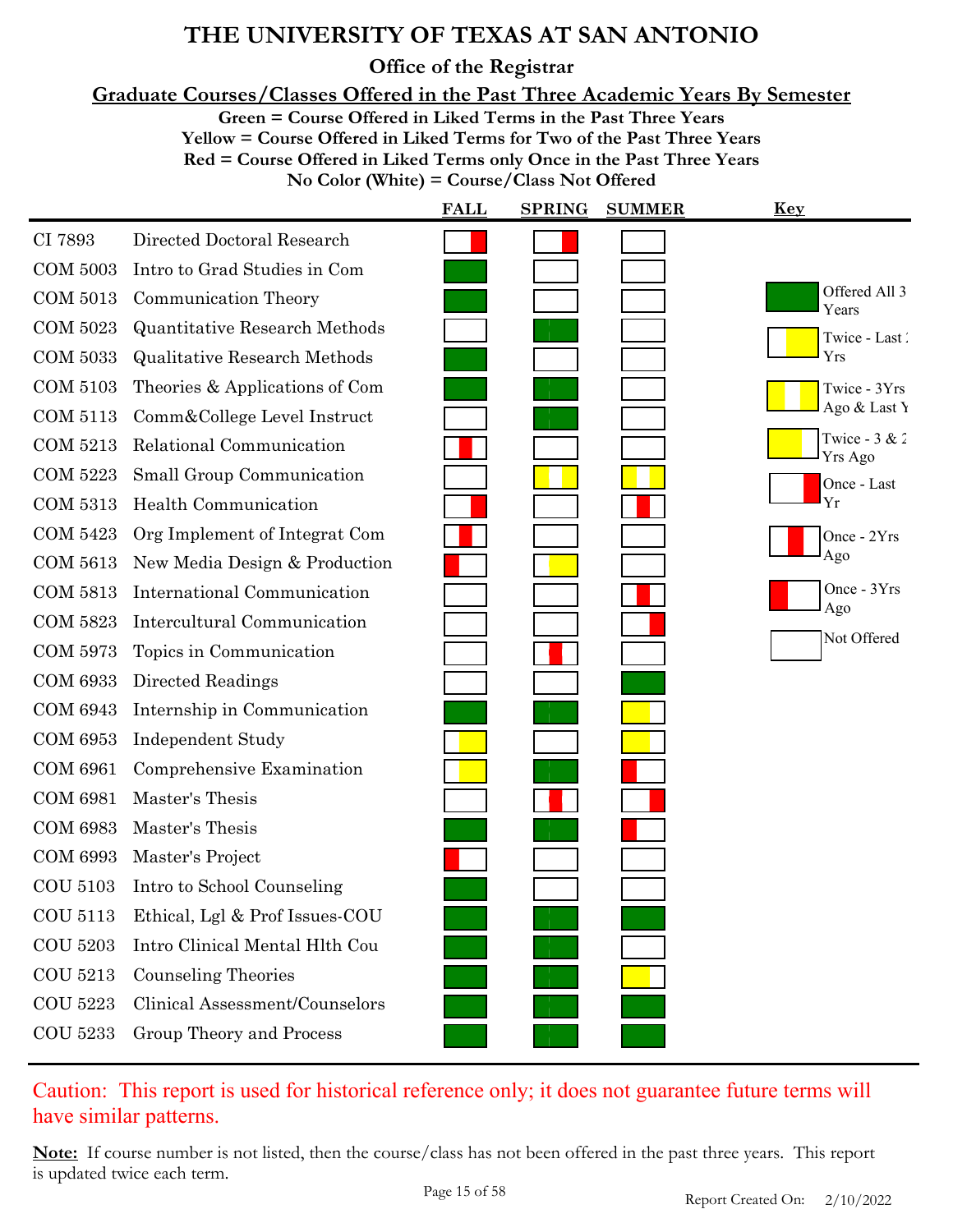**Office of the Registrar**

**Graduate Courses/Classes Offered in the Past Three Academic Years By Semester**

**Green = Course Offered in Liked Terms in the Past Three Years**

**Yellow = Course Offered in Liked Terms for Two of the Past Three Years**

**Red = Course Offered in Liked Terms only Once in the Past Three Years**

|  |  |  | No Color (White) = Course/Class Not Offered |  |
|--|--|--|---------------------------------------------|--|
|--|--|--|---------------------------------------------|--|

|                 |                                      | <b>FALL</b> | <b>SPRING</b> | <b>SUMMER</b> | <b>Key</b>                 |
|-----------------|--------------------------------------|-------------|---------------|---------------|----------------------------|
| CI 7893         | Directed Doctoral Research           |             |               |               |                            |
| <b>COM 5003</b> | Intro to Grad Studies in Com         |             |               |               |                            |
| <b>COM 5013</b> | Communication Theory                 |             |               |               | Offered All 3<br>Years     |
| <b>COM 5023</b> | <b>Quantitative Research Methods</b> |             |               |               | Twice - Last               |
| <b>COM 5033</b> | <b>Qualitative Research Methods</b>  |             |               |               | Yrs                        |
| COM 5103        | Theories & Applications of Com       |             |               |               | Twice - 3Yrs               |
| COM 5113        | Comm&College Level Instruct          |             |               |               | Ago & Last Y               |
| <b>COM 5213</b> | Relational Communication             |             |               |               | Twice - $3 & 2$<br>Yrs Ago |
| <b>COM 5223</b> | Small Group Communication            |             |               |               | Once - Last                |
| <b>COM 5313</b> | Health Communication                 |             |               |               | Yr                         |
| COM 5423        | Org Implement of Integrat Com        |             |               |               | Once - 2Yrs                |
| COM 5613        | New Media Design & Production        |             |               |               | Ago                        |
| COM 5813        | International Communication          |             |               |               | Once - 3Yrs<br>Ago         |
| <b>COM 5823</b> | <b>Intercultural Communication</b>   |             |               |               |                            |
| COM 5973        | Topics in Communication              |             |               |               | Not Offered                |
| <b>COM 6933</b> | Directed Readings                    |             |               |               |                            |
| <b>COM 6943</b> | Internship in Communication          |             |               |               |                            |
| <b>COM 6953</b> | <b>Independent Study</b>             |             |               |               |                            |
| <b>COM 6961</b> | Comprehensive Examination            |             |               |               |                            |
| <b>COM 6981</b> | Master's Thesis                      |             |               |               |                            |
| <b>COM 6983</b> | Master's Thesis                      |             |               |               |                            |
| <b>COM 6993</b> | Master's Project                     |             |               |               |                            |
| COU 5103        | Intro to School Counseling           |             |               |               |                            |
| COU 5113        | Ethical, Lgl & Prof Issues-COU       |             |               |               |                            |
| <b>COU 5203</b> | Intro Clinical Mental Hlth Cou       |             |               |               |                            |
| COU 5213        | <b>Counseling Theories</b>           |             |               |               |                            |
| <b>COU 5223</b> | Clinical Assessment/Counselors       |             |               |               |                            |
| <b>COU 5233</b> | Group Theory and Process             |             |               |               |                            |
|                 |                                      |             |               |               |                            |

### Caution: This report is used for historical reference only; it does not guarantee future terms will have similar patterns.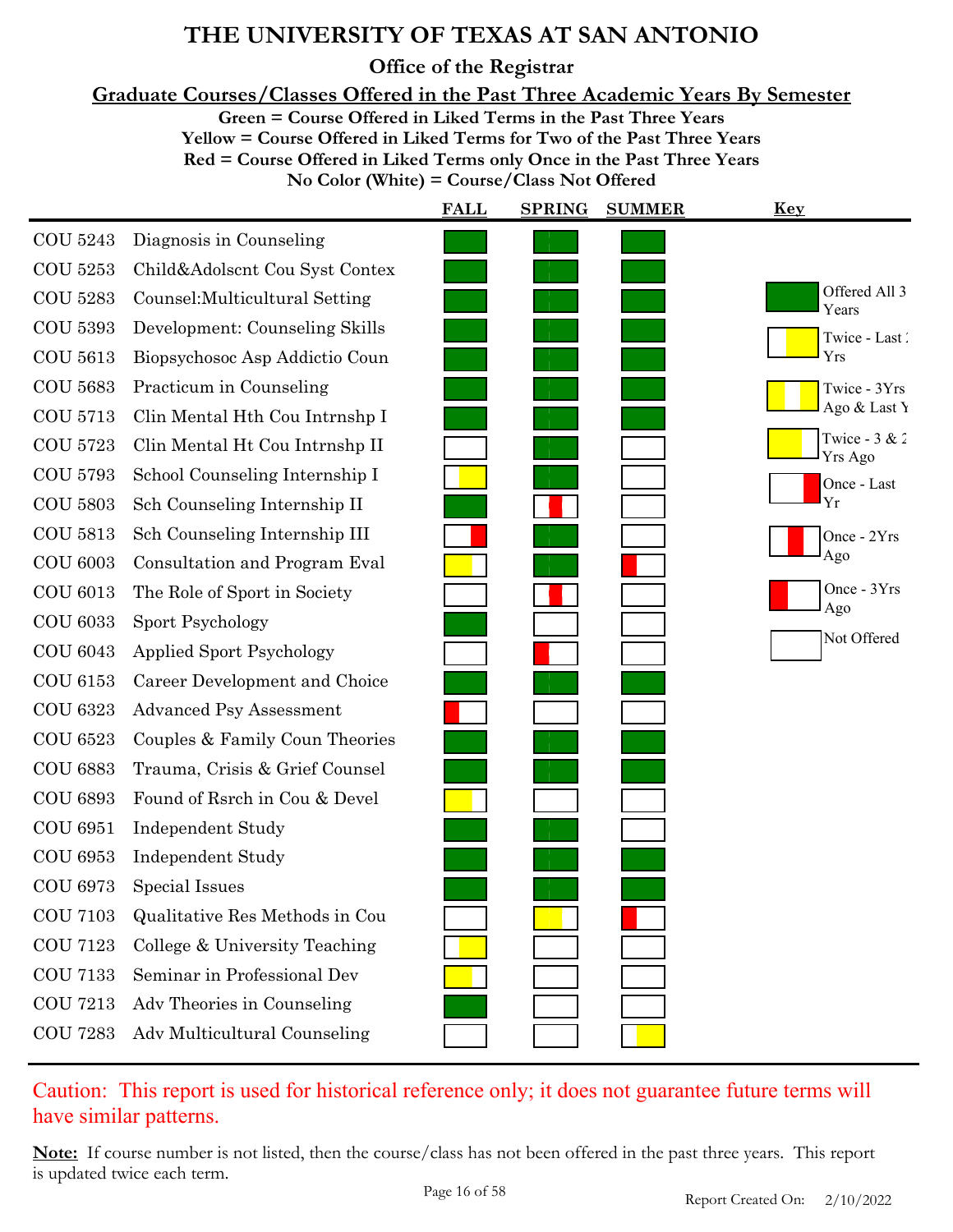**Office of the Registrar**

**Graduate Courses/Classes Offered in the Past Three Academic Years By Semester**

**Green = Course Offered in Liked Terms in the Past Three Years**

**Yellow = Course Offered in Liked Terms for Two of the Past Three Years Red = Course Offered in Liked Terms only Once in the Past Three Years No Color (White) = Course/Class Not Offered**

|                 |                                 | <b>FALL</b> | <b>SPRING</b> | <b>SUMMER</b> | Key                        |
|-----------------|---------------------------------|-------------|---------------|---------------|----------------------------|
| <b>COU 5243</b> | Diagnosis in Counseling         |             |               |               |                            |
| <b>COU 5253</b> | Child&Adolscnt Cou Syst Contex  |             |               |               |                            |
| <b>COU 5283</b> | Counsel: Multicultural Setting  |             |               |               | Offered All 3<br>Years     |
| <b>COU 5393</b> | Development: Counseling Skills  |             |               |               | Twice - Last               |
| <b>COU 5613</b> | Biopsychosoc Asp Addictio Coun  |             |               |               | Yrs                        |
| <b>COU 5683</b> | Practicum in Counseling         |             |               |               | Twice - 3Yrs               |
| <b>COU 5713</b> | Clin Mental Hth Cou Intrnshp I  |             |               |               | Ago & Last Y               |
| <b>COU 5723</b> | Clin Mental Ht Cou Intrnshp II  |             |               |               | Twice - $3 & 2$<br>Yrs Ago |
| <b>COU 5793</b> | School Counseling Internship I  |             |               |               | Once - Last                |
| <b>COU 5803</b> | Sch Counseling Internship II    |             |               |               | Yr                         |
| <b>COU 5813</b> | Sch Counseling Internship III   |             |               |               | Once - 2Yrs                |
| <b>COU 6003</b> | Consultation and Program Eval   |             |               |               | Ago                        |
| <b>COU 6013</b> | The Role of Sport in Society    |             |               |               | Once - 3Yrs<br>Ago         |
| <b>COU 6033</b> | Sport Psychology                |             |               |               |                            |
| <b>COU 6043</b> | <b>Applied Sport Psychology</b> |             |               |               | Not Offered                |
| <b>COU 6153</b> | Career Development and Choice   |             |               |               |                            |
| <b>COU 6323</b> | <b>Advanced Psy Assessment</b>  |             |               |               |                            |
| <b>COU 6523</b> | Couples & Family Coun Theories  |             |               |               |                            |
| <b>COU 6883</b> | Trauma, Crisis & Grief Counsel  |             |               |               |                            |
| <b>COU 6893</b> | Found of Rsrch in Cou & Devel   |             |               |               |                            |
| <b>COU 6951</b> | <b>Independent Study</b>        |             |               |               |                            |
| <b>COU 6953</b> | <b>Independent Study</b>        |             |               |               |                            |
| <b>COU 6973</b> | Special Issues                  |             |               |               |                            |
| <b>COU 7103</b> | Qualitative Res Methods in Cou  |             |               |               |                            |
| <b>COU 7123</b> | College & University Teaching   |             |               |               |                            |
| <b>COU 7133</b> | Seminar in Professional Dev     |             |               |               |                            |
| <b>COU 7213</b> | Adv Theories in Counseling      |             |               |               |                            |
| <b>COU 7283</b> | Adv Multicultural Counseling    |             |               |               |                            |

Caution: This report is used for historical reference only; it does not guarantee future terms will have similar patterns.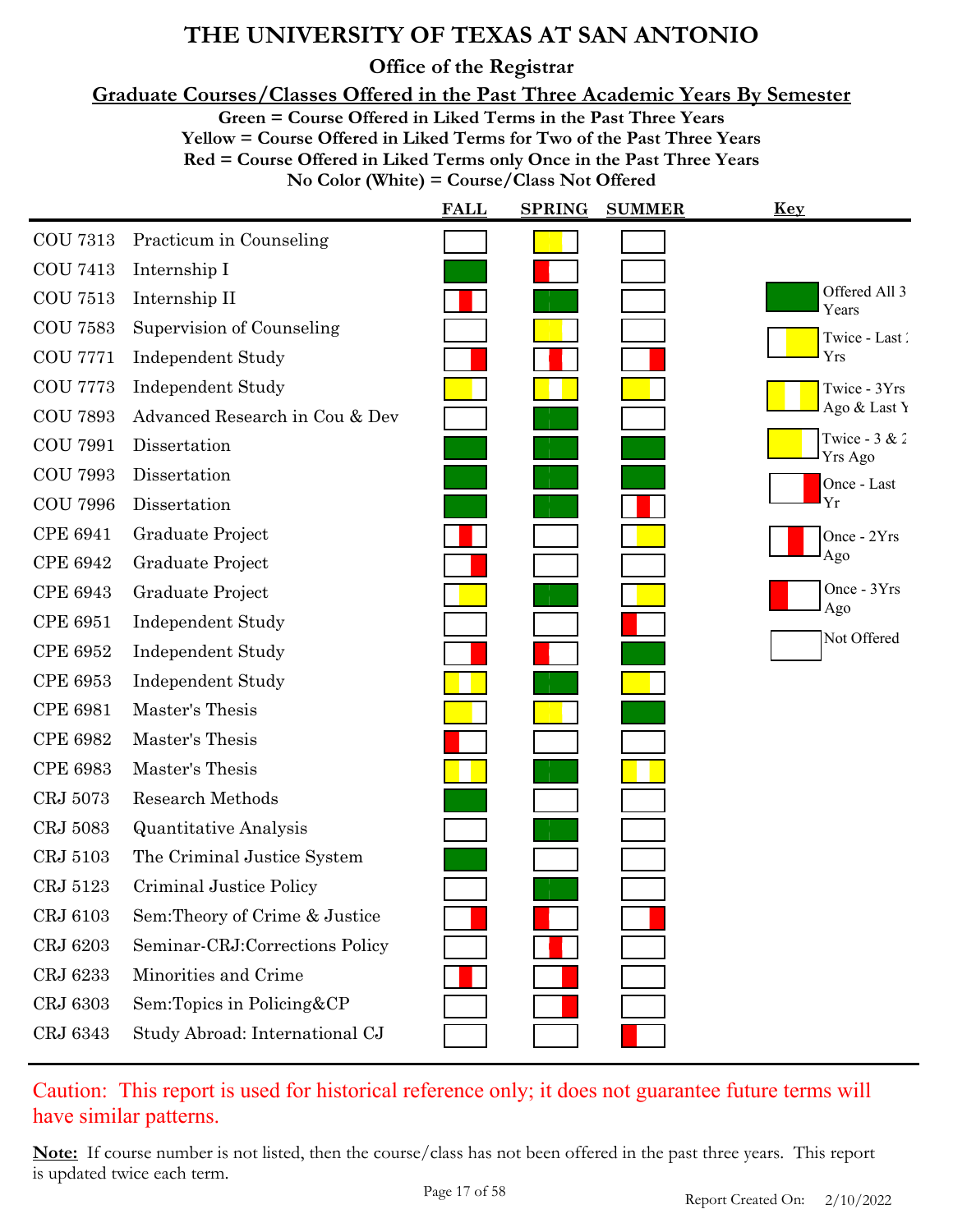**Office of the Registrar**

**Graduate Courses/Classes Offered in the Past Three Academic Years By Semester**

**Green = Course Offered in Liked Terms in the Past Three Years**

**Yellow = Course Offered in Liked Terms for Two of the Past Three Years**

**Red = Course Offered in Liked Terms only Once in the Past Three Years**

**No Color (White) = Course/Class Not Offered**

|                 |                                | <b>FALL</b> | <b>SPRING</b> | <b>SUMMER</b> | Key                               |
|-----------------|--------------------------------|-------------|---------------|---------------|-----------------------------------|
| <b>COU 7313</b> | Practicum in Counseling        |             |               |               |                                   |
| <b>COU 7413</b> | Internship I                   |             |               |               |                                   |
| <b>COU 7513</b> | Internship II                  |             |               |               | Offered All 3<br>Years            |
| <b>COU 7583</b> | Supervision of Counseling      |             |               |               | Twice - Last                      |
| <b>COU 7771</b> | <b>Independent Study</b>       |             |               |               | Yrs                               |
| <b>COU 7773</b> | Independent Study              |             |               |               | Twice - 3Yrs                      |
| <b>COU 7893</b> | Advanced Research in Cou & Dev |             |               |               | Ago & Last Y                      |
| <b>COU 7991</b> | Dissertation                   |             |               |               | Twice - $3 & 2$<br><b>Yrs Ago</b> |
| <b>COU 7993</b> | Dissertation                   |             |               |               | Once - Last                       |
| <b>COU 7996</b> | Dissertation                   |             |               |               | Yr                                |
| <b>CPE 6941</b> | Graduate Project               |             |               |               | Once - 2Yrs                       |
| <b>CPE 6942</b> | Graduate Project               |             |               |               | Ago                               |
| <b>CPE 6943</b> | Graduate Project               |             |               |               | Once - 3Yrs<br>Ago                |
| <b>CPE 6951</b> | <b>Independent Study</b>       |             |               |               |                                   |
| <b>CPE 6952</b> | <b>Independent Study</b>       |             |               |               | Not Offered                       |
| <b>CPE 6953</b> | <b>Independent Study</b>       |             |               |               |                                   |
| <b>CPE 6981</b> | Master's Thesis                |             |               |               |                                   |
| <b>CPE 6982</b> | Master's Thesis                |             |               |               |                                   |
| <b>CPE 6983</b> | Master's Thesis                |             |               |               |                                   |
| CRJ 5073        | <b>Research Methods</b>        |             |               |               |                                   |
| CRJ 5083        | <b>Quantitative Analysis</b>   |             |               |               |                                   |
| CRJ 5103        | The Criminal Justice System    |             |               |               |                                   |
| CRJ 5123        | Criminal Justice Policy        |             |               |               |                                   |
| CRJ 6103        | Sem: Theory of Crime & Justice |             |               |               |                                   |
| CRJ 6203        | Seminar-CRJ:Corrections Policy |             |               |               |                                   |
| CRJ 6233        | Minorities and Crime           |             |               |               |                                   |
| CRJ 6303        | Sem:Topics in Policing&CP      |             |               |               |                                   |
| CRJ 6343        | Study Abroad: International CJ |             |               |               |                                   |

Caution: This report is used for historical reference only; it does not guarantee future terms will have similar patterns.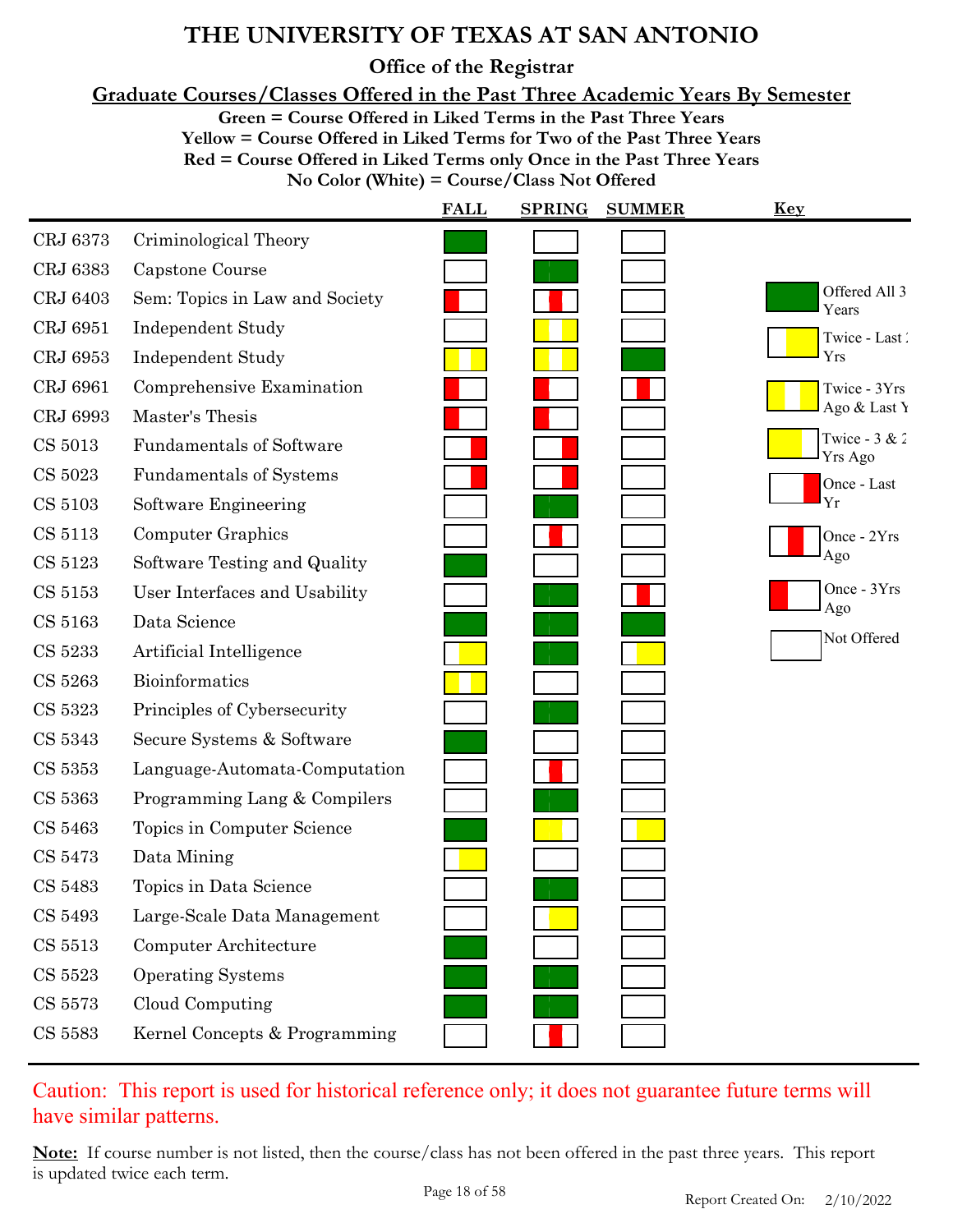**Office of the Registrar**

**Graduate Courses/Classes Offered in the Past Three Academic Years By Semester**

**Green = Course Offered in Liked Terms in the Past Three Years**

**Yellow = Course Offered in Liked Terms for Two of the Past Three Years Red = Course Offered in Liked Terms only Once in the Past Three Years**

**No Color (White) = Course/Class Not Offered**

|               |                                 | <b>FALL</b> | <b>SPRING</b> | <b>SUMMER</b> | <b>Key</b>                 |
|---------------|---------------------------------|-------------|---------------|---------------|----------------------------|
| CRJ 6373      | Criminological Theory           |             |               |               |                            |
| CRJ 6383      | Capstone Course                 |             |               |               |                            |
| CRJ 6403      | Sem: Topics in Law and Society  |             |               |               | Offered All 3<br>Years     |
| CRJ 6951      | <b>Independent Study</b>        |             |               |               | Twice - Last               |
| CRJ 6953      | <b>Independent Study</b>        |             |               |               | Yrs                        |
| CRJ 6961      | Comprehensive Examination       |             |               |               | Twice - 3Yrs               |
| CRJ 6993      | Master's Thesis                 |             |               |               | Ago & Last Y               |
| CS 5013       | <b>Fundamentals of Software</b> |             |               |               | Twice - $3 & 2$<br>Yrs Ago |
| CS 5023       | <b>Fundamentals of Systems</b>  |             |               |               | Once - Last                |
| CS 5103       | Software Engineering            |             |               |               | Yr                         |
| CS 5113       | Computer Graphics               |             |               |               | Once - 2Yrs                |
| CS 5123       | Software Testing and Quality    |             |               |               | Ago                        |
| CS 5153       | User Interfaces and Usability   |             |               |               | Once - 3Yrs<br>Ago         |
| CS 5163       | Data Science                    |             |               |               | Not Offered                |
| CS 5233       | Artificial Intelligence         |             |               |               |                            |
| CS 5263       | Bioinformatics                  |             |               |               |                            |
| CS 5323       | Principles of Cybersecurity     |             |               |               |                            |
| CS 5343       | Secure Systems & Software       |             |               |               |                            |
| CS 5353       | Language-Automata-Computation   |             |               |               |                            |
| CS 5363       | Programming Lang & Compilers    |             |               |               |                            |
| CS 5463       | Topics in Computer Science      |             |               |               |                            |
| CS 5473       | Data Mining                     |             |               |               |                            |
| CS 5483       | Topics in Data Science          |             |               |               |                            |
| CS 5493       | Large-Scale Data Management     |             |               |               |                            |
| CS 5513       | Computer Architecture           |             |               |               |                            |
| CS 5523       | <b>Operating Systems</b>        |             |               |               |                            |
| CS 5573       | Cloud Computing                 |             |               |               |                            |
| $\rm CS$ 5583 | Kernel Concepts & Programming   |             |               |               |                            |

### Caution: This report is used for historical reference only; it does not guarantee future terms will have similar patterns.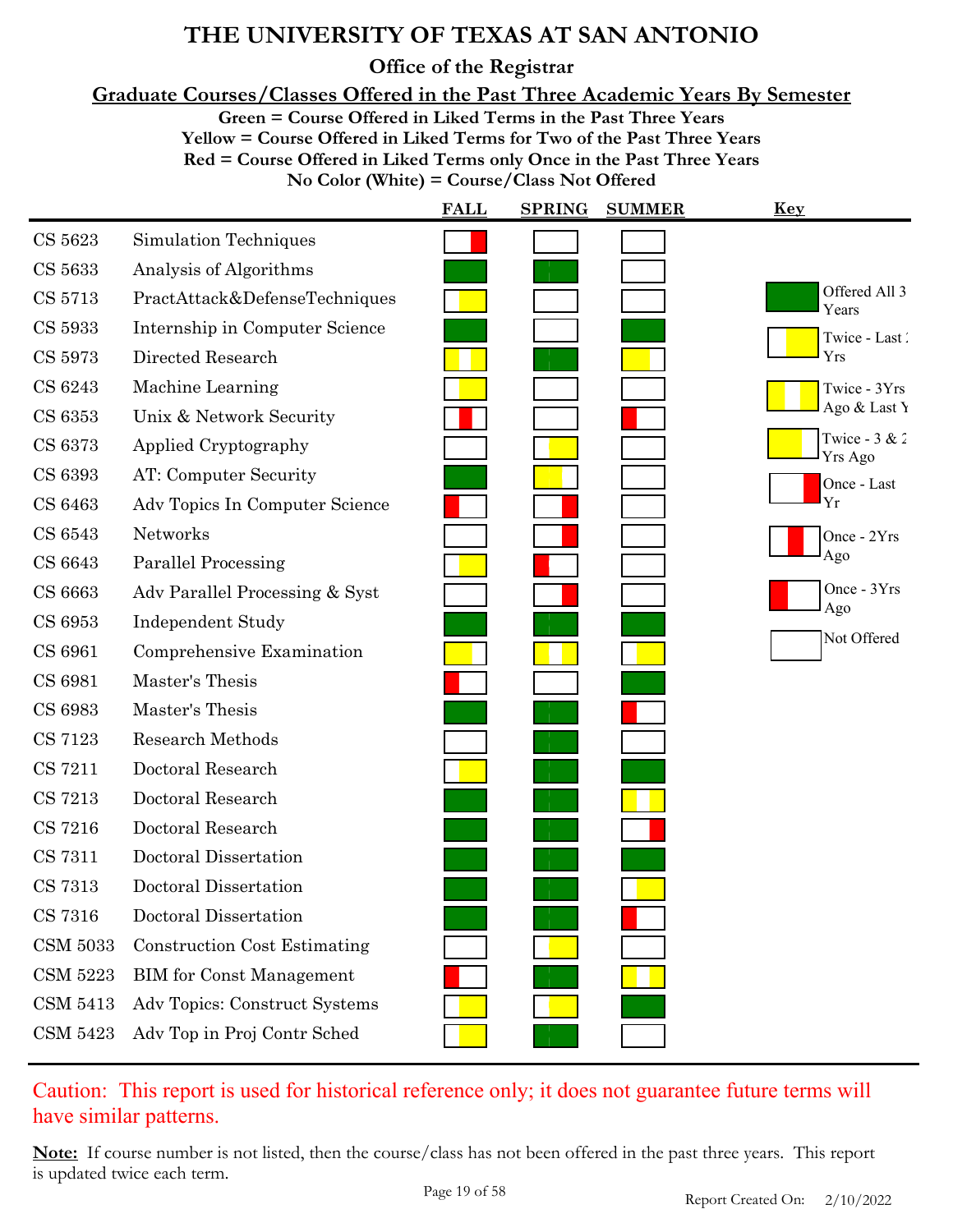**Office of the Registrar**

**Graduate Courses/Classes Offered in the Past Three Academic Years By Semester**

**Green = Course Offered in Liked Terms in the Past Three Years**

**Yellow = Course Offered in Liked Terms for Two of the Past Three Years**

**Red = Course Offered in Liked Terms only Once in the Past Three Years**

**No Color (White) = Course/Class Not Offered**

|                 |                                     | <b>FALL</b> | <b>SPRING</b> | <b>SUMMER</b> | <u>Key</u>                 |
|-----------------|-------------------------------------|-------------|---------------|---------------|----------------------------|
| CS 5623         | Simulation Techniques               |             |               |               |                            |
| CS 5633         | Analysis of Algorithms              |             |               |               |                            |
| CS 5713         | PractAttack&DefenseTechniques       |             |               |               | Offered All 3<br>Years     |
| CS 5933         | Internship in Computer Science      |             |               |               | Twice - Last               |
| CS 5973         | Directed Research                   |             |               |               | Yrs                        |
| CS 6243         | Machine Learning                    |             |               |               | Twice - 3Yrs               |
| CS 6353         | Unix & Network Security             |             |               |               | Ago & Last Y               |
| CS 6373         | Applied Cryptography                |             |               |               | Twice - $3 & 2$<br>Yrs Ago |
| CS 6393         | AT: Computer Security               |             |               |               | Once - Last                |
| CS 6463         | Adv Topics In Computer Science      |             |               |               | Yr                         |
| CS 6543         | Networks                            |             |               |               | Once - 2Yrs                |
| CS 6643         | Parallel Processing                 |             |               |               | Ago                        |
| CS 6663         | Adv Parallel Processing & Syst      |             |               |               | Once $-3Yrs$<br>Ago        |
| CS 6953         | <b>Independent Study</b>            |             |               |               |                            |
| CS 6961         | Comprehensive Examination           |             |               |               | Not Offered                |
| CS 6981         | Master's Thesis                     |             |               |               |                            |
| CS 6983         | Master's Thesis                     |             |               |               |                            |
| CS 7123         | <b>Research Methods</b>             |             |               |               |                            |
| CS 7211         | Doctoral Research                   |             |               |               |                            |
| CS 7213         | Doctoral Research                   |             |               |               |                            |
| CS 7216         | Doctoral Research                   |             |               |               |                            |
| <b>CS 7311</b>  | Doctoral Dissertation               |             |               |               |                            |
| CS 7313         | Doctoral Dissertation               |             |               |               |                            |
| CS 7316         | Doctoral Dissertation               |             |               |               |                            |
| <b>CSM 5033</b> | <b>Construction Cost Estimating</b> |             |               |               |                            |
| <b>CSM 5223</b> | <b>BIM</b> for Const Management     |             |               |               |                            |
| CSM 5413        | Adv Topics: Construct Systems       |             |               |               |                            |
| <b>CSM 5423</b> | Adv Top in Proj Contr Sched         |             |               |               |                            |
|                 |                                     |             |               |               |                            |

### Caution: This report is used for historical reference only; it does not guarantee future terms will have similar patterns.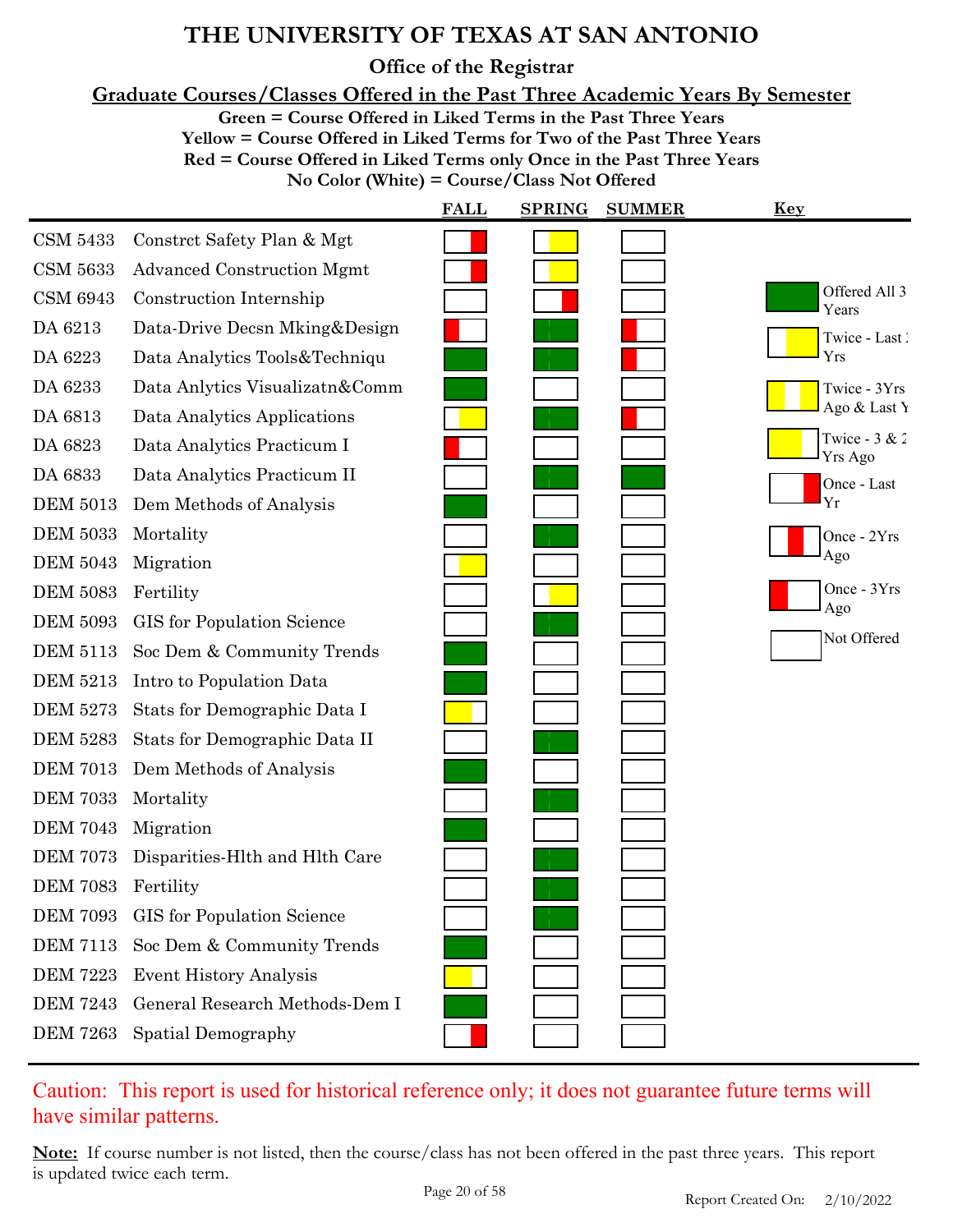**Office of the Registrar**

**Graduate Courses/Classes Offered in the Past Three Academic Years By Semester**

**Green = Course Offered in Liked Terms in the Past Three Years**

**Yellow = Course Offered in Liked Terms for Two of the Past Three Years**

**Red = Course Offered in Liked Terms only Once in the Past Three Years**

**No Color (White) = Course/Class Not Offered**

|                 |                                   | <b>FALL</b> | <b>SPRING</b> | <b>SUMMER</b> | <u>Key</u>                 |
|-----------------|-----------------------------------|-------------|---------------|---------------|----------------------------|
| <b>CSM 5433</b> | Constrct Safety Plan & Mgt        |             |               |               |                            |
| <b>CSM 5633</b> | <b>Advanced Construction Mgmt</b> |             |               |               |                            |
| <b>CSM 6943</b> | Construction Internship           |             |               |               | Offered All 3<br>Years     |
| DA 6213         | Data-Drive Decsn Mking&Design     |             |               |               | Twice - Last               |
| DA 6223         | Data Analytics Tools&Techniqu     |             |               |               | Yrs                        |
| DA 6233         | Data Anlytics Visualizatn&Comm    |             |               |               | Twice - 3Yrs               |
| DA 6813         | Data Analytics Applications       |             |               |               | Ago & Last Y               |
| DA 6823         | Data Analytics Practicum I        |             |               |               | Twice - $3 & 2$<br>Yrs Ago |
| DA 6833         | Data Analytics Practicum II       |             |               |               | Once - Last                |
| <b>DEM 5013</b> | Dem Methods of Analysis           |             |               |               | Yr                         |
| <b>DEM 5033</b> | Mortality                         |             |               |               | Once - 2Yrs                |
| <b>DEM 5043</b> | Migration                         |             |               |               | Ago                        |
| <b>DEM 5083</b> | Fertility                         |             |               |               | Once - 3Yrs<br>Ago         |
| <b>DEM 5093</b> | <b>GIS</b> for Population Science |             |               |               | Not Offered                |
| <b>DEM 5113</b> | Soc Dem & Community Trends        |             |               |               |                            |
| <b>DEM 5213</b> | Intro to Population Data          |             |               |               |                            |
| <b>DEM 5273</b> | Stats for Demographic Data I      |             |               |               |                            |
| <b>DEM 5283</b> | Stats for Demographic Data II     |             |               |               |                            |
| <b>DEM 7013</b> | Dem Methods of Analysis           |             |               |               |                            |
| <b>DEM 7033</b> | Mortality                         |             |               |               |                            |
| <b>DEM 7043</b> | Migration                         |             |               |               |                            |
| <b>DEM 7073</b> | Disparities-Hlth and Hlth Care    |             |               |               |                            |
| <b>DEM 7083</b> | Fertility                         |             |               |               |                            |
| <b>DEM 7093</b> | <b>GIS</b> for Population Science |             |               |               |                            |
| <b>DEM 7113</b> | Soc Dem & Community Trends        |             |               |               |                            |
| <b>DEM 7223</b> | <b>Event History Analysis</b>     |             |               |               |                            |
| <b>DEM 7243</b> | General Research Methods-Dem I    |             |               |               |                            |
| <b>DEM 7263</b> | Spatial Demography                |             |               |               |                            |

### Caution: This report is used for historical reference only; it does not guarantee future terms will have similar patterns.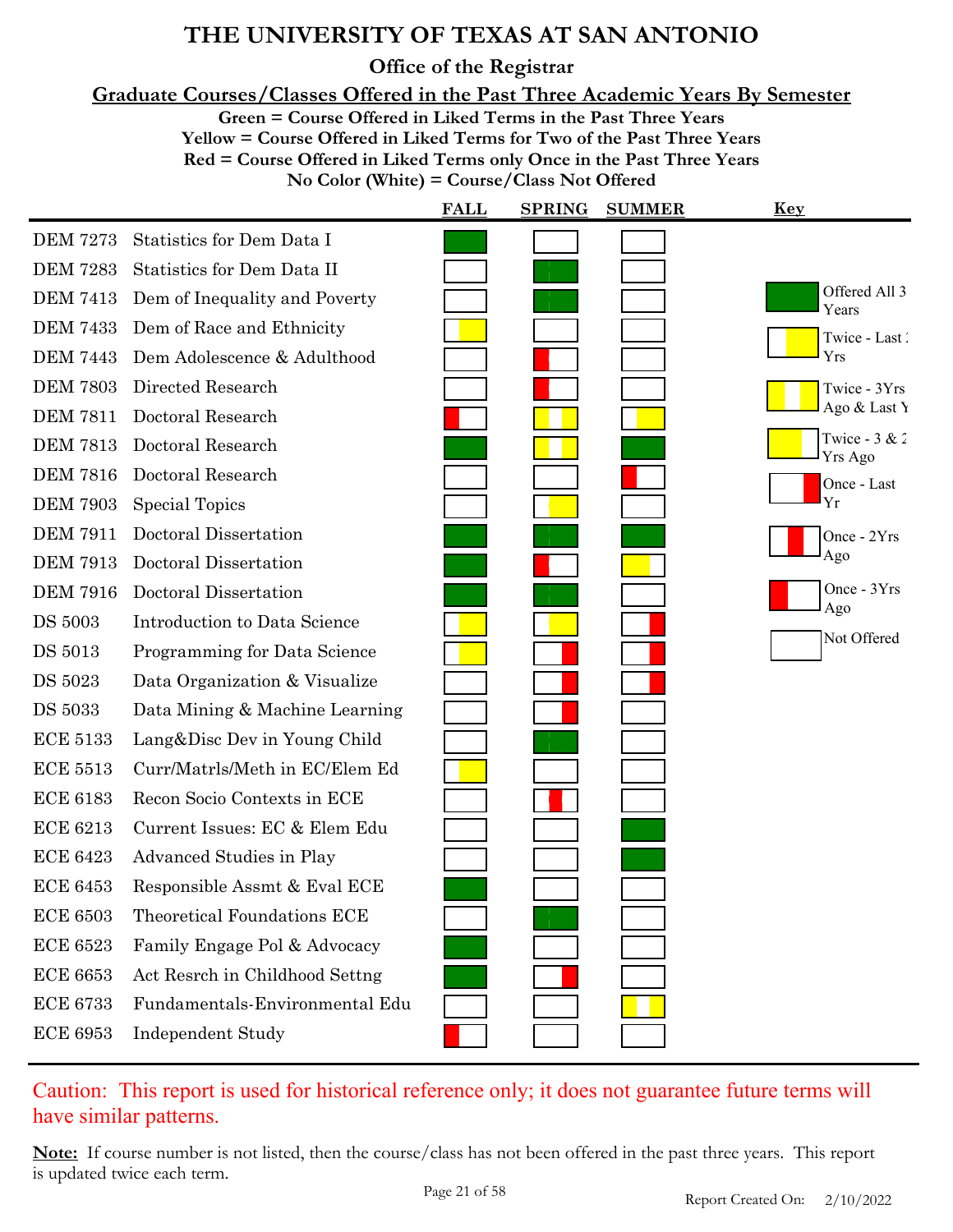**Office of the Registrar**

**Graduate Courses/Classes Offered in the Past Three Academic Years By Semester**

**Green = Course Offered in Liked Terms in the Past Three Years**

**Yellow = Course Offered in Liked Terms for Two of the Past Three Years**

**Red = Course Offered in Liked Terms only Once in the Past Three Years**

**No Color (White) = Course/Class Not Offered**

|                 |                                | <b>FALL</b> | <b>SPRING</b> | <b>SUMMER</b> | <b>Key</b>                 |
|-----------------|--------------------------------|-------------|---------------|---------------|----------------------------|
| <b>DEM 7273</b> | Statistics for Dem Data I      |             |               |               |                            |
| <b>DEM 7283</b> | Statistics for Dem Data II     |             |               |               |                            |
| <b>DEM 7413</b> | Dem of Inequality and Poverty  |             |               |               | Offered All 3<br>Years     |
| <b>DEM 7433</b> | Dem of Race and Ethnicity      |             |               |               | Twice - Last               |
| <b>DEM 7443</b> | Dem Adolescence & Adulthood    |             |               |               | Yrs                        |
| <b>DEM 7803</b> | Directed Research              |             |               |               | Twice - 3Yrs               |
| <b>DEM 7811</b> | Doctoral Research              |             |               |               | Ago & Last Y               |
| <b>DEM 7813</b> | Doctoral Research              |             |               |               | Twice - $3 & 2$<br>Yrs Ago |
| <b>DEM 7816</b> | Doctoral Research              |             |               |               | Once - Last                |
| <b>DEM 7903</b> | Special Topics                 |             |               |               | Yr                         |
| <b>DEM 7911</b> | Doctoral Dissertation          |             |               |               | Once - 2Yrs                |
| <b>DEM 7913</b> | Doctoral Dissertation          |             |               |               | Ago                        |
| <b>DEM 7916</b> | Doctoral Dissertation          |             |               |               | Once - 3Yrs                |
| <b>DS 5003</b>  | Introduction to Data Science   |             |               |               | Ago                        |
| <b>DS</b> 5013  | Programming for Data Science   |             |               |               | Not Offered                |
| DS 5023         | Data Organization & Visualize  |             |               |               |                            |
| <b>DS 5033</b>  | Data Mining & Machine Learning |             |               |               |                            |
| <b>ECE 5133</b> | Lang&Disc Dev in Young Child   |             |               |               |                            |
| <b>ECE 5513</b> | Curr/Matrls/Meth in EC/Elem Ed |             |               |               |                            |
| <b>ECE 6183</b> | Recon Socio Contexts in ECE    |             |               |               |                            |
| <b>ECE 6213</b> | Current Issues: EC & Elem Edu  |             |               |               |                            |
| <b>ECE 6423</b> | Advanced Studies in Play       |             |               |               |                            |
| <b>ECE 6453</b> | Responsible Assmt & Eval ECE   |             |               |               |                            |
| <b>ECE 6503</b> | Theoretical Foundations ECE    |             |               |               |                            |
| <b>ECE 6523</b> | Family Engage Pol & Advocacy   |             |               |               |                            |
| <b>ECE 6653</b> | Act Resrch in Childhood Settng |             |               |               |                            |
| <b>ECE 6733</b> | Fundamentals-Environmental Edu |             |               |               |                            |
| <b>ECE 6953</b> | <b>Independent Study</b>       |             |               |               |                            |
|                 |                                |             |               |               |                            |

Caution: This report is used for historical reference only; it does not guarantee future terms will have similar patterns.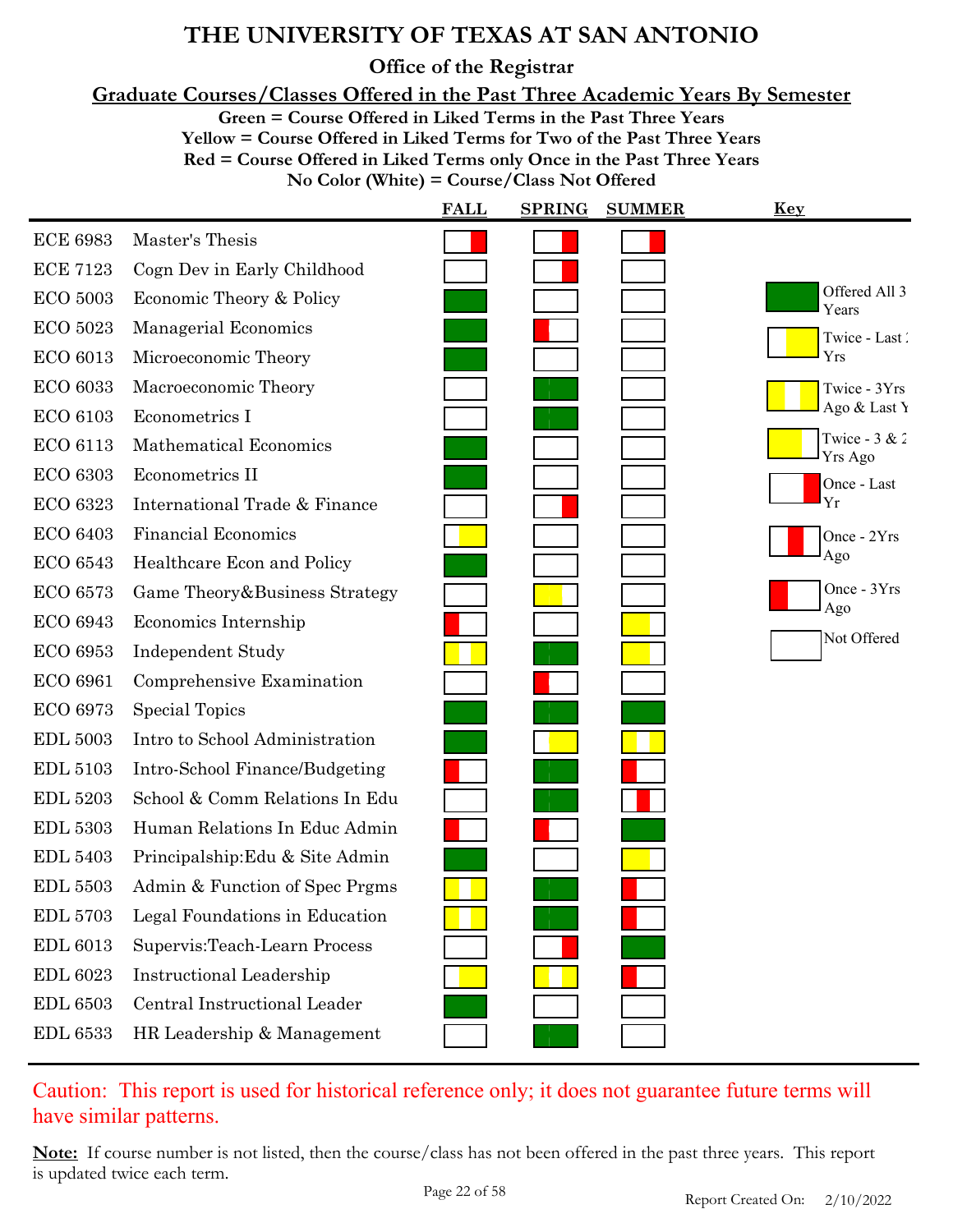**Office of the Registrar**

**Graduate Courses/Classes Offered in the Past Three Academic Years By Semester**

**Green = Course Offered in Liked Terms in the Past Three Years**

**Yellow = Course Offered in Liked Terms for Two of the Past Three Years Red = Course Offered in Liked Terms only Once in the Past Three Years**

**No Color (White) = Course/Class Not Offered**

|                 |                                 | <b>FALL</b> | <b>SPRING</b><br><b>SUMMER</b> | <u>Key</u>                 |
|-----------------|---------------------------------|-------------|--------------------------------|----------------------------|
| <b>ECE 6983</b> | Master's Thesis                 |             |                                |                            |
| <b>ECE 7123</b> | Cogn Dev in Early Childhood     |             |                                |                            |
| <b>ECO 5003</b> | Economic Theory & Policy        |             |                                | Offered All 3<br>Years     |
| <b>ECO 5023</b> | Managerial Economics            |             |                                | Twice - Last               |
| <b>ECO 6013</b> | Microeconomic Theory            |             |                                | Yrs                        |
| <b>ECO 6033</b> | Macroeconomic Theory            |             |                                | Twice - 3Yrs               |
| <b>ECO 6103</b> | Econometrics I                  |             |                                | Ago & Last Y               |
| <b>ECO 6113</b> | <b>Mathematical Economics</b>   |             |                                | Twice - $3 & 2$<br>Yrs Ago |
| <b>ECO 6303</b> | Econometrics II                 |             |                                | Once - Last                |
| <b>ECO 6323</b> | International Trade & Finance   |             |                                | Yr                         |
| <b>ECO 6403</b> | <b>Financial Economics</b>      |             |                                | Once - 2Yrs                |
| <b>ECO 6543</b> | Healthcare Econ and Policy      |             |                                | Ago                        |
| <b>ECO 6573</b> | Game Theory & Business Strategy |             |                                | Once - 3Yrs<br>Ago         |
| <b>ECO 6943</b> | Economics Internship            |             |                                |                            |
| <b>ECO 6953</b> | <b>Independent Study</b>        |             |                                | Not Offered                |
| <b>ECO 6961</b> | Comprehensive Examination       |             |                                |                            |
| ECO 6973        | <b>Special Topics</b>           |             |                                |                            |
| <b>EDL 5003</b> | Intro to School Administration  |             |                                |                            |
| <b>EDL 5103</b> | Intro-School Finance/Budgeting  |             |                                |                            |
| <b>EDL 5203</b> | School & Comm Relations In Edu  |             |                                |                            |
| <b>EDL 5303</b> | Human Relations In Educ Admin   |             |                                |                            |
| <b>EDL 5403</b> | Principalship: Edu & Site Admin |             |                                |                            |
| <b>EDL 5503</b> | Admin & Function of Spec Prgms  |             |                                |                            |
| <b>EDL 5703</b> | Legal Foundations in Education  |             |                                |                            |
| <b>EDL 6013</b> | Supervis: Teach-Learn Process   |             |                                |                            |
| <b>EDL 6023</b> | <b>Instructional Leadership</b> |             |                                |                            |
| <b>EDL 6503</b> | Central Instructional Leader    |             |                                |                            |
| <b>EDL 6533</b> | HR Leadership & Management      |             |                                |                            |

Caution: This report is used for historical reference only; it does not guarantee future terms will have similar patterns.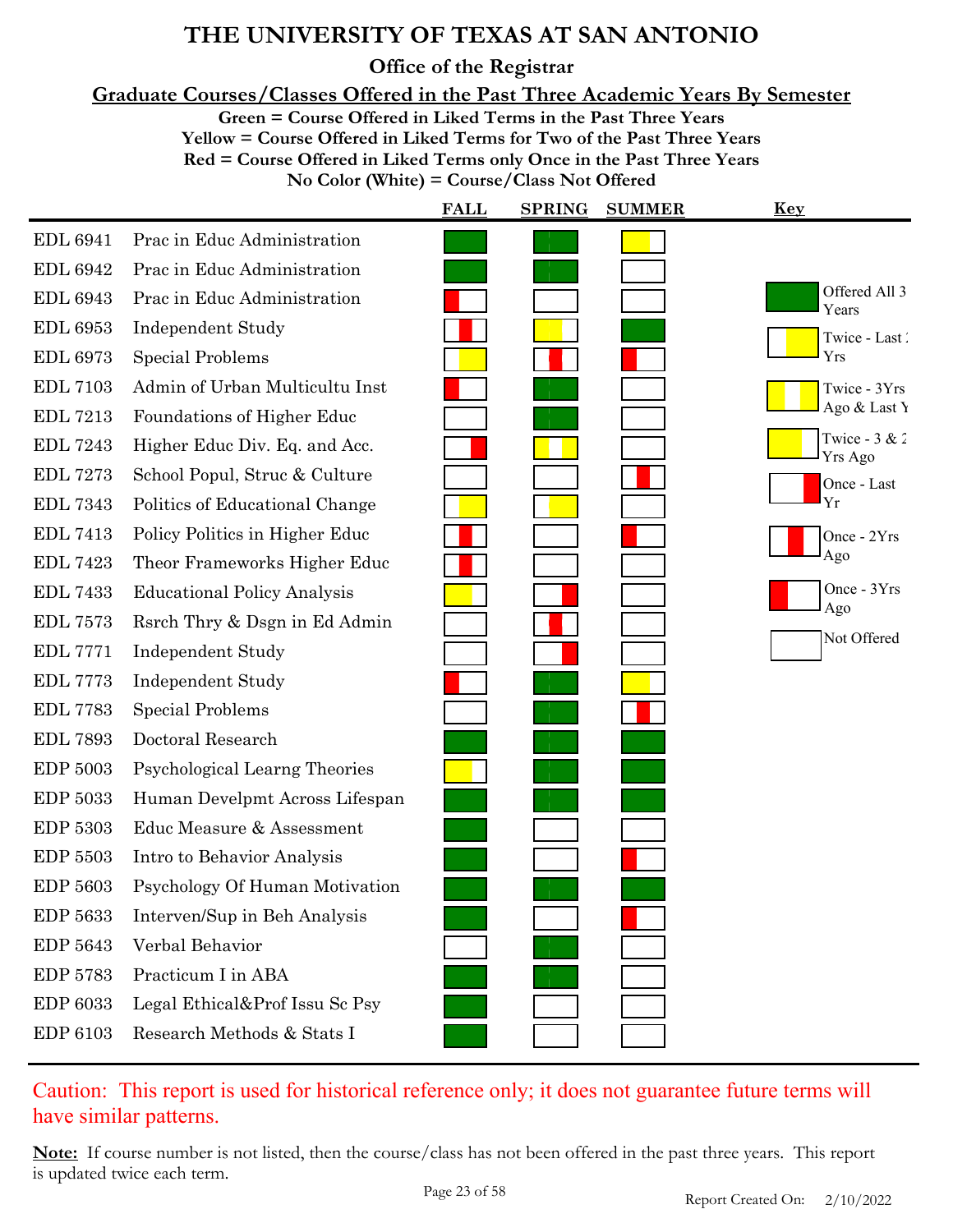**Office of the Registrar**

**Graduate Courses/Classes Offered in the Past Three Academic Years By Semester**

**Green = Course Offered in Liked Terms in the Past Three Years**

**Yellow = Course Offered in Liked Terms for Two of the Past Three Years Red = Course Offered in Liked Terms only Once in the Past Three Years**

| No Color (White) = Course/Class Not Offered |  |
|---------------------------------------------|--|
|---------------------------------------------|--|

|                 |                                    | <b>FALL</b> | <b>SPRING</b><br><b>SUMMER</b> | Key                        |
|-----------------|------------------------------------|-------------|--------------------------------|----------------------------|
| <b>EDL 6941</b> | Prac in Educ Administration        |             |                                |                            |
| <b>EDL 6942</b> | Prac in Educ Administration        |             |                                |                            |
| <b>EDL 6943</b> | Prac in Educ Administration        |             |                                | Offered All 3<br>Years     |
| <b>EDL 6953</b> | <b>Independent Study</b>           |             |                                | Twice - Last               |
| <b>EDL 6973</b> | <b>Special Problems</b>            |             |                                | Yrs                        |
| <b>EDL 7103</b> | Admin of Urban Multicultu Inst     |             |                                | Twice - 3Yrs               |
| <b>EDL 7213</b> | Foundations of Higher Educ         |             |                                | Ago & Last Y               |
| <b>EDL 7243</b> | Higher Educ Div. Eq. and Acc.      |             |                                | Twice - $3 & 2$<br>Yrs Ago |
| <b>EDL 7273</b> | School Popul, Struc & Culture      |             |                                | Once - Last                |
| <b>EDL 7343</b> | Politics of Educational Change     |             |                                | Yr                         |
| <b>EDL 7413</b> | Policy Politics in Higher Educ     |             |                                | Once - 2Yrs                |
| <b>EDL 7423</b> | Theor Frameworks Higher Educ       |             |                                | Ago                        |
| <b>EDL 7433</b> | <b>Educational Policy Analysis</b> |             |                                | Once - 3Yrs<br>Ago         |
| <b>EDL 7573</b> | Rsrch Thry & Dsgn in Ed Admin      |             |                                | Not Offered                |
| <b>EDL 7771</b> | <b>Independent Study</b>           |             |                                |                            |
| <b>EDL 7773</b> | Independent Study                  |             |                                |                            |
| <b>EDL 7783</b> | <b>Special Problems</b>            |             |                                |                            |
| <b>EDL 7893</b> | Doctoral Research                  |             |                                |                            |
| <b>EDP 5003</b> | Psychological Learng Theories      |             |                                |                            |
| <b>EDP 5033</b> | Human Develpmt Across Lifespan     |             |                                |                            |
| <b>EDP 5303</b> | Educ Measure & Assessment          |             |                                |                            |
| <b>EDP 5503</b> | Intro to Behavior Analysis         |             |                                |                            |
| <b>EDP 5603</b> | Psychology Of Human Motivation     |             |                                |                            |
| EDP 5633        | Interven/Sup in Beh Analysis       |             |                                |                            |
| EDP 5643        | Verbal Behavior                    |             |                                |                            |
| <b>EDP 5783</b> | Practicum I in ABA                 |             |                                |                            |
| EDP 6033        | Legal Ethical&Prof Issu Sc Psy     |             |                                |                            |
| EDP 6103        | Research Methods & Stats I         |             |                                |                            |
|                 |                                    |             |                                |                            |

Caution: This report is used for historical reference only; it does not guarantee future terms will have similar patterns.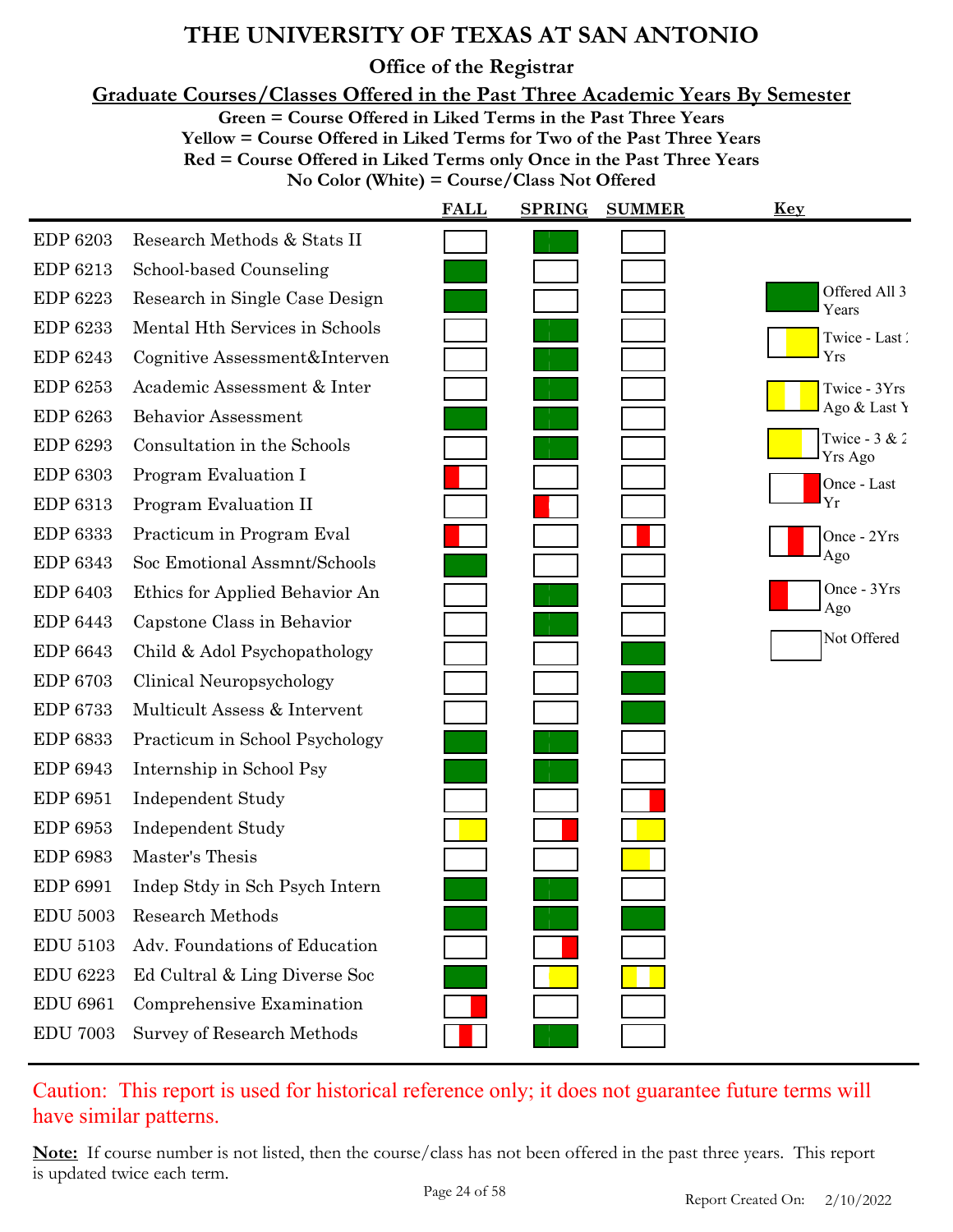**Office of the Registrar**

**Graduate Courses/Classes Offered in the Past Three Academic Years By Semester**

**Green = Course Offered in Liked Terms in the Past Three Years**

**Yellow = Course Offered in Liked Terms for Two of the Past Three Years Red = Course Offered in Liked Terms only Once in the Past Three Years**

**No Color (White) = Course/Class Not Offered**

|                 |                                | <b>FALL</b> | <b>SPRING</b> | <b>SUMMER</b> | <u>Key</u>                 |
|-----------------|--------------------------------|-------------|---------------|---------------|----------------------------|
| <b>EDP 6203</b> | Research Methods & Stats II    |             |               |               |                            |
| EDP 6213        | School-based Counseling        |             |               |               |                            |
| <b>EDP 6223</b> | Research in Single Case Design |             |               |               | Offered All 3<br>Years     |
| EDP 6233        | Mental Hth Services in Schools |             |               |               | Twice - Last               |
| <b>EDP 6243</b> | Cognitive Assessment&Interven  |             |               |               | Yrs                        |
| EDP 6253        | Academic Assessment & Inter    |             |               |               | Twice - 3Yrs               |
| <b>EDP 6263</b> | Behavior Assessment            |             |               |               | Ago & Last Y               |
| <b>EDP 6293</b> | Consultation in the Schools    |             |               |               | Twice - $3 & 2$<br>Yrs Ago |
| <b>EDP 6303</b> | Program Evaluation I           |             |               |               | Once - Last                |
| EDP 6313        | Program Evaluation II          |             |               |               | Yr                         |
| <b>EDP 6333</b> | Practicum in Program Eval      |             |               |               | Once - 2Yrs                |
| <b>EDP 6343</b> | Soc Emotional Assmnt/Schools   |             |               |               | Ago                        |
| <b>EDP 6403</b> | Ethics for Applied Behavior An |             |               |               | Once - 3Yrs                |
| EDP 6443        | Capstone Class in Behavior     |             |               |               | Ago                        |
| <b>EDP 6643</b> | Child & Adol Psychopathology   |             |               |               | Not Offered                |
| <b>EDP 6703</b> | Clinical Neuropsychology       |             |               |               |                            |
| <b>EDP 6733</b> | Multicult Assess & Intervent   |             |               |               |                            |
| <b>EDP 6833</b> | Practicum in School Psychology |             |               |               |                            |
| EDP 6943        | Internship in School Psy       |             |               |               |                            |
| <b>EDP 6951</b> | <b>Independent Study</b>       |             |               |               |                            |
| <b>EDP 6953</b> | <b>Independent Study</b>       |             |               |               |                            |
| <b>EDP 6983</b> | Master's Thesis                |             |               |               |                            |
| EDP 6991        | Indep Stdy in Sch Psych Intern |             |               |               |                            |
| <b>EDU 5003</b> | <b>Research Methods</b>        |             |               |               |                            |
| <b>EDU 5103</b> | Adv. Foundations of Education  |             |               |               |                            |
| <b>EDU 6223</b> | Ed Cultral & Ling Diverse Soc  |             |               |               |                            |
| <b>EDU 6961</b> | Comprehensive Examination      |             |               |               |                            |
| <b>EDU 7003</b> | Survey of Research Methods     |             |               |               |                            |

### Caution: This report is used for historical reference only; it does not guarantee future terms will have similar patterns.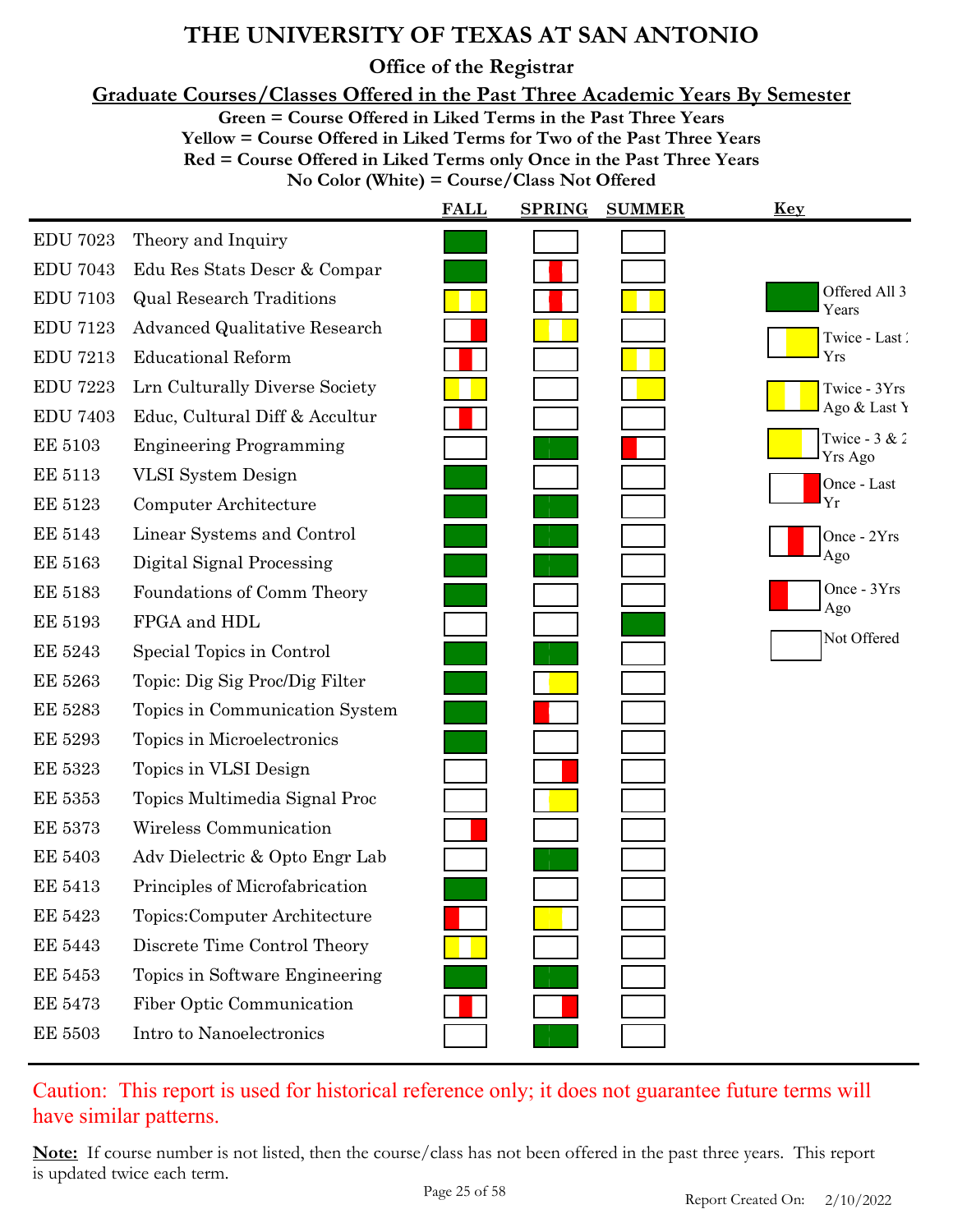**Office of the Registrar**

**Graduate Courses/Classes Offered in the Past Three Academic Years By Semester**

**Green = Course Offered in Liked Terms in the Past Three Years**

**Yellow = Course Offered in Liked Terms for Two of the Past Three Years**

**Red = Course Offered in Liked Terms only Once in the Past Three Years**

**No Color (White) = Course/Class Not Offered**

|                 |                                      | <b>FALL</b> | <b>SPRING</b> | <b>SUMMER</b> | <u>Key</u>                        |
|-----------------|--------------------------------------|-------------|---------------|---------------|-----------------------------------|
| <b>EDU 7023</b> | Theory and Inquiry                   |             |               |               |                                   |
| <b>EDU 7043</b> | Edu Res Stats Descr & Compar         |             |               |               |                                   |
| <b>EDU 7103</b> | <b>Qual Research Traditions</b>      |             |               |               | Offered All 3<br>Years            |
| <b>EDU 7123</b> | <b>Advanced Qualitative Research</b> |             |               |               | Twice - Last                      |
| <b>EDU 7213</b> | <b>Educational Reform</b>            |             |               |               | Yrs                               |
| <b>EDU 7223</b> | Lrn Culturally Diverse Society       |             |               |               | Twice - 3Yrs                      |
| <b>EDU 7403</b> | Educ, Cultural Diff & Accultur       |             |               |               | Ago & Last Y                      |
| <b>EE 5103</b>  | <b>Engineering Programming</b>       |             |               |               | Twice - $3 & 2$<br><b>Yrs Ago</b> |
| <b>EE 5113</b>  | VLSI System Design                   |             |               |               | Once - Last                       |
| <b>EE 5123</b>  | Computer Architecture                |             |               |               | Yr                                |
| <b>EE 5143</b>  | Linear Systems and Control           |             |               |               | Once - 2Yrs                       |
| <b>EE 5163</b>  | Digital Signal Processing            |             |               |               | Ago                               |
| <b>EE 5183</b>  | Foundations of Comm Theory           |             |               |               | Once - 3Yrs                       |
| <b>EE 5193</b>  | FPGA and HDL                         |             |               |               | Ago                               |
| <b>EE 5243</b>  | Special Topics in Control            |             |               |               | Not Offered                       |
| <b>EE 5263</b>  | Topic: Dig Sig Proc/Dig Filter       |             |               |               |                                   |
| <b>EE 5283</b>  | Topics in Communication System       |             |               |               |                                   |
| <b>EE 5293</b>  | Topics in Microelectronics           |             |               |               |                                   |
| <b>EE 5323</b>  | Topics in VLSI Design                |             |               |               |                                   |
| <b>EE 5353</b>  | Topics Multimedia Signal Proc        |             |               |               |                                   |
| <b>EE 5373</b>  | Wireless Communication               |             |               |               |                                   |
| <b>EE 5403</b>  | Adv Dielectric & Opto Engr Lab       |             |               |               |                                   |
| <b>EE 5413</b>  | Principles of Microfabrication       |             |               |               |                                   |
| <b>EE 5423</b>  | Topics: Computer Architecture        |             |               |               |                                   |
| <b>EE 5443</b>  | Discrete Time Control Theory         |             |               |               |                                   |
| <b>EE 5453</b>  | Topics in Software Engineering       |             |               |               |                                   |
| <b>EE 5473</b>  | Fiber Optic Communication            |             |               |               |                                   |
| <b>EE 5503</b>  | Intro to Nanoelectronics             |             |               |               |                                   |

### Caution: This report is used for historical reference only; it does not guarantee future terms will have similar patterns.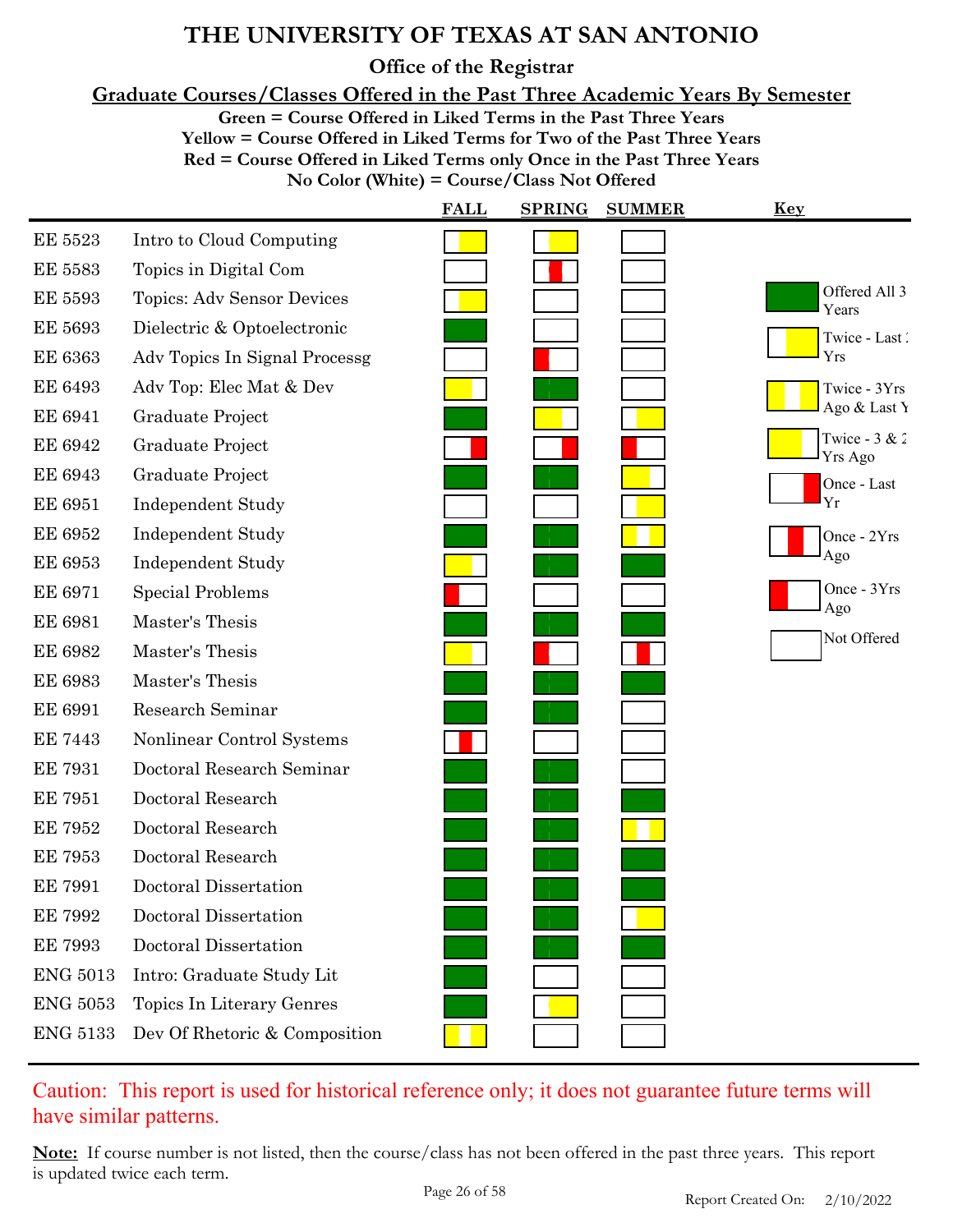**Office of the Registrar**

**Graduate Courses/Classes Offered in the Past Three Academic Years By Semester**

**Green = Course Offered in Liked Terms in the Past Three Years**

**Yellow = Course Offered in Liked Terms for Two of the Past Three Years**

**Red = Course Offered in Liked Terms only Once in the Past Three Years**

**No Color (White) = Course/Class Not Offered**

|                 |                               | <b>FALL</b> | <b>SPRING</b> | <b>SUMMER</b> | Key                        |
|-----------------|-------------------------------|-------------|---------------|---------------|----------------------------|
| <b>EE 5523</b>  | Intro to Cloud Computing      |             |               |               |                            |
| <b>EE 5583</b>  | Topics in Digital Com         |             |               |               |                            |
| <b>EE 5593</b>  | Topics: Adv Sensor Devices    |             |               |               | Offered All 3<br>Years     |
| <b>EE 5693</b>  | Dielectric & Optoelectronic   |             |               |               | Twice - Last               |
| <b>EE 6363</b>  | Adv Topics In Signal Processg |             |               |               | Yrs                        |
| <b>EE 6493</b>  | Adv Top: Elec Mat & Dev       |             |               |               | Twice - 3Yrs               |
| <b>EE 6941</b>  | Graduate Project              |             |               |               | Ago & Last Y               |
| <b>EE 6942</b>  | Graduate Project              |             |               |               | Twice - $3 & 2$<br>Yrs Ago |
| <b>EE 6943</b>  | Graduate Project              |             |               |               | Once - Last                |
| <b>EE 6951</b>  | <b>Independent Study</b>      |             |               |               | Yr                         |
| <b>EE 6952</b>  | <b>Independent Study</b>      |             |               |               | Once - 2Yrs                |
| <b>EE 6953</b>  | <b>Independent Study</b>      |             |               |               | Ago                        |
| <b>EE 6971</b>  | <b>Special Problems</b>       |             |               |               | Once - 3Yrs                |
| <b>EE 6981</b>  | Master's Thesis               |             |               |               | Ago                        |
| <b>EE 6982</b>  | Master's Thesis               |             |               |               | Not Offered                |
| <b>EE 6983</b>  | Master's Thesis               |             |               |               |                            |
| <b>EE 6991</b>  | Research Seminar              |             |               |               |                            |
| <b>EE 7443</b>  | Nonlinear Control Systems     |             |               |               |                            |
| <b>EE 7931</b>  | Doctoral Research Seminar     |             |               |               |                            |
| <b>EE 7951</b>  | Doctoral Research             |             |               |               |                            |
| <b>EE 7952</b>  | Doctoral Research             |             |               |               |                            |
| <b>EE 7953</b>  | Doctoral Research             |             |               |               |                            |
| <b>EE 7991</b>  | Doctoral Dissertation         |             |               |               |                            |
| <b>EE 7992</b>  | Doctoral Dissertation         |             |               |               |                            |
| <b>EE 7993</b>  | Doctoral Dissertation         |             |               |               |                            |
| <b>ENG 5013</b> | Intro: Graduate Study Lit     |             |               |               |                            |
| <b>ENG 5053</b> | Topics In Literary Genres     |             |               |               |                            |
| <b>ENG 5133</b> | Dev Of Rhetoric & Composition |             |               |               |                            |

### Caution: This report is used for historical reference only; it does not guarantee future terms will have similar patterns.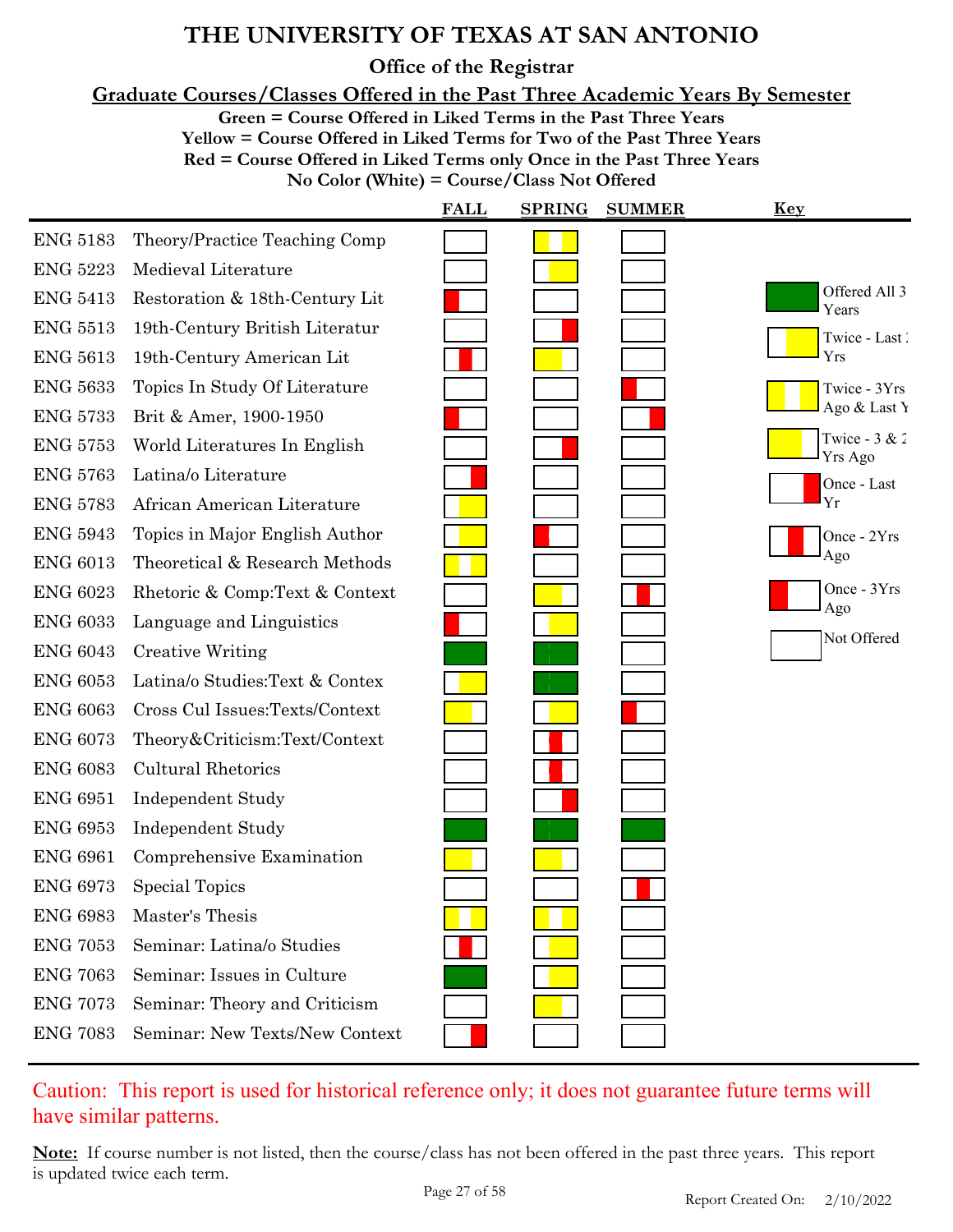**Office of the Registrar**

**Graduate Courses/Classes Offered in the Past Three Academic Years By Semester**

**Green = Course Offered in Liked Terms in the Past Three Years**

**Yellow = Course Offered in Liked Terms for Two of the Past Three Years Red = Course Offered in Liked Terms only Once in the Past Three Years**

**No Color (White) = Course/Class Not Offered**

|                 |                                | <b>FALL</b> | <b>SPRING</b> | <b>SUMMER</b> | <u>Key</u>                 |
|-----------------|--------------------------------|-------------|---------------|---------------|----------------------------|
| <b>ENG 5183</b> | Theory/Practice Teaching Comp  |             |               |               |                            |
| <b>ENG 5223</b> | Medieval Literature            |             |               |               |                            |
| <b>ENG 5413</b> | Restoration & 18th-Century Lit |             |               |               | Offered All 3<br>Years     |
| <b>ENG 5513</b> | 19th-Century British Literatur |             |               |               | Twice - Last               |
| <b>ENG 5613</b> | 19th-Century American Lit      |             |               |               | Yrs                        |
| <b>ENG 5633</b> | Topics In Study Of Literature  |             |               |               | Twice - 3Yrs               |
| <b>ENG 5733</b> | Brit & Amer, 1900-1950         |             |               |               | Ago & Last Y               |
| <b>ENG 5753</b> | World Literatures In English   |             |               |               | Twice - $3 & 2$<br>Yrs Ago |
| <b>ENG 5763</b> | Latina/o Literature            |             |               |               | Once - Last                |
| <b>ENG 5783</b> | African American Literature    |             |               |               | Yr                         |
| <b>ENG 5943</b> | Topics in Major English Author |             |               |               | Once - 2Yrs                |
| <b>ENG 6013</b> | Theoretical & Research Methods |             |               |               | Ago                        |
| <b>ENG 6023</b> | Rhetoric & Comp:Text & Context |             |               |               | Once - 3Yrs<br>Ago         |
| <b>ENG 6033</b> | Language and Linguistics       |             |               |               |                            |
| <b>ENG 6043</b> | <b>Creative Writing</b>        |             |               |               | Not Offered                |
| <b>ENG 6053</b> | Latina/o Studies:Text & Contex |             |               |               |                            |
| <b>ENG 6063</b> | Cross Cul Issues:Texts/Context |             |               |               |                            |
| <b>ENG 6073</b> | Theory&Criticism:Text/Context  |             |               |               |                            |
| <b>ENG 6083</b> | <b>Cultural Rhetorics</b>      |             |               |               |                            |
| <b>ENG 6951</b> | <b>Independent Study</b>       |             |               |               |                            |
| <b>ENG 6953</b> | <b>Independent Study</b>       |             |               |               |                            |
| <b>ENG 6961</b> | Comprehensive Examination      |             |               |               |                            |
| <b>ENG 6973</b> | Special Topics                 |             |               |               |                            |
| <b>ENG 6983</b> | Master's Thesis                |             |               |               |                            |
| <b>ENG 7053</b> | Seminar: Latina/o Studies      |             |               |               |                            |
| <b>ENG 7063</b> | Seminar: Issues in Culture     |             |               |               |                            |
| <b>ENG 7073</b> | Seminar: Theory and Criticism  |             |               |               |                            |
| <b>ENG 7083</b> | Seminar: New Texts/New Context |             |               |               |                            |

### Caution: This report is used for historical reference only; it does not guarantee future terms will have similar patterns.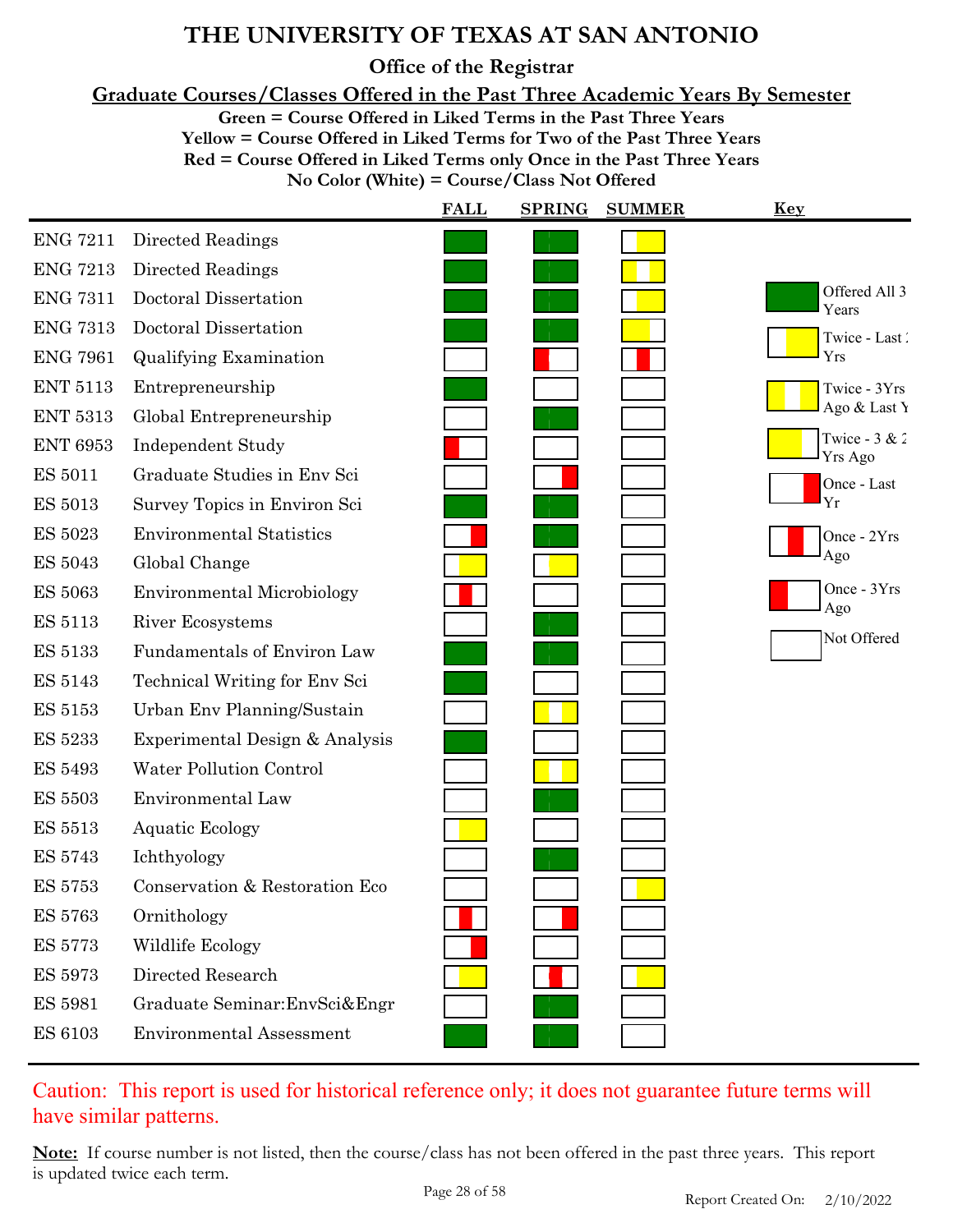**Office of the Registrar**

**Graduate Courses/Classes Offered in the Past Three Academic Years By Semester**

**Green = Course Offered in Liked Terms in the Past Three Years**

**Yellow = Course Offered in Liked Terms for Two of the Past Three Years Red = Course Offered in Liked Terms only Once in the Past Three Years**

**No Color (White) = Course/Class Not Offered**

|                 |                                   | <b>FALL</b> | <b>SPRING</b> | <b>SUMMER</b> | <u>Key</u>                        |
|-----------------|-----------------------------------|-------------|---------------|---------------|-----------------------------------|
| <b>ENG 7211</b> | Directed Readings                 |             |               |               |                                   |
| <b>ENG 7213</b> | Directed Readings                 |             |               |               |                                   |
| <b>ENG 7311</b> | Doctoral Dissertation             |             |               |               | Offered All 3<br>Years            |
| <b>ENG 7313</b> | Doctoral Dissertation             |             |               |               | Twice - Last                      |
| <b>ENG 7961</b> | <b>Qualifying Examination</b>     |             |               |               | Yrs                               |
| <b>ENT 5113</b> | Entrepreneurship                  |             |               |               | Twice - 3Yrs                      |
| <b>ENT 5313</b> | Global Entrepreneurship           |             |               |               | Ago & Last Y                      |
| <b>ENT 6953</b> | <b>Independent Study</b>          |             |               |               | Twice - $3 & 2$<br><b>Yrs Ago</b> |
| <b>ES 5011</b>  | Graduate Studies in Env Sci       |             |               |               | Once - Last                       |
| <b>ES 5013</b>  | Survey Topics in Environ Sci      |             |               |               | Yr                                |
| <b>ES 5023</b>  | <b>Environmental Statistics</b>   |             |               |               | Once - 2Yrs                       |
| <b>ES 5043</b>  | Global Change                     |             |               |               | Ago                               |
| <b>ES 5063</b>  | <b>Environmental Microbiology</b> |             |               |               | Once - 3Yrs<br>Ago                |
| <b>ES 5113</b>  | River Ecosystems                  |             |               |               | Not Offered                       |
| <b>ES 5133</b>  | Fundamentals of Environ Law       |             |               |               |                                   |
| <b>ES 5143</b>  | Technical Writing for Env Sci     |             |               |               |                                   |
| <b>ES 5153</b>  | Urban Env Planning/Sustain        |             |               |               |                                   |
| <b>ES 5233</b>  | Experimental Design & Analysis    |             |               |               |                                   |
| <b>ES 5493</b>  | Water Pollution Control           |             |               |               |                                   |
| <b>ES 5503</b>  | Environmental Law                 |             |               |               |                                   |
| <b>ES 5513</b>  | <b>Aquatic Ecology</b>            |             |               |               |                                   |
| <b>ES 5743</b>  | Ichthyology                       |             |               |               |                                   |
| <b>ES 5753</b>  | Conservation & Restoration Eco    |             |               |               |                                   |
| <b>ES 5763</b>  | Ornithology                       |             |               |               |                                   |
| <b>ES 5773</b>  | Wildlife Ecology                  |             |               |               |                                   |
| <b>ES 5973</b>  | Directed Research                 |             |               |               |                                   |
| <b>ES 5981</b>  | Graduate Seminar: EnvSci& Engr    |             |               |               |                                   |
| <b>ES 6103</b>  | <b>Environmental Assessment</b>   |             |               |               |                                   |

### Caution: This report is used for historical reference only; it does not guarantee future terms will have similar patterns.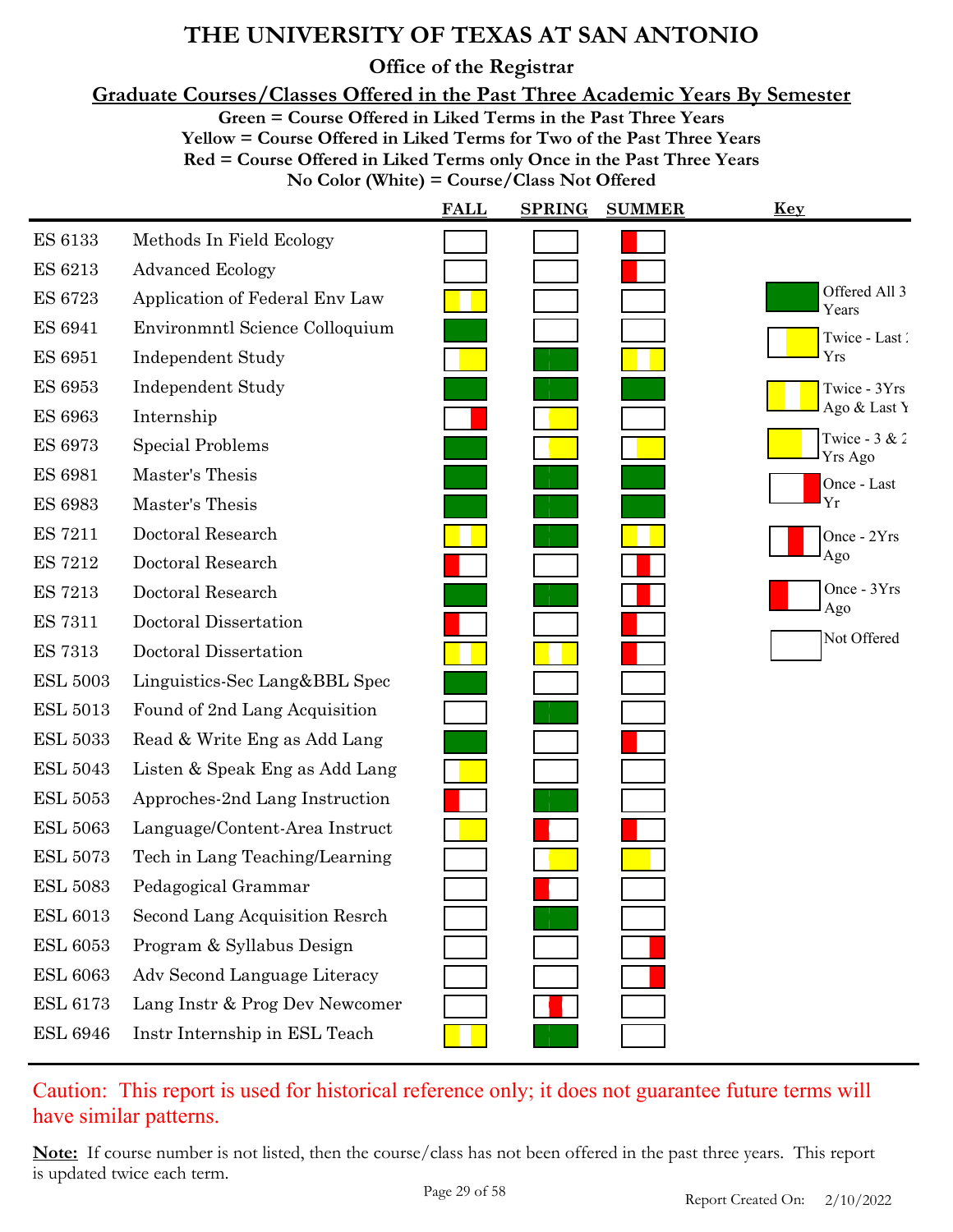**Office of the Registrar**

**Graduate Courses/Classes Offered in the Past Three Academic Years By Semester**

**Green = Course Offered in Liked Terms in the Past Three Years**

**Yellow = Course Offered in Liked Terms for Two of the Past Three Years**

**Red = Course Offered in Liked Terms only Once in the Past Three Years**

**No Color (White) = Course/Class Not Offered**

|                 |                                | <b>FALL</b> | <b>SPRING</b> | <b>SUMMER</b> | <u>Key</u>                        |
|-----------------|--------------------------------|-------------|---------------|---------------|-----------------------------------|
| <b>ES 6133</b>  | Methods In Field Ecology       |             |               |               |                                   |
| ES 6213         | <b>Advanced Ecology</b>        |             |               |               |                                   |
| <b>ES 6723</b>  | Application of Federal Env Law |             |               |               | Offered All 3<br>Years            |
| <b>ES 6941</b>  | Environmntl Science Colloquium |             |               |               | Twice - Last                      |
| <b>ES 6951</b>  | <b>Independent Study</b>       |             |               |               | Yrs                               |
| <b>ES 6953</b>  | <b>Independent Study</b>       |             |               |               | Twice - 3Yrs                      |
| <b>ES 6963</b>  | Internship                     |             |               |               | Ago & Last Y                      |
| <b>ES 6973</b>  | <b>Special Problems</b>        |             |               |               | Twice - $3 & 2$<br><b>Yrs Ago</b> |
| <b>ES 6981</b>  | Master's Thesis                |             |               |               | Once - Last                       |
| <b>ES 6983</b>  | Master's Thesis                |             |               |               | Yr                                |
| <b>ES 7211</b>  | Doctoral Research              |             |               |               | Once - 2Yrs                       |
| <b>ES 7212</b>  | Doctoral Research              |             |               |               | Ago                               |
| <b>ES 7213</b>  | Doctoral Research              |             |               |               | Once - 3Yrs<br>Ago                |
| <b>ES 7311</b>  | Doctoral Dissertation          |             |               |               |                                   |
| <b>ES 7313</b>  | Doctoral Dissertation          |             |               |               | Not Offered                       |
| <b>ESL 5003</b> | Linguistics-Sec Lang&BBL Spec  |             |               |               |                                   |
| <b>ESL 5013</b> | Found of 2nd Lang Acquisition  |             |               |               |                                   |
| <b>ESL 5033</b> | Read & Write Eng as Add Lang   |             |               |               |                                   |
| <b>ESL 5043</b> | Listen & Speak Eng as Add Lang |             |               |               |                                   |
| <b>ESL 5053</b> | Approches-2nd Lang Instruction |             |               |               |                                   |
| <b>ESL 5063</b> | Language/Content-Area Instruct |             |               |               |                                   |
| <b>ESL 5073</b> | Tech in Lang Teaching/Learning |             |               |               |                                   |
| <b>ESL 5083</b> | Pedagogical Grammar            |             |               |               |                                   |
| <b>ESL 6013</b> | Second Lang Acquisition Resrch |             |               |               |                                   |
| <b>ESL 6053</b> | Program & Syllabus Design      |             |               |               |                                   |
| <b>ESL 6063</b> | Adv Second Language Literacy   |             |               |               |                                   |
| <b>ESL 6173</b> | Lang Instr & Prog Dev Newcomer |             |               |               |                                   |
| <b>ESL 6946</b> | Instr Internship in ESL Teach  |             |               |               |                                   |

Caution: This report is used for historical reference only; it does not guarantee future terms will have similar patterns.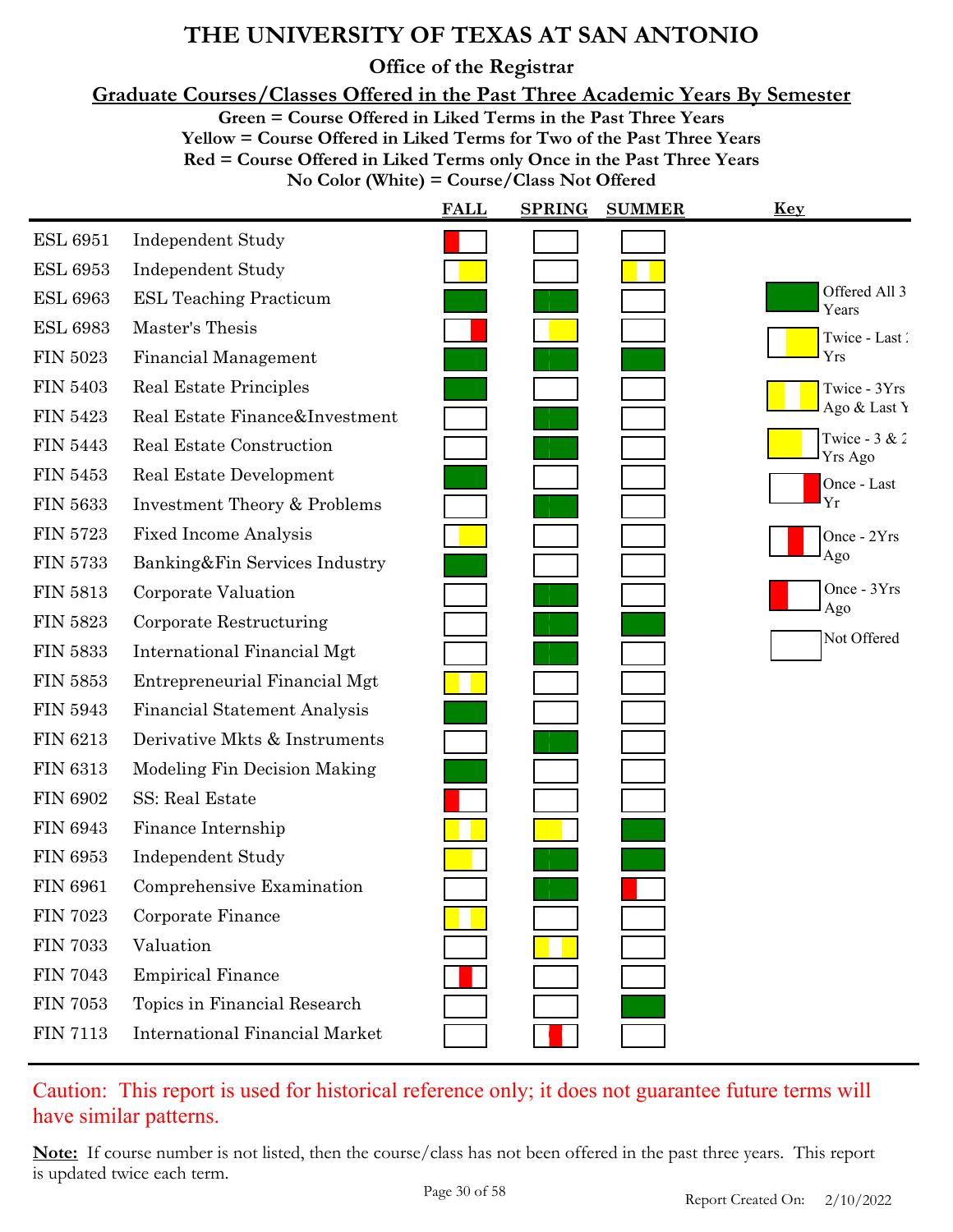**Office of the Registrar**

**Graduate Courses/Classes Offered in the Past Three Academic Years By Semester**

**Green = Course Offered in Liked Terms in the Past Three Years**

**Yellow = Course Offered in Liked Terms for Two of the Past Three Years**

**Red = Course Offered in Liked Terms only Once in the Past Three Years**

**No Color (White) = Course/Class Not Offered**

|                 |                                       | <b>FALL</b> | <b>SPRING</b> | <b>SUMMER</b> | <u>Key</u>                        |
|-----------------|---------------------------------------|-------------|---------------|---------------|-----------------------------------|
| <b>ESL 6951</b> | <b>Independent Study</b>              |             |               |               |                                   |
| <b>ESL 6953</b> | <b>Independent Study</b>              |             |               |               |                                   |
| <b>ESL 6963</b> | ESL Teaching Practicum                |             |               |               | Offered All 3<br>Years            |
| <b>ESL 6983</b> | Master's Thesis                       |             |               |               | Twice - Last                      |
| <b>FIN 5023</b> | <b>Financial Management</b>           |             |               |               | Yrs                               |
| <b>FIN 5403</b> | Real Estate Principles                |             |               |               | Twice - 3Yrs                      |
| <b>FIN 5423</b> | Real Estate Finance&Investment        |             |               |               | Ago & Last Y                      |
| <b>FIN 5443</b> | Real Estate Construction              |             |               |               | Twice - $3 & 2$<br><b>Yrs Ago</b> |
| <b>FIN 5453</b> | Real Estate Development               |             |               |               | Once - Last                       |
| <b>FIN 5633</b> | Investment Theory & Problems          |             |               |               | Yr                                |
| <b>FIN 5723</b> | <b>Fixed Income Analysis</b>          |             |               |               | Once - 2Yrs                       |
| <b>FIN 5733</b> | Banking&Fin Services Industry         |             |               |               | Ago                               |
| <b>FIN 5813</b> | Corporate Valuation                   |             |               |               | Once - 3Yrs<br>Ago                |
| <b>FIN 5823</b> | Corporate Restructuring               |             |               |               |                                   |
| <b>FIN 5833</b> | International Financial Mgt           |             |               |               | Not Offered                       |
| <b>FIN 5853</b> | Entrepreneurial Financial Mgt         |             |               |               |                                   |
| <b>FIN 5943</b> | <b>Financial Statement Analysis</b>   |             |               |               |                                   |
| <b>FIN 6213</b> | Derivative Mkts & Instruments         |             |               |               |                                   |
| <b>FIN 6313</b> | Modeling Fin Decision Making          |             |               |               |                                   |
| <b>FIN 6902</b> | SS: Real Estate                       |             |               |               |                                   |
| <b>FIN 6943</b> | Finance Internship                    |             |               |               |                                   |
| <b>FIN 6953</b> | <b>Independent Study</b>              |             |               |               |                                   |
| <b>FIN 6961</b> | Comprehensive Examination             |             |               |               |                                   |
| <b>FIN 7023</b> | Corporate Finance                     |             |               |               |                                   |
| <b>FIN 7033</b> | Valuation                             |             |               |               |                                   |
| <b>FIN 7043</b> | <b>Empirical Finance</b>              |             |               |               |                                   |
| <b>FIN 7053</b> | Topics in Financial Research          |             |               |               |                                   |
| <b>FIN 7113</b> | <b>International Financial Market</b> |             |               |               |                                   |

### Caution: This report is used for historical reference only; it does not guarantee future terms will have similar patterns.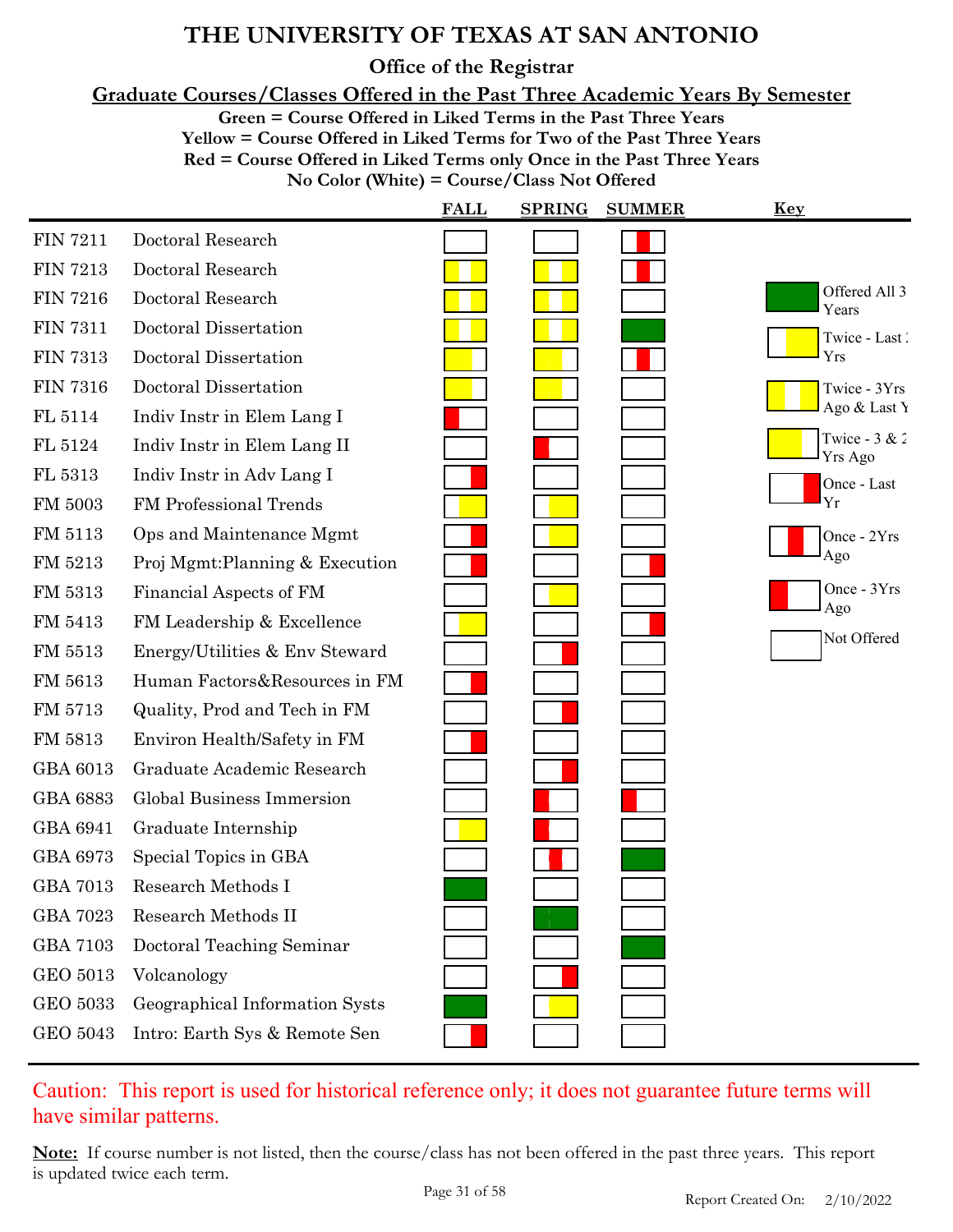**Office of the Registrar**

**Graduate Courses/Classes Offered in the Past Three Academic Years By Semester**

**Green = Course Offered in Liked Terms in the Past Three Years**

**Yellow = Course Offered in Liked Terms for Two of the Past Three Years**

**Red = Course Offered in Liked Terms only Once in the Past Three Years**

**No Color (White) = Course/Class Not Offered**

|                 |                                 | <b>FALL</b> | <b>SPRING</b> | <b>SUMMER</b> | <u>Key</u>                        |
|-----------------|---------------------------------|-------------|---------------|---------------|-----------------------------------|
| <b>FIN 7211</b> | Doctoral Research               |             |               |               |                                   |
| <b>FIN 7213</b> | Doctoral Research               |             |               |               |                                   |
| <b>FIN 7216</b> | Doctoral Research               |             |               |               | Offered All 3<br>Years            |
| <b>FIN 7311</b> | Doctoral Dissertation           |             |               |               | Twice - Last                      |
| <b>FIN 7313</b> | Doctoral Dissertation           |             |               |               | Yrs                               |
| <b>FIN 7316</b> | Doctoral Dissertation           |             |               |               | Twice - 3Yrs                      |
| FL 5114         | Indiv Instr in Elem Lang I      |             |               |               | Ago & Last Y                      |
| FL 5124         | Indiv Instr in Elem Lang II     |             |               |               | Twice - $3 & 2$<br><b>Yrs Ago</b> |
| FL 5313         | Indiv Instr in Adv Lang I       |             |               |               | Once - Last                       |
| FM 5003         | FM Professional Trends          |             |               |               | Yr                                |
| FM 5113         | Ops and Maintenance Mgmt        |             |               |               | Once - 2Yrs                       |
| FM 5213         | Proj Mgmt: Planning & Execution |             |               |               | Ago                               |
| FM 5313         | Financial Aspects of FM         |             |               |               | Once - 3Yrs<br>Ago                |
| FM 5413         | FM Leadership & Excellence      |             |               |               | Not Offered                       |
| FM 5513         | Energy/Utilities & Env Steward  |             |               |               |                                   |
| FM 5613         | Human Factors&Resources in FM   |             |               |               |                                   |
| FM 5713         | Quality, Prod and Tech in FM    |             |               |               |                                   |
| FM 5813         | Environ Health/Safety in FM     |             |               |               |                                   |
| GBA 6013        | Graduate Academic Research      |             |               |               |                                   |
| <b>GBA 6883</b> | Global Business Immersion       |             |               |               |                                   |
| GBA 6941        | Graduate Internship             |             |               |               |                                   |
| GBA 6973        | Special Topics in GBA           |             |               |               |                                   |
| <b>GBA 7013</b> | Research Methods I              |             |               |               |                                   |
| <b>GBA 7023</b> | Research Methods II             |             |               |               |                                   |
| <b>GBA 7103</b> | Doctoral Teaching Seminar       |             |               |               |                                   |
| GEO 5013        | Volcanology                     |             |               |               |                                   |
| <b>GEO 5033</b> | Geographical Information Systs  |             |               |               |                                   |
| <b>GEO 5043</b> | Intro: Earth Sys & Remote Sen   |             |               |               |                                   |

### Caution: This report is used for historical reference only; it does not guarantee future terms will have similar patterns.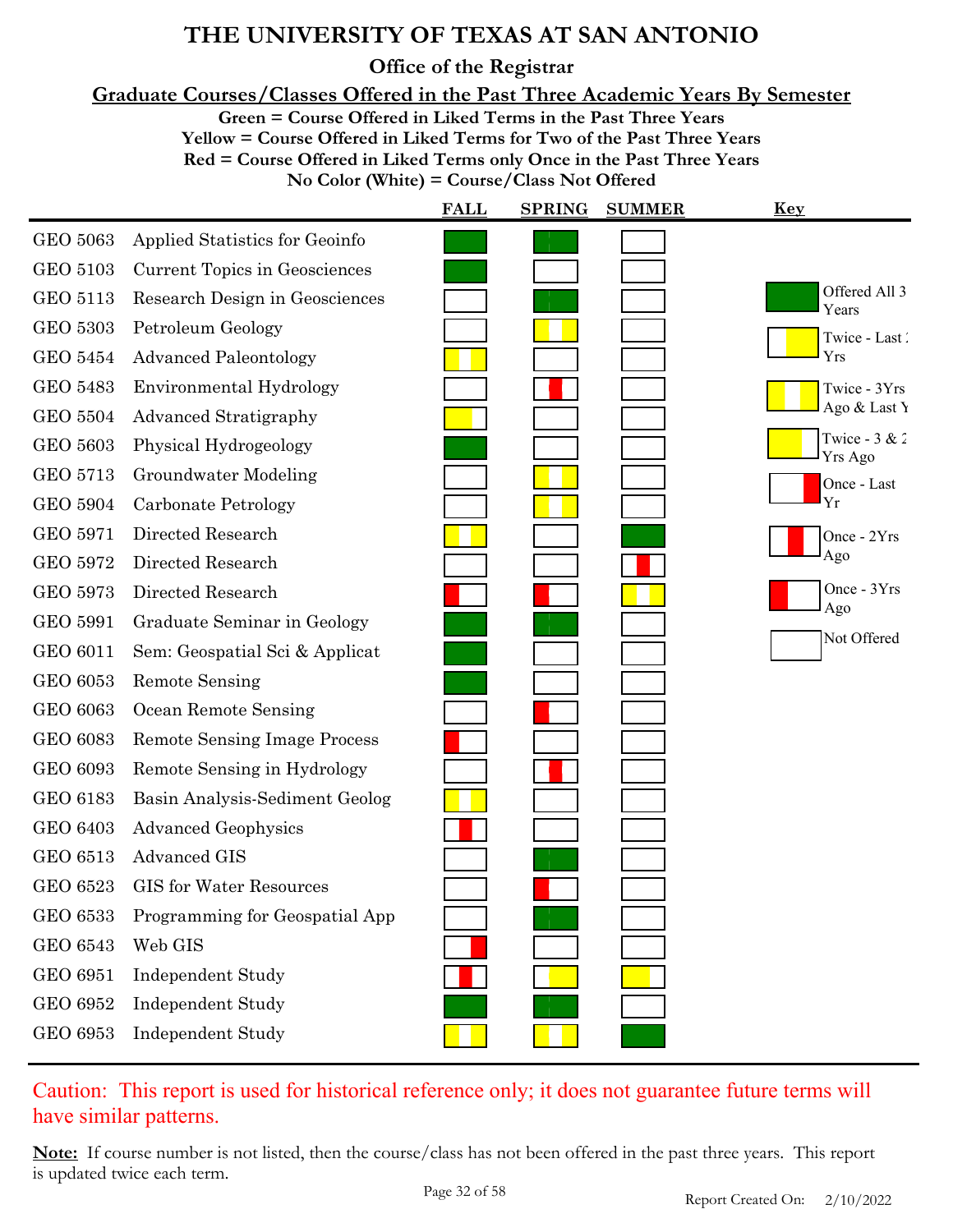**Office of the Registrar**

**Graduate Courses/Classes Offered in the Past Three Academic Years By Semester**

**Green = Course Offered in Liked Terms in the Past Three Years**

**Yellow = Course Offered in Liked Terms for Two of the Past Three Years**

**Red = Course Offered in Liked Terms only Once in the Past Three Years**

**No Color (White) = Course/Class Not Offered**

|                 |                                     | <b>FALL</b> | <b>SPRING</b> | <b>SUMMER</b> | Key                        |
|-----------------|-------------------------------------|-------------|---------------|---------------|----------------------------|
| <b>GEO 5063</b> | Applied Statistics for Geoinfo      |             |               |               |                            |
| <b>GEO 5103</b> | Current Topics in Geosciences       |             |               |               |                            |
| <b>GEO 5113</b> | Research Design in Geosciences      |             |               |               | Offered All 3<br>Years     |
| <b>GEO 5303</b> | Petroleum Geology                   |             |               |               | Twice - Last               |
| <b>GEO 5454</b> | <b>Advanced Paleontology</b>        |             |               |               | Yrs                        |
| <b>GEO 5483</b> | Environmental Hydrology             |             |               |               | Twice - 3Yrs               |
| <b>GEO 5504</b> | <b>Advanced Stratigraphy</b>        |             |               |               | Ago & Last Y               |
| GEO 5603        | Physical Hydrogeology               |             |               |               | Twice - $3 & 2$<br>Yrs Ago |
| <b>GEO 5713</b> | Groundwater Modeling                |             |               |               | Once - Last                |
| <b>GEO 5904</b> | Carbonate Petrology                 |             |               |               | Yr                         |
| <b>GEO 5971</b> | Directed Research                   |             |               |               | Once - 2Yrs                |
| <b>GEO 5972</b> | Directed Research                   |             |               |               | Ago                        |
| GEO 5973        | Directed Research                   |             |               |               | Once - 3Yrs<br>Ago         |
| GEO 5991        | Graduate Seminar in Geology         |             |               |               |                            |
| <b>GEO 6011</b> | Sem: Geospatial Sci & Applicat      |             |               |               | Not Offered                |
| GEO 6053        | <b>Remote Sensing</b>               |             |               |               |                            |
| <b>GEO 6063</b> | Ocean Remote Sensing                |             |               |               |                            |
| <b>GEO 6083</b> | <b>Remote Sensing Image Process</b> |             |               |               |                            |
| GEO 6093        | Remote Sensing in Hydrology         |             |               |               |                            |
| <b>GEO 6183</b> | Basin Analysis-Sediment Geolog      |             |               |               |                            |
| <b>GEO 6403</b> | <b>Advanced Geophysics</b>          |             |               |               |                            |
| <b>GEO 6513</b> | <b>Advanced GIS</b>                 |             |               |               |                            |
| <b>GEO 6523</b> | <b>GIS</b> for Water Resources      |             |               |               |                            |
| <b>GEO 6533</b> | Programming for Geospatial App      |             |               |               |                            |
| <b>GEO 6543</b> | Web GIS                             |             |               |               |                            |
| <b>GEO 6951</b> | Independent Study                   |             |               |               |                            |
| GEO 6952        | <b>Independent Study</b>            |             |               |               |                            |
| GEO 6953        | Independent Study                   |             |               |               |                            |

### Caution: This report is used for historical reference only; it does not guarantee future terms will have similar patterns.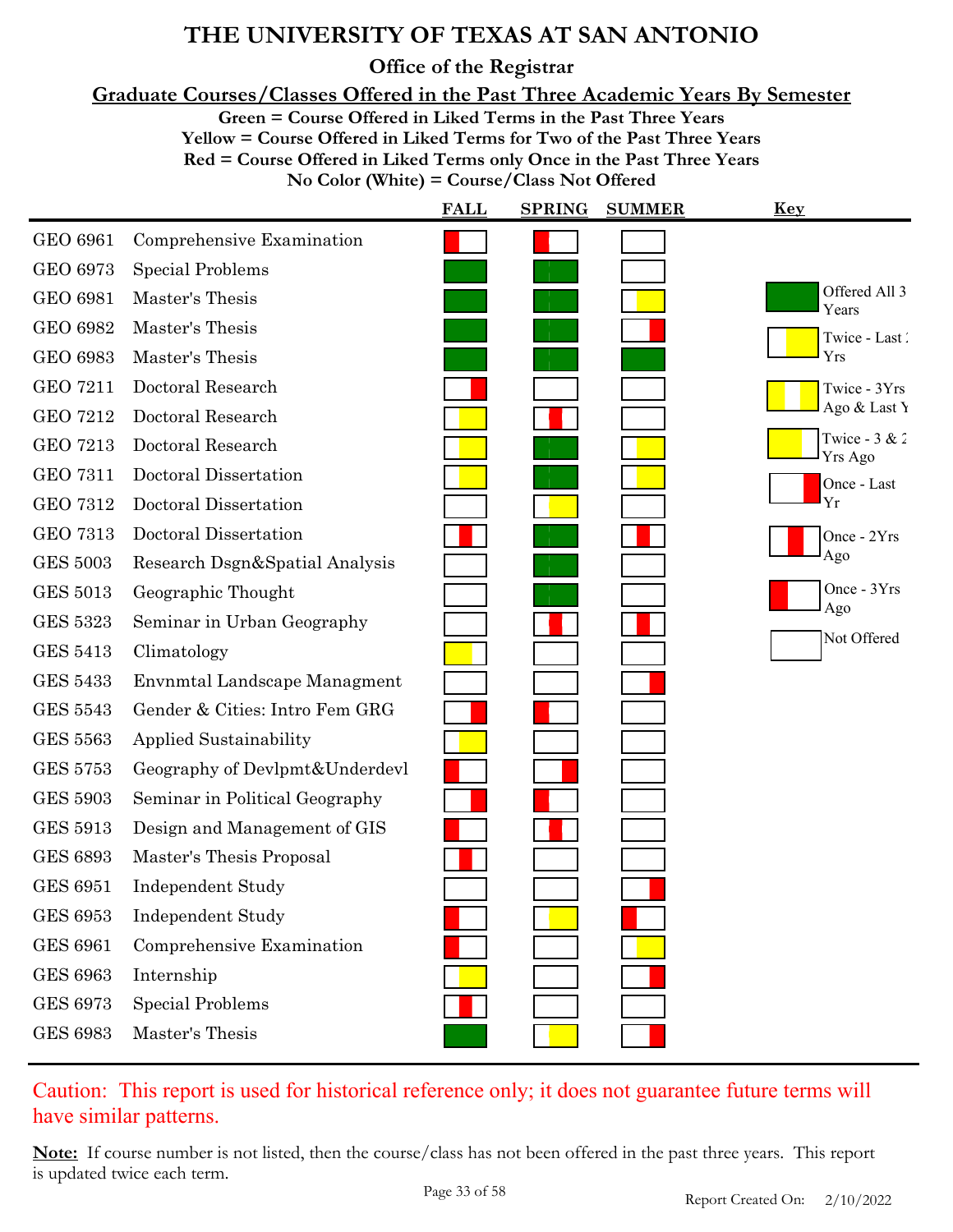**Office of the Registrar**

**Graduate Courses/Classes Offered in the Past Three Academic Years By Semester**

**Green = Course Offered in Liked Terms in the Past Three Years**

**Yellow = Course Offered in Liked Terms for Two of the Past Three Years**

**Red = Course Offered in Liked Terms only Once in the Past Three Years**

**No Color (White) = Course/Class Not Offered**

|                 |                                | <b>FALL</b> | <b>SPRING</b> | <b>SUMMER</b> | <u>Key</u>                 |
|-----------------|--------------------------------|-------------|---------------|---------------|----------------------------|
| <b>GEO 6961</b> | Comprehensive Examination      |             |               |               |                            |
| GEO 6973        | <b>Special Problems</b>        |             |               |               |                            |
| <b>GEO 6981</b> | Master's Thesis                |             |               |               | Offered All 3<br>Years     |
| <b>GEO 6982</b> | Master's Thesis                |             |               |               | Twice - Last               |
| <b>GEO 6983</b> | Master's Thesis                |             |               |               | Yrs                        |
| <b>GEO 7211</b> | Doctoral Research              |             |               |               | Twice - 3Yrs               |
| <b>GEO 7212</b> | Doctoral Research              |             |               |               | Ago & Last Y               |
| <b>GEO 7213</b> | Doctoral Research              |             |               |               | Twice - $3 & 2$<br>Yrs Ago |
| <b>GEO 7311</b> | Doctoral Dissertation          |             |               |               | Once - Last                |
| <b>GEO 7312</b> | Doctoral Dissertation          |             |               |               | Yr                         |
| <b>GEO 7313</b> | Doctoral Dissertation          |             |               |               | Once - 2Yrs                |
| <b>GES 5003</b> | Research Dsgn&Spatial Analysis |             |               |               | Ago                        |
| <b>GES 5013</b> | Geographic Thought             |             |               |               | Once - 3Yrs<br>Ago         |
| <b>GES 5323</b> | Seminar in Urban Geography     |             |               |               |                            |
| <b>GES 5413</b> | Climatology                    |             |               |               | Not Offered                |
| <b>GES 5433</b> | Envnmtal Landscape Managment   |             |               |               |                            |
| <b>GES 5543</b> | Gender & Cities: Intro Fem GRG |             |               |               |                            |
| <b>GES 5563</b> | <b>Applied Sustainability</b>  |             |               |               |                            |
| <b>GES 5753</b> | Geography of Devlpmt&Underdevl |             |               |               |                            |
| <b>GES 5903</b> | Seminar in Political Geography |             |               |               |                            |
| <b>GES 5913</b> | Design and Management of GIS   |             |               |               |                            |
| <b>GES 6893</b> | Master's Thesis Proposal       |             |               |               |                            |
| <b>GES 6951</b> | Independent Study              |             |               |               |                            |
| <b>GES 6953</b> | <b>Independent Study</b>       |             |               |               |                            |
| <b>GES 6961</b> | Comprehensive Examination      |             |               |               |                            |
| <b>GES 6963</b> | Internship                     |             |               |               |                            |
| <b>GES 6973</b> | <b>Special Problems</b>        |             |               |               |                            |
| <b>GES 6983</b> | Master's Thesis                |             |               |               |                            |

### Caution: This report is used for historical reference only; it does not guarantee future terms will have similar patterns.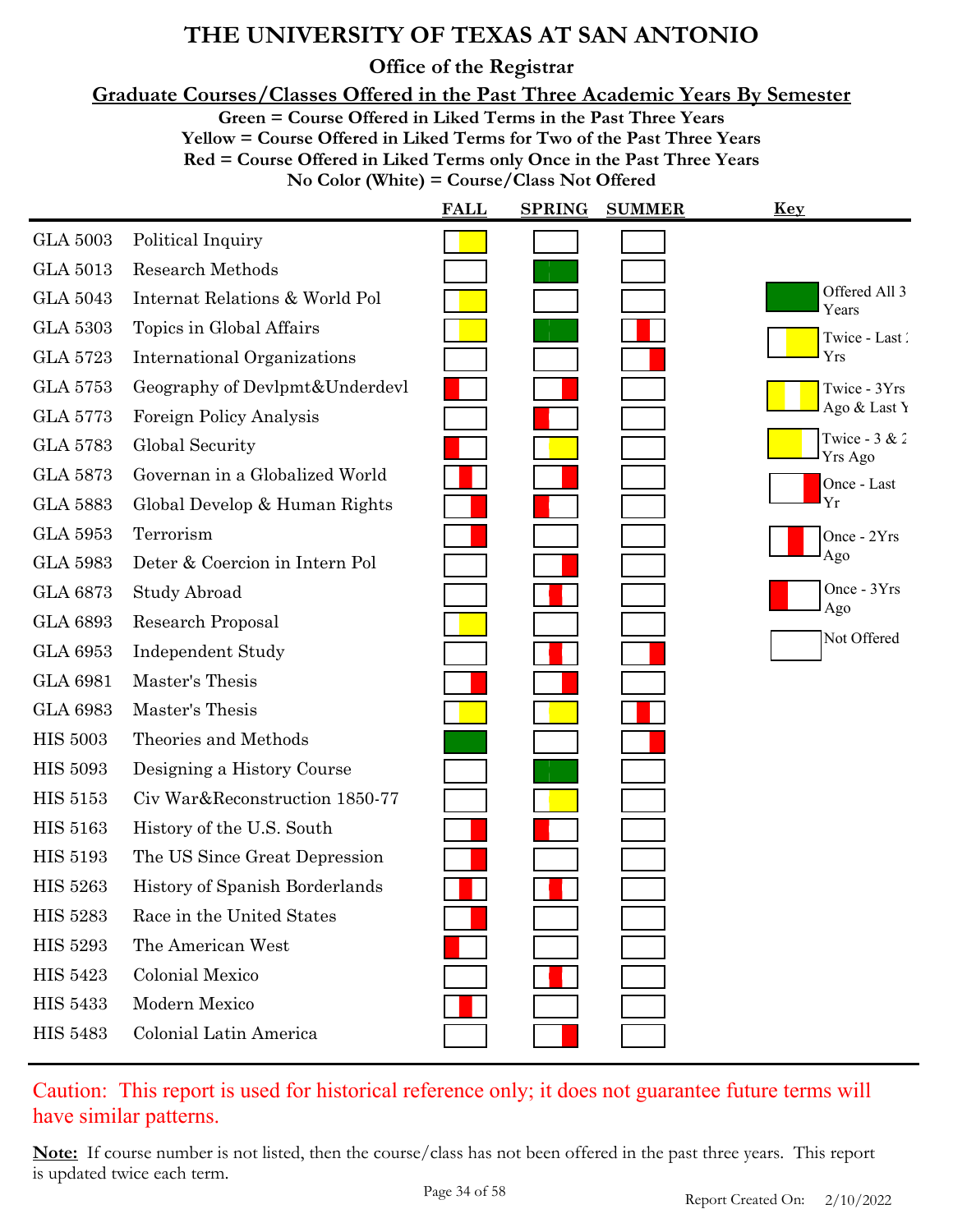**Office of the Registrar**

**Graduate Courses/Classes Offered in the Past Three Academic Years By Semester**

**Green = Course Offered in Liked Terms in the Past Three Years**

**Yellow = Course Offered in Liked Terms for Two of the Past Three Years**

**Red = Course Offered in Liked Terms only Once in the Past Three Years**

**No Color (White) = Course/Class Not Offered**

|                 |                                    | <b>FALL</b> | <b>SPRING</b> | <b>SUMMER</b> | <u>Key</u>                 |
|-----------------|------------------------------------|-------------|---------------|---------------|----------------------------|
| <b>GLA 5003</b> | Political Inquiry                  |             |               |               |                            |
| <b>GLA 5013</b> | <b>Research Methods</b>            |             |               |               |                            |
| <b>GLA 5043</b> | Internat Relations & World Pol     |             |               |               | Offered All 3<br>Years     |
| <b>GLA 5303</b> | Topics in Global Affairs           |             |               |               | Twice - Last               |
| <b>GLA 5723</b> | <b>International Organizations</b> |             |               |               | Yrs                        |
| <b>GLA 5753</b> | Geography of Devlpmt&Underdevl     |             |               |               | Twice - 3Yrs               |
| <b>GLA 5773</b> | Foreign Policy Analysis            |             |               |               | Ago & Last Y               |
| <b>GLA 5783</b> | Global Security                    |             |               |               | Twice - $3 & 2$<br>Yrs Ago |
| <b>GLA 5873</b> | Governan in a Globalized World     |             |               |               | Once - Last                |
| <b>GLA 5883</b> | Global Develop & Human Rights      |             |               |               | Yr                         |
| <b>GLA 5953</b> | Terrorism                          |             |               |               | Once - 2Yrs                |
| <b>GLA 5983</b> | Deter & Coercion in Intern Pol     |             |               |               | Ago                        |
| <b>GLA 6873</b> | Study Abroad                       |             |               |               | Once - 3Yrs<br>Ago         |
| <b>GLA 6893</b> | Research Proposal                  |             |               |               | Not Offered                |
| <b>GLA 6953</b> | <b>Independent Study</b>           |             |               |               |                            |
| <b>GLA 6981</b> | Master's Thesis                    |             |               |               |                            |
| <b>GLA 6983</b> | Master's Thesis                    |             |               |               |                            |
| <b>HIS 5003</b> | Theories and Methods               |             |               |               |                            |
| <b>HIS 5093</b> | Designing a History Course         |             |               |               |                            |
| <b>HIS 5153</b> | Civ War&Reconstruction 1850-77     |             |               |               |                            |
| <b>HIS 5163</b> | History of the U.S. South          |             |               |               |                            |
| <b>HIS 5193</b> | The US Since Great Depression      |             |               |               |                            |
| <b>HIS 5263</b> | History of Spanish Borderlands     |             |               |               |                            |
| <b>HIS 5283</b> | Race in the United States          |             |               |               |                            |
| <b>HIS 5293</b> | The American West                  |             |               |               |                            |
| <b>HIS 5423</b> | <b>Colonial Mexico</b>             |             |               |               |                            |
| <b>HIS 5433</b> | Modern Mexico                      |             |               |               |                            |
| <b>HIS 5483</b> | Colonial Latin America             |             |               |               |                            |

### Caution: This report is used for historical reference only; it does not guarantee future terms will have similar patterns.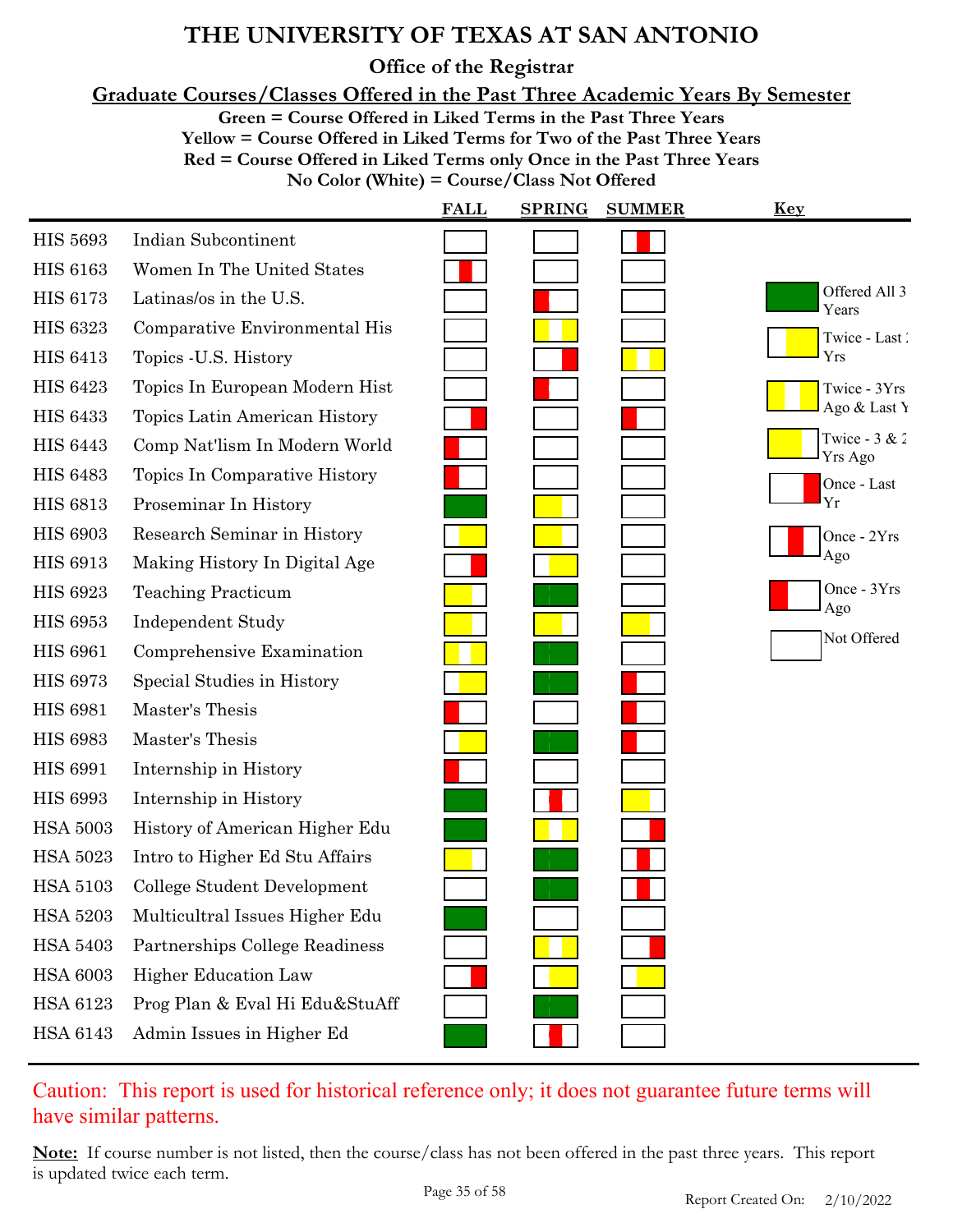**Office of the Registrar**

**Graduate Courses/Classes Offered in the Past Three Academic Years By Semester**

**Green = Course Offered in Liked Terms in the Past Three Years**

**Yellow = Course Offered in Liked Terms for Two of the Past Three Years**

**Red = Course Offered in Liked Terms only Once in the Past Three Years**

**No Color (White) = Course/Class Not Offered**

|                 |                                | <b>FALL</b> | <b>SPRING</b> | <b>SUMMER</b> | <u>Key</u>                 |
|-----------------|--------------------------------|-------------|---------------|---------------|----------------------------|
| <b>HIS 5693</b> | <b>Indian Subcontinent</b>     |             |               |               |                            |
| <b>HIS 6163</b> | Women In The United States     |             |               |               |                            |
| <b>HIS 6173</b> | Latinas/os in the U.S.         |             |               |               | Offered All 3<br>Years     |
| <b>HIS 6323</b> | Comparative Environmental His  |             |               |               | Twice - Last               |
| <b>HIS 6413</b> | Topics - U.S. History          |             |               |               | Yrs                        |
| <b>HIS 6423</b> | Topics In European Modern Hist |             |               |               | Twice - 3Yrs               |
| <b>HIS 6433</b> | Topics Latin American History  |             |               |               | Ago & Last Y               |
| <b>HIS 6443</b> | Comp Nat'lism In Modern World  |             |               |               | Twice - $3 & 2$<br>Yrs Ago |
| <b>HIS 6483</b> | Topics In Comparative History  |             |               |               | Once - Last                |
| <b>HIS 6813</b> | Proseminar In History          |             |               |               | Yr                         |
| <b>HIS 6903</b> | Research Seminar in History    |             |               |               | Once - 2Yrs                |
| <b>HIS 6913</b> | Making History In Digital Age  |             |               |               | Ago                        |
| <b>HIS 6923</b> | <b>Teaching Practicum</b>      |             |               |               | Once - 3Yrs<br>Ago         |
| <b>HIS 6953</b> | <b>Independent Study</b>       |             |               |               |                            |
| <b>HIS 6961</b> | Comprehensive Examination      |             |               |               | Not Offered                |
| <b>HIS 6973</b> | Special Studies in History     |             |               |               |                            |
| <b>HIS 6981</b> | Master's Thesis                |             |               |               |                            |
| <b>HIS 6983</b> | Master's Thesis                |             |               |               |                            |
| <b>HIS 6991</b> | Internship in History          |             |               |               |                            |
| <b>HIS 6993</b> | Internship in History          |             |               |               |                            |
| <b>HSA 5003</b> | History of American Higher Edu |             |               |               |                            |
| <b>HSA 5023</b> | Intro to Higher Ed Stu Affairs |             |               |               |                            |
| <b>HSA 5103</b> | College Student Development    |             |               |               |                            |
| HSA 5203        | Multicultral Issues Higher Edu |             |               |               |                            |
| <b>HSA 5403</b> | Partnerships College Readiness |             |               |               |                            |
| <b>HSA 6003</b> | <b>Higher Education Law</b>    |             |               |               |                            |
| HSA 6123        | Prog Plan & Eval Hi Edu&StuAff |             |               |               |                            |
| HSA 6143        | Admin Issues in Higher Ed      |             |               |               |                            |

Caution: This report is used for historical reference only; it does not guarantee future terms will have similar patterns.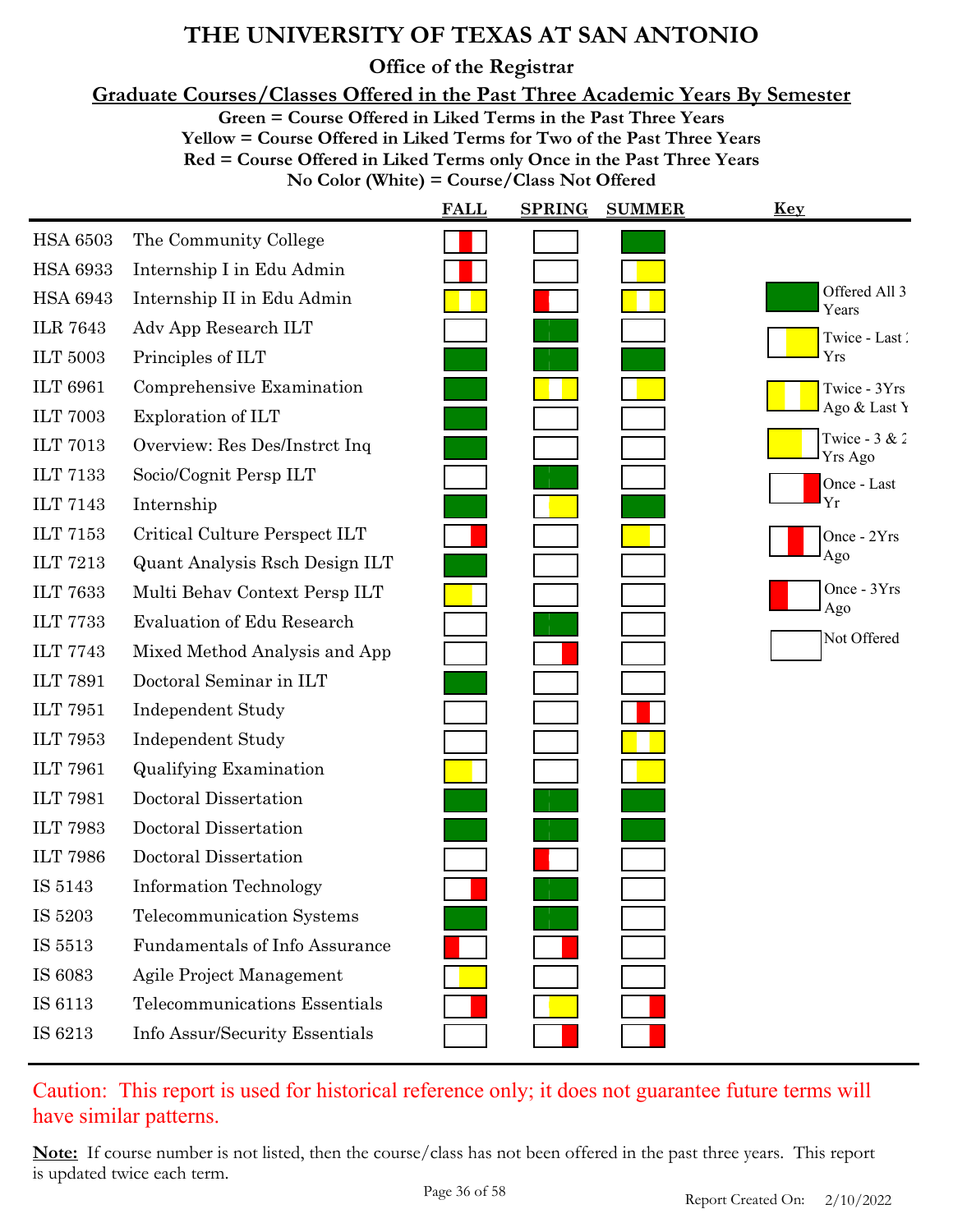**Office of the Registrar**

**Graduate Courses/Classes Offered in the Past Three Academic Years By Semester**

**Green = Course Offered in Liked Terms in the Past Three Years**

**Yellow = Course Offered in Liked Terms for Two of the Past Three Years**

**Red = Course Offered in Liked Terms only Once in the Past Three Years**

**No Color (White) = Course/Class Not Offered**

|                 |                                   | <b>FALL</b> | <b>SPRING</b> | <b>SUMMER</b> | <b>Key</b>                 |
|-----------------|-----------------------------------|-------------|---------------|---------------|----------------------------|
| <b>HSA 6503</b> | The Community College             |             |               |               |                            |
| <b>HSA 6933</b> | Internship I in Edu Admin         |             |               |               |                            |
| <b>HSA 6943</b> | Internship II in Edu Admin        |             |               |               | Offered All 3<br>Years     |
| <b>ILR 7643</b> | Adv App Research ILT              |             |               |               | Twice - Last               |
| <b>ILT 5003</b> | Principles of ILT                 |             |               |               | Yrs                        |
| <b>ILT 6961</b> | Comprehensive Examination         |             |               |               | Twice - 3Yrs               |
| <b>ILT 7003</b> | Exploration of ILT                |             |               |               | Ago & Last Y               |
| <b>ILT 7013</b> | Overview: Res Des/Instrct Inq     |             |               |               | Twice - $3 & 2$<br>Yrs Ago |
| <b>ILT 7133</b> | Socio/Cognit Persp ILT            |             |               |               | Once - Last                |
| <b>ILT 7143</b> | Internship                        |             |               |               | Yr                         |
| <b>ILT 7153</b> | Critical Culture Perspect ILT     |             |               |               | Once - 2Yrs                |
| <b>ILT 7213</b> | Quant Analysis Rsch Design ILT    |             |               |               | Ago                        |
| <b>ILT 7633</b> | Multi Behav Context Persp ILT     |             |               |               | Once - 3Yrs                |
| <b>ILT 7733</b> | <b>Evaluation of Edu Research</b> |             |               |               | Ago                        |
| <b>ILT 7743</b> | Mixed Method Analysis and App     |             |               |               | Not Offered                |
| <b>ILT 7891</b> | Doctoral Seminar in ILT           |             |               |               |                            |
| <b>ILT 7951</b> | <b>Independent Study</b>          |             |               |               |                            |
| <b>ILT 7953</b> | <b>Independent Study</b>          |             |               |               |                            |
| <b>ILT 7961</b> | <b>Qualifying Examination</b>     |             |               |               |                            |
| <b>ILT 7981</b> | Doctoral Dissertation             |             |               |               |                            |
| <b>ILT 7983</b> | Doctoral Dissertation             |             |               |               |                            |
| <b>ILT 7986</b> | Doctoral Dissertation             |             |               |               |                            |
| IS 5143         | <b>Information Technology</b>     |             |               |               |                            |
| IS 5203         | Telecommunication Systems         |             |               |               |                            |
| IS 5513         | Fundamentals of Info Assurance    |             |               |               |                            |
| IS 6083         | Agile Project Management          |             |               |               |                            |
| IS 6113         | Telecommunications Essentials     |             |               |               |                            |
| IS 6213         | Info Assur/Security Essentials    |             |               |               |                            |

### Caution: This report is used for historical reference only; it does not guarantee future terms will have similar patterns.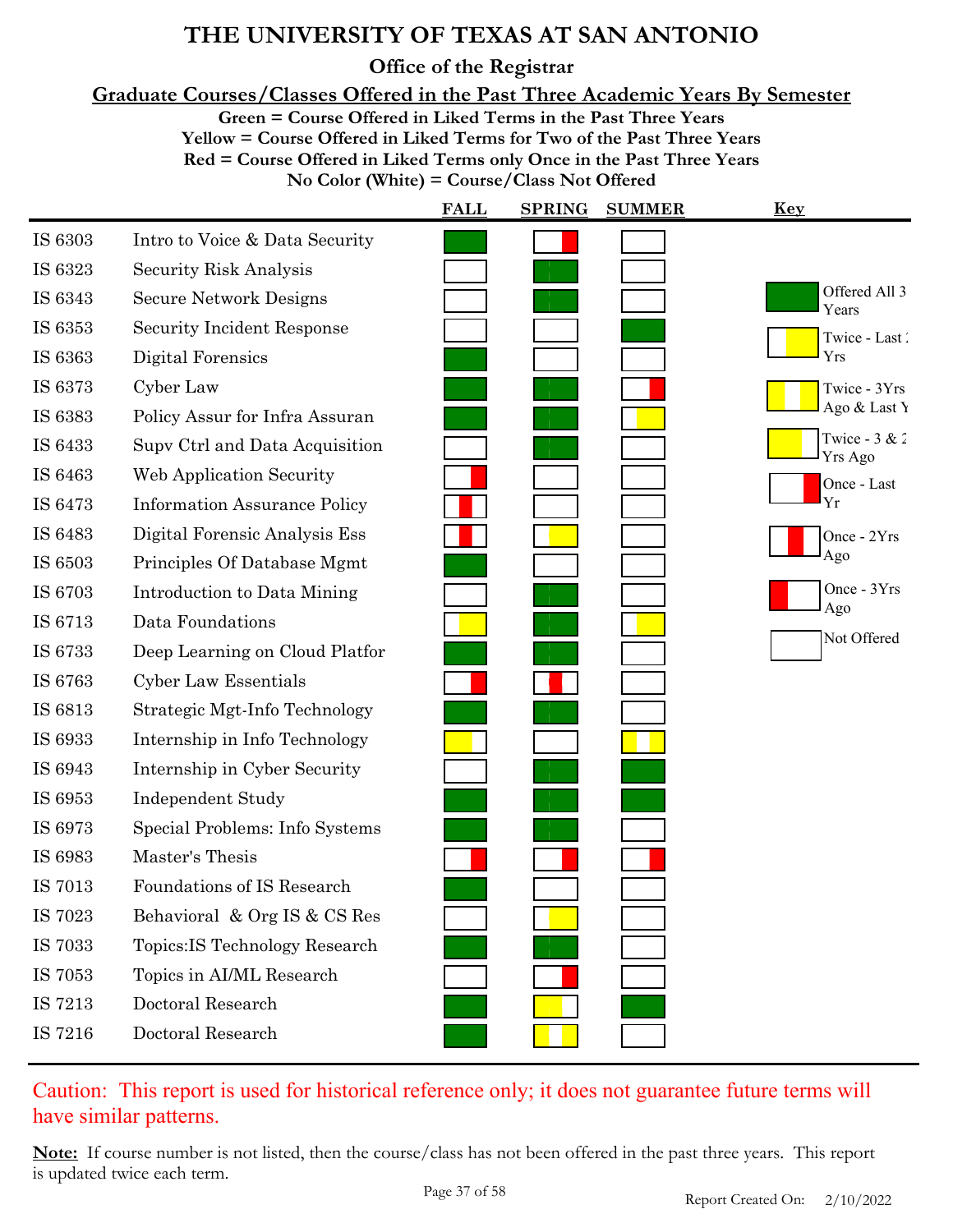**Office of the Registrar**

**Graduate Courses/Classes Offered in the Past Three Academic Years By Semester**

**Green = Course Offered in Liked Terms in the Past Three Years**

**Yellow = Course Offered in Liked Terms for Two of the Past Three Years Red = Course Offered in Liked Terms only Once in the Past Three Years**

**No Color (White) = Course/Class Not Offered**

|         |                                     | <b>FALL</b> | <b>SPRING</b> | <b>SUMMER</b> | <u>Key</u>                 |
|---------|-------------------------------------|-------------|---------------|---------------|----------------------------|
| IS 6303 | Intro to Voice & Data Security      |             |               |               |                            |
| IS 6323 | Security Risk Analysis              |             |               |               |                            |
| IS 6343 | <b>Secure Network Designs</b>       |             |               |               | Offered All 3<br>Years     |
| IS 6353 | <b>Security Incident Response</b>   |             |               |               | Twice - Last               |
| IS 6363 | Digital Forensics                   |             |               |               | Yrs                        |
| IS 6373 | Cyber Law                           |             |               |               | Twice - 3Yrs               |
| IS 6383 | Policy Assur for Infra Assuran      |             |               |               | Ago & Last Y               |
| IS 6433 | Supy Ctrl and Data Acquisition      |             |               |               | Twice - $3 & 2$<br>Yrs Ago |
| IS 6463 | <b>Web Application Security</b>     |             |               |               | Once - Last                |
| IS 6473 | <b>Information Assurance Policy</b> |             |               |               | Yr                         |
| IS 6483 | Digital Forensic Analysis Ess       |             |               |               | Once - 2Yrs                |
| IS 6503 | Principles Of Database Mgmt         |             |               |               | Ago                        |
| IS 6703 | Introduction to Data Mining         |             |               |               | Once - 3Yrs                |
| IS 6713 | Data Foundations                    |             |               |               | Ago                        |
| IS 6733 | Deep Learning on Cloud Platfor      |             |               |               | Not Offered                |
| IS 6763 | Cyber Law Essentials                |             |               |               |                            |
| IS 6813 | Strategic Mgt-Info Technology       |             |               |               |                            |
| IS 6933 | Internship in Info Technology       |             |               |               |                            |
| IS 6943 | Internship in Cyber Security        |             |               |               |                            |
| IS 6953 | <b>Independent Study</b>            |             |               |               |                            |
| IS 6973 | Special Problems: Info Systems      |             |               |               |                            |
| IS 6983 | Master's Thesis                     |             |               |               |                            |
| IS 7013 | Foundations of IS Research          |             |               |               |                            |
| IS 7023 | Behavioral & Org IS & CS Res        |             |               |               |                            |
| IS 7033 | Topics: IS Technology Research      |             |               |               |                            |
| IS 7053 | Topics in AI/ML Research            |             |               |               |                            |
| IS 7213 | Doctoral Research                   |             |               |               |                            |
| IS 7216 | Doctoral Research                   |             |               |               |                            |

### Caution: This report is used for historical reference only; it does not guarantee future terms will have similar patterns.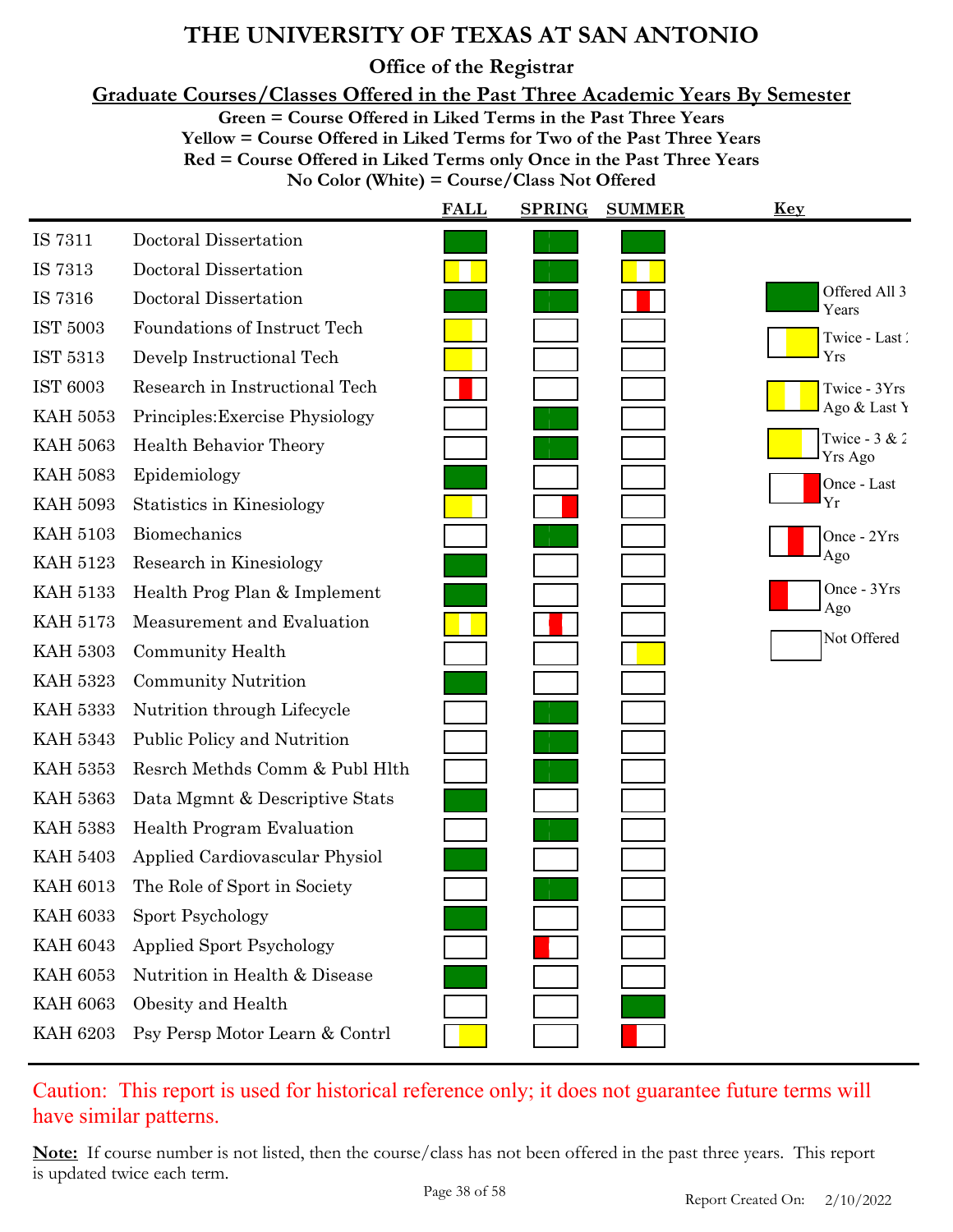**Office of the Registrar**

**Graduate Courses/Classes Offered in the Past Three Academic Years By Semester**

**Green = Course Offered in Liked Terms in the Past Three Years**

**Yellow = Course Offered in Liked Terms for Two of the Past Three Years Red = Course Offered in Liked Terms only Once in the Past Three Years No Color (White) = Course/Class Not Offered**

|                 |                                  | <b>FALL</b> | <b>SPRING</b> | <b>SUMMER</b> | <b>Key</b>                 |
|-----------------|----------------------------------|-------------|---------------|---------------|----------------------------|
| IS 7311         | Doctoral Dissertation            |             |               |               |                            |
| IS 7313         | Doctoral Dissertation            |             |               |               |                            |
| IS 7316         | Doctoral Dissertation            |             |               |               | Offered All 3<br>Years     |
| IST 5003        | Foundations of Instruct Tech     |             |               |               | Twice - Last               |
| IST 5313        | Develp Instructional Tech        |             |               |               | Yrs                        |
| <b>IST 6003</b> | Research in Instructional Tech   |             |               |               | Twice - 3Yrs               |
| <b>KAH 5053</b> | Principles: Exercise Physiology  |             |               |               | Ago & Last Y               |
| <b>KAH 5063</b> | <b>Health Behavior Theory</b>    |             |               |               | Twice - $3 & 2$<br>Yrs Ago |
| <b>KAH 5083</b> | Epidemiology                     |             |               |               | Once - Last                |
| <b>KAH 5093</b> | Statistics in Kinesiology        |             |               |               | Yr                         |
| <b>KAH 5103</b> | Biomechanics                     |             |               |               | Once - 2Yrs                |
| <b>KAH 5123</b> | Research in Kinesiology          |             |               |               | Ago                        |
| <b>KAH 5133</b> | Health Prog Plan & Implement     |             |               |               | Once - 3Yrs<br>Ago         |
| <b>KAH 5173</b> | Measurement and Evaluation       |             |               |               | Not Offered                |
| <b>KAH 5303</b> | Community Health                 |             |               |               |                            |
| <b>KAH 5323</b> | <b>Community Nutrition</b>       |             |               |               |                            |
| <b>KAH 5333</b> | Nutrition through Lifecycle      |             |               |               |                            |
| <b>KAH 5343</b> | Public Policy and Nutrition      |             |               |               |                            |
| <b>KAH 5353</b> | Resrch Methds Comm & Publ Hlth   |             |               |               |                            |
| <b>KAH 5363</b> | Data Mgmnt & Descriptive Stats   |             |               |               |                            |
| <b>KAH 5383</b> | <b>Health Program Evaluation</b> |             |               |               |                            |
| <b>KAH 5403</b> | Applied Cardiovascular Physiol   |             |               |               |                            |
| <b>KAH 6013</b> | The Role of Sport in Society     |             |               |               |                            |
| <b>KAH 6033</b> | Sport Psychology                 |             |               |               |                            |
| <b>KAH 6043</b> | <b>Applied Sport Psychology</b>  |             |               |               |                            |
| <b>KAH 6053</b> | Nutrition in Health & Disease    |             |               |               |                            |
| <b>KAH 6063</b> | Obesity and Health               |             |               |               |                            |
| <b>KAH 6203</b> | Psy Persp Motor Learn & Contrl   |             |               |               |                            |

Caution: This report is used for historical reference only; it does not guarantee future terms will have similar patterns.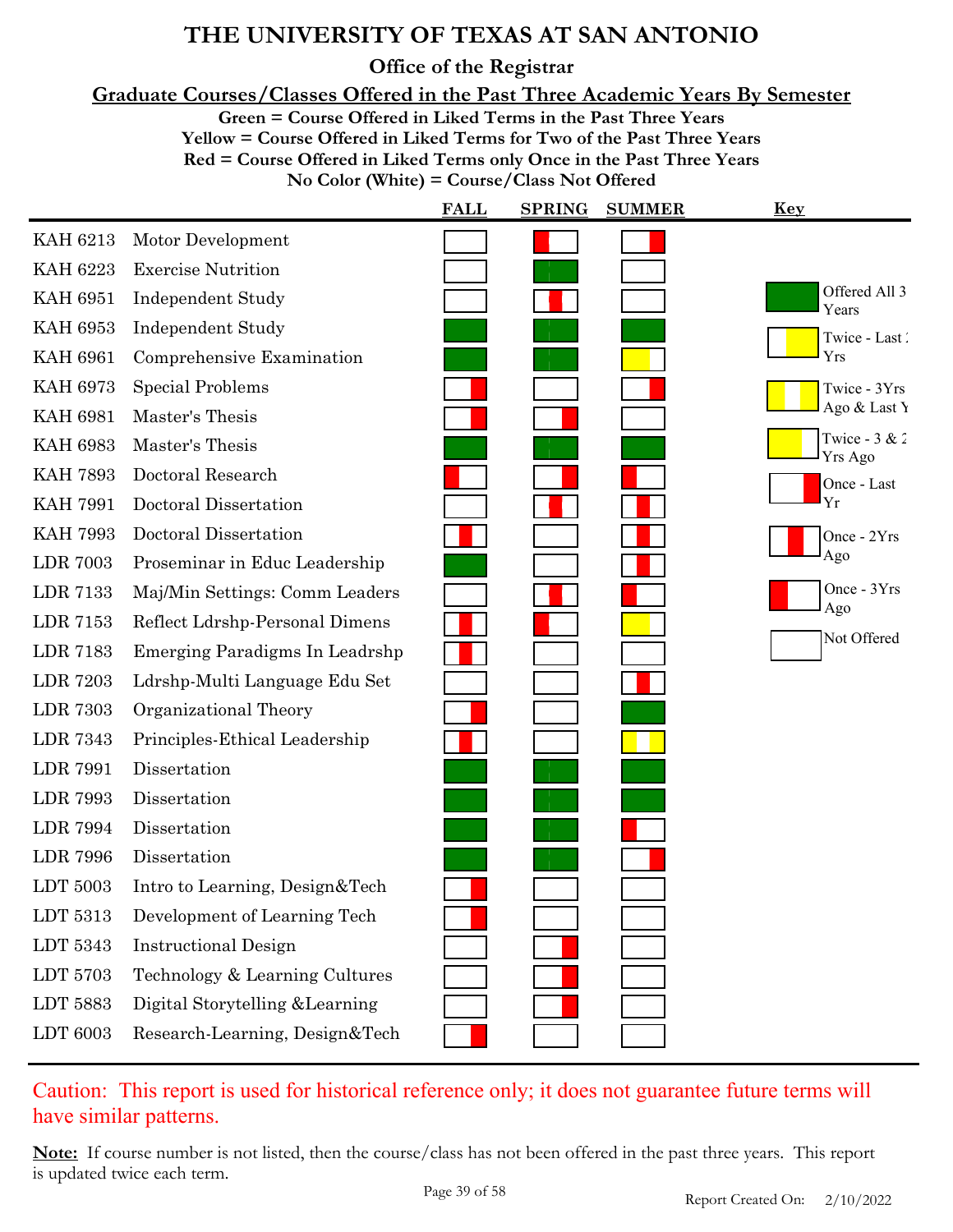**Office of the Registrar**

**Graduate Courses/Classes Offered in the Past Three Academic Years By Semester**

**Green = Course Offered in Liked Terms in the Past Three Years**

**Yellow = Course Offered in Liked Terms for Two of the Past Three Years**

**Red = Course Offered in Liked Terms only Once in the Past Three Years**

**No Color (White) = Course/Class Not Offered**

|                 |                                 | <b>FALL</b> | <b>SPRING</b> | <b>SUMMER</b> | <b>Key</b>                 |
|-----------------|---------------------------------|-------------|---------------|---------------|----------------------------|
| <b>KAH 6213</b> | Motor Development               |             |               |               |                            |
| <b>KAH 6223</b> | <b>Exercise Nutrition</b>       |             |               |               |                            |
| <b>KAH 6951</b> | <b>Independent Study</b>        |             |               |               | Offered All 3<br>Years     |
| <b>KAH 6953</b> | <b>Independent Study</b>        |             |               |               | Twice - Last               |
| <b>KAH 6961</b> | Comprehensive Examination       |             |               |               | Yrs                        |
| <b>KAH 6973</b> | <b>Special Problems</b>         |             |               |               | Twice - 3Yrs               |
| <b>KAH 6981</b> | Master's Thesis                 |             |               |               | Ago & Last Y               |
| <b>KAH 6983</b> | Master's Thesis                 |             |               |               | Twice - $3 & 2$<br>Yrs Ago |
| <b>KAH 7893</b> | Doctoral Research               |             |               |               | Once - Last                |
| <b>KAH 7991</b> | Doctoral Dissertation           |             |               |               | Yr                         |
| <b>KAH 7993</b> | Doctoral Dissertation           |             |               |               | Once - 2Yrs                |
| <b>LDR 7003</b> | Proseminar in Educ Leadership   |             |               |               | Ago                        |
| <b>LDR 7133</b> | Maj/Min Settings: Comm Leaders  |             |               |               | Once - 3Yrs<br>Ago         |
| LDR 7153        | Reflect Ldrshp-Personal Dimens  |             |               |               |                            |
| <b>LDR 7183</b> | Emerging Paradigms In Leadrshp  |             |               |               | Not Offered                |
| <b>LDR 7203</b> | Ldrshp-Multi Language Edu Set   |             |               |               |                            |
| <b>LDR 7303</b> | Organizational Theory           |             |               |               |                            |
| <b>LDR 7343</b> | Principles-Ethical Leadership   |             |               |               |                            |
| <b>LDR 7991</b> | Dissertation                    |             |               |               |                            |
| <b>LDR 7993</b> | Dissertation                    |             |               |               |                            |
| <b>LDR 7994</b> | Dissertation                    |             |               |               |                            |
| <b>LDR 7996</b> | Dissertation                    |             |               |               |                            |
| LDT 5003        | Intro to Learning, Design&Tech  |             |               |               |                            |
| LDT 5313        | Development of Learning Tech    |             |               |               |                            |
| LDT 5343        | <b>Instructional Design</b>     |             |               |               |                            |
| LDT 5703        | Technology & Learning Cultures  |             |               |               |                            |
| LDT 5883        | Digital Storytelling & Learning |             |               |               |                            |
| LDT 6003        | Research-Learning, Design&Tech  |             |               |               |                            |

Caution: This report is used for historical reference only; it does not guarantee future terms will have similar patterns.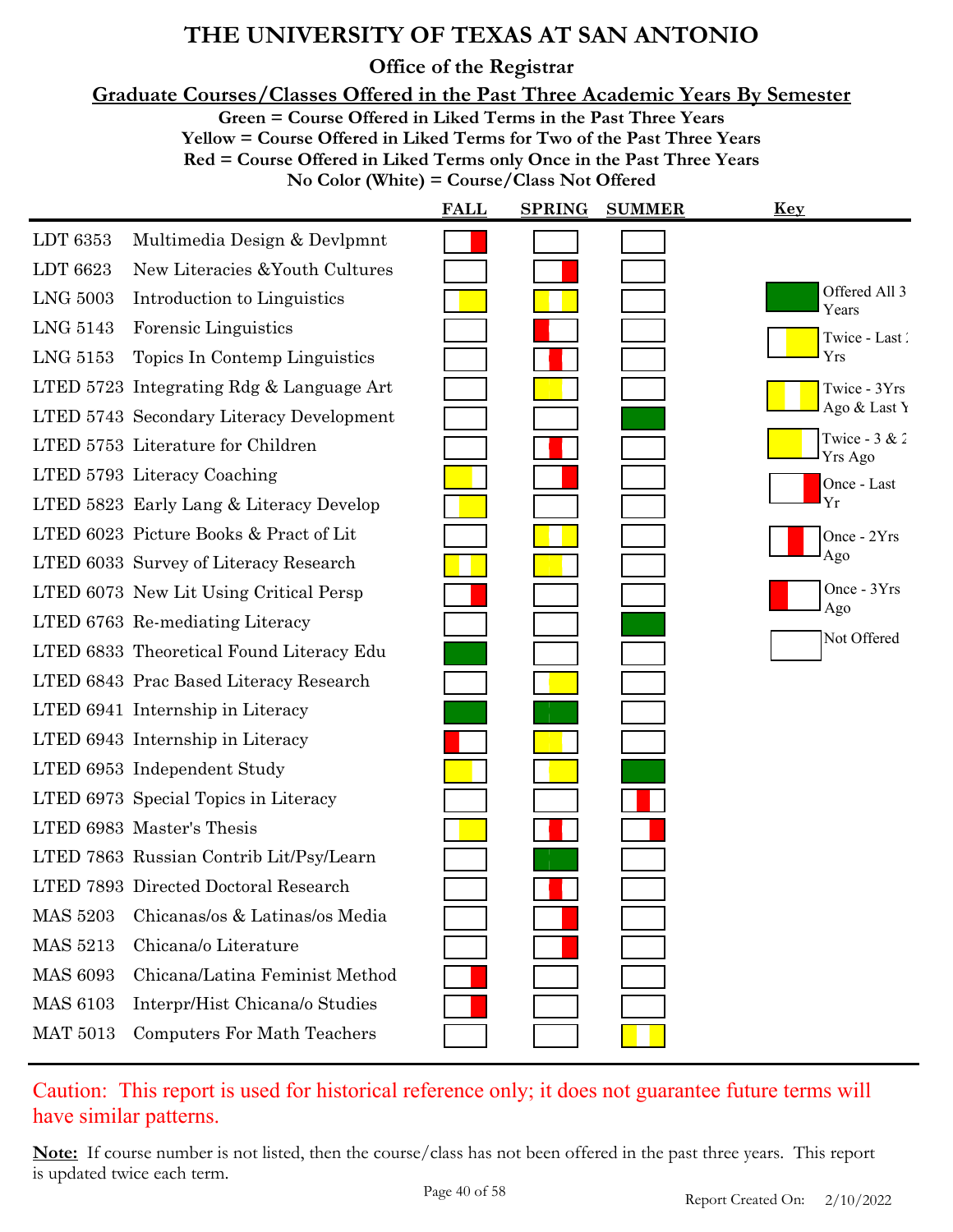**Office of the Registrar**

**Graduate Courses/Classes Offered in the Past Three Academic Years By Semester**

**Green = Course Offered in Liked Terms in the Past Three Years**

**Yellow = Course Offered in Liked Terms for Two of the Past Three Years**

**Red = Course Offered in Liked Terms only Once in the Past Three Years**

**No Color (White) = Course/Class Not Offered**

|                 |                                          | <b>FALL</b> | <b>SPRING</b> | <b>SUMMER</b> | Key                        |
|-----------------|------------------------------------------|-------------|---------------|---------------|----------------------------|
| LDT 6353        | Multimedia Design & Devlpmnt             |             |               |               |                            |
| LDT 6623        | New Literacies & Youth Cultures          |             |               |               |                            |
| <b>LNG 5003</b> | Introduction to Linguistics              |             |               |               | Offered All 3<br>Years     |
| LNG 5143        | Forensic Linguistics                     |             |               |               | Twice - Last               |
| LNG 5153        | Topics In Contemp Linguistics            |             |               |               | Yrs                        |
|                 | LTED 5723 Integrating Rdg & Language Art |             |               |               | Twice - 3Yrs               |
|                 | LTED 5743 Secondary Literacy Development |             |               |               | Ago & Last Y               |
|                 | LTED 5753 Literature for Children        |             |               |               | Twice - $3 & 2$<br>Yrs Ago |
|                 | LTED 5793 Literacy Coaching              |             |               |               | Once - Last                |
|                 | LTED 5823 Early Lang & Literacy Develop  |             |               |               | Yr                         |
|                 | LTED 6023 Picture Books & Pract of Lit   |             |               |               | Once - 2Yrs                |
|                 | LTED 6033 Survey of Literacy Research    |             |               |               | Ago                        |
|                 | LTED 6073 New Lit Using Critical Persp   |             |               |               | Once - 3Yrs                |
|                 | LTED 6763 Re-mediating Literacy          |             |               |               | Ago                        |
|                 | LTED 6833 Theoretical Found Literacy Edu |             |               |               | Not Offered                |
|                 | LTED 6843 Prac Based Literacy Research   |             |               |               |                            |
|                 | LTED 6941 Internship in Literacy         |             |               |               |                            |
|                 | LTED 6943 Internship in Literacy         |             |               |               |                            |
|                 | LTED 6953 Independent Study              |             |               |               |                            |
|                 | LTED 6973 Special Topics in Literacy     |             |               |               |                            |
|                 | LTED 6983 Master's Thesis                |             |               |               |                            |
|                 | LTED 7863 Russian Contrib Lit/Psy/Learn  |             |               |               |                            |
|                 | LTED 7893 Directed Doctoral Research     |             |               |               |                            |
| <b>MAS 5203</b> | Chicanas/os & Latinas/os Media           |             |               |               |                            |
| <b>MAS 5213</b> | Chicana/o Literature                     |             |               |               |                            |
| <b>MAS 6093</b> | Chicana/Latina Feminist Method           |             |               |               |                            |
| <b>MAS 6103</b> | Interpr/Hist Chicana/o Studies           |             |               |               |                            |
| <b>MAT 5013</b> | <b>Computers For Math Teachers</b>       |             |               |               |                            |

Caution: This report is used for historical reference only; it does not guarantee future terms will have similar patterns.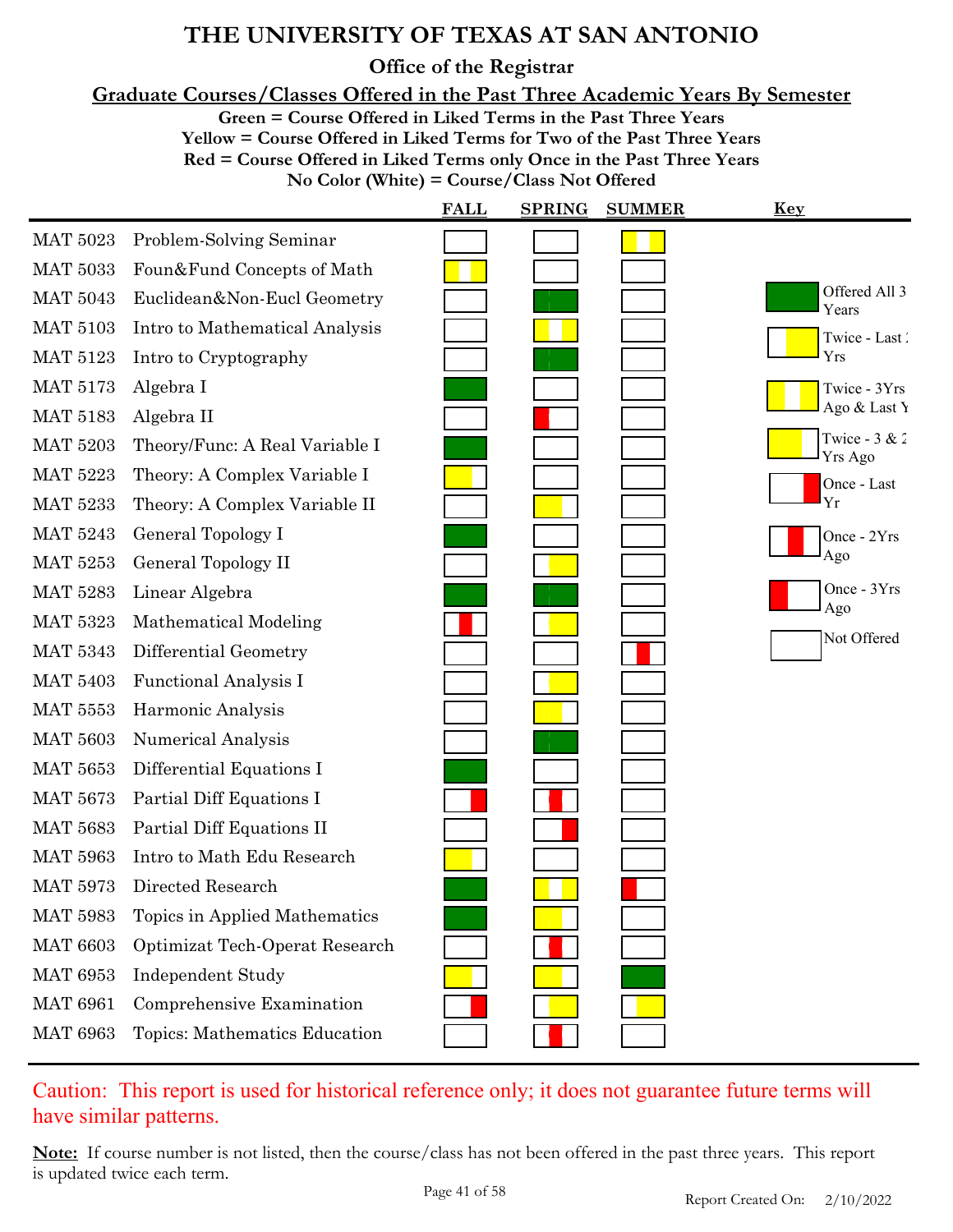**Office of the Registrar**

**Graduate Courses/Classes Offered in the Past Three Academic Years By Semester**

**Green = Course Offered in Liked Terms in the Past Three Years**

**Yellow = Course Offered in Liked Terms for Two of the Past Three Years**

**Red = Course Offered in Liked Terms only Once in the Past Three Years**

**No Color (White) = Course/Class Not Offered**

|                 |                                | <b>FALL</b> | <b>SPRING</b> | <b>SUMMER</b> | <u>Key</u>                 |
|-----------------|--------------------------------|-------------|---------------|---------------|----------------------------|
| <b>MAT 5023</b> | Problem-Solving Seminar        |             |               |               |                            |
| <b>MAT 5033</b> | Foun&Fund Concepts of Math     |             |               |               |                            |
| <b>MAT 5043</b> | Euclidean&Non-Eucl Geometry    |             |               |               | Offered All 3<br>Years     |
| <b>MAT 5103</b> | Intro to Mathematical Analysis |             |               |               | Twice - Last               |
| <b>MAT 5123</b> | Intro to Cryptography          |             |               |               | Yrs                        |
| <b>MAT 5173</b> | Algebra I                      |             |               |               | Twice - 3Yrs               |
| <b>MAT 5183</b> | Algebra II                     |             |               |               | Ago & Last Y               |
| <b>MAT 5203</b> | Theory/Func: A Real Variable I |             |               |               | Twice - $3 & 2$<br>Yrs Ago |
| <b>MAT 5223</b> | Theory: A Complex Variable I   |             |               |               | Once - Last                |
| <b>MAT 5233</b> | Theory: A Complex Variable II  |             |               |               | Yr                         |
| <b>MAT 5243</b> | General Topology I             |             |               |               | Once - 2Yrs                |
| <b>MAT 5253</b> | General Topology II            |             |               |               | Ago                        |
| <b>MAT 5283</b> | Linear Algebra                 |             |               |               | Once - 3Yrs<br>Ago         |
| <b>MAT 5323</b> | Mathematical Modeling          |             |               |               | Not Offered                |
| <b>MAT 5343</b> | Differential Geometry          |             |               |               |                            |
| <b>MAT 5403</b> | Functional Analysis I          |             |               |               |                            |
| <b>MAT 5553</b> | Harmonic Analysis              |             |               |               |                            |
| <b>MAT 5603</b> | Numerical Analysis             |             |               |               |                            |
| <b>MAT 5653</b> | Differential Equations I       |             |               |               |                            |
| <b>MAT 5673</b> | Partial Diff Equations I       |             |               |               |                            |
| <b>MAT 5683</b> | Partial Diff Equations II      |             |               |               |                            |
| <b>MAT 5963</b> | Intro to Math Edu Research     |             |               |               |                            |
| <b>MAT 5973</b> | Directed Research              |             |               |               |                            |
| <b>MAT 5983</b> | Topics in Applied Mathematics  |             |               |               |                            |
| <b>MAT 6603</b> | Optimizat Tech-Operat Research |             |               |               |                            |
| <b>MAT 6953</b> | <b>Independent Study</b>       |             |               |               |                            |
| <b>MAT 6961</b> | Comprehensive Examination      |             |               |               |                            |
| <b>MAT 6963</b> | Topics: Mathematics Education  |             |               |               |                            |

Caution: This report is used for historical reference only; it does not guarantee future terms will have similar patterns.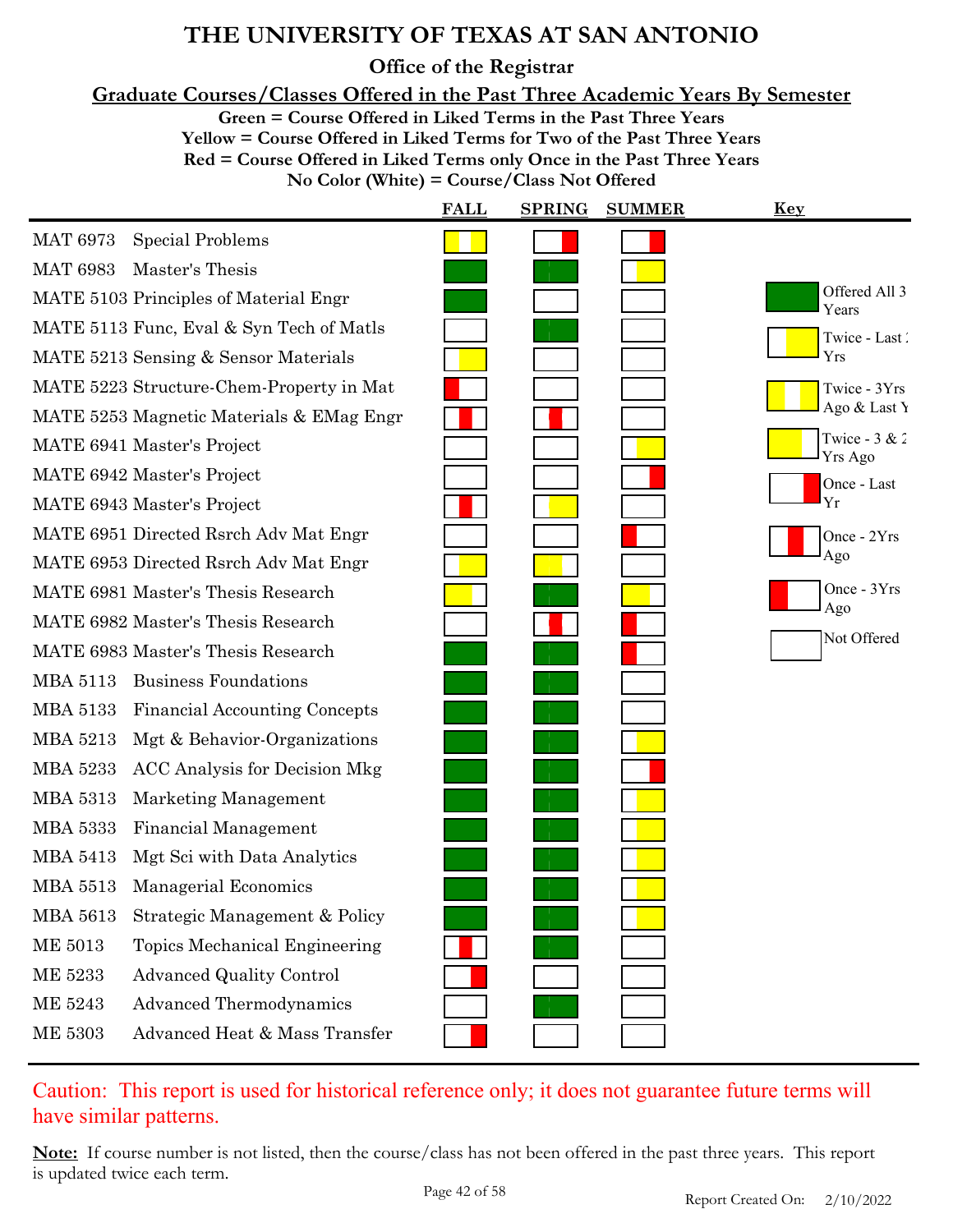**Office of the Registrar**

**Graduate Courses/Classes Offered in the Past Three Academic Years By Semester**

**Green = Course Offered in Liked Terms in the Past Three Years**

**Yellow = Course Offered in Liked Terms for Two of the Past Three Years Red = Course Offered in Liked Terms only Once in the Past Three Years**

**No Color (White) = Course/Class Not Offered**

|                                      | <b>FALL</b>                                                                                                                                                                                                                                                                                                                                                                                                                                                                                                     | <b>SPRING</b> | <b>SUMMER</b> | <b>Key</b>                 |
|--------------------------------------|-----------------------------------------------------------------------------------------------------------------------------------------------------------------------------------------------------------------------------------------------------------------------------------------------------------------------------------------------------------------------------------------------------------------------------------------------------------------------------------------------------------------|---------------|---------------|----------------------------|
| <b>Special Problems</b>              |                                                                                                                                                                                                                                                                                                                                                                                                                                                                                                                 |               |               |                            |
| Master's Thesis                      |                                                                                                                                                                                                                                                                                                                                                                                                                                                                                                                 |               |               |                            |
|                                      |                                                                                                                                                                                                                                                                                                                                                                                                                                                                                                                 |               |               | Offered All 3<br>Years     |
|                                      |                                                                                                                                                                                                                                                                                                                                                                                                                                                                                                                 |               |               | Twice - Last               |
|                                      |                                                                                                                                                                                                                                                                                                                                                                                                                                                                                                                 |               |               | Yrs                        |
|                                      |                                                                                                                                                                                                                                                                                                                                                                                                                                                                                                                 |               |               | Twice - 3Yrs               |
|                                      |                                                                                                                                                                                                                                                                                                                                                                                                                                                                                                                 |               |               | Ago & Last Y               |
|                                      |                                                                                                                                                                                                                                                                                                                                                                                                                                                                                                                 |               |               | Twice - $3 & 2$<br>Yrs Ago |
|                                      |                                                                                                                                                                                                                                                                                                                                                                                                                                                                                                                 |               |               | Once - Last                |
|                                      |                                                                                                                                                                                                                                                                                                                                                                                                                                                                                                                 |               |               | Yr                         |
|                                      |                                                                                                                                                                                                                                                                                                                                                                                                                                                                                                                 |               |               | Once - 2Yrs                |
|                                      |                                                                                                                                                                                                                                                                                                                                                                                                                                                                                                                 |               |               | Ago                        |
|                                      |                                                                                                                                                                                                                                                                                                                                                                                                                                                                                                                 |               |               | Once - 3Yrs<br>Ago         |
|                                      |                                                                                                                                                                                                                                                                                                                                                                                                                                                                                                                 |               |               | Not Offered                |
|                                      |                                                                                                                                                                                                                                                                                                                                                                                                                                                                                                                 |               |               |                            |
| <b>Business Foundations</b>          |                                                                                                                                                                                                                                                                                                                                                                                                                                                                                                                 |               |               |                            |
| <b>Financial Accounting Concepts</b> |                                                                                                                                                                                                                                                                                                                                                                                                                                                                                                                 |               |               |                            |
| Mgt & Behavior-Organizations         |                                                                                                                                                                                                                                                                                                                                                                                                                                                                                                                 |               |               |                            |
| <b>ACC Analysis for Decision Mkg</b> |                                                                                                                                                                                                                                                                                                                                                                                                                                                                                                                 |               |               |                            |
| Marketing Management                 |                                                                                                                                                                                                                                                                                                                                                                                                                                                                                                                 |               |               |                            |
| Financial Management                 |                                                                                                                                                                                                                                                                                                                                                                                                                                                                                                                 |               |               |                            |
| Mgt Sci with Data Analytics          |                                                                                                                                                                                                                                                                                                                                                                                                                                                                                                                 |               |               |                            |
| Managerial Economics                 |                                                                                                                                                                                                                                                                                                                                                                                                                                                                                                                 |               |               |                            |
| Strategic Management & Policy        |                                                                                                                                                                                                                                                                                                                                                                                                                                                                                                                 |               |               |                            |
| <b>Topics Mechanical Engineering</b> |                                                                                                                                                                                                                                                                                                                                                                                                                                                                                                                 |               |               |                            |
| <b>Advanced Quality Control</b>      |                                                                                                                                                                                                                                                                                                                                                                                                                                                                                                                 |               |               |                            |
| Advanced Thermodynamics              |                                                                                                                                                                                                                                                                                                                                                                                                                                                                                                                 |               |               |                            |
| Advanced Heat & Mass Transfer        |                                                                                                                                                                                                                                                                                                                                                                                                                                                                                                                 |               |               |                            |
|                                      | MATE 5103 Principles of Material Engr<br>MATE 5113 Func, Eval & Syn Tech of Matls<br>MATE 5213 Sensing & Sensor Materials<br>MATE 5223 Structure-Chem-Property in Mat<br>MATE 5253 Magnetic Materials & EMag Engr<br>MATE 6941 Master's Project<br>MATE 6942 Master's Project<br>MATE 6943 Master's Project<br>MATE 6951 Directed Rsrch Adv Mat Engr<br>MATE 6953 Directed Rsrch Adv Mat Engr<br>MATE 6981 Master's Thesis Research<br>MATE 6982 Master's Thesis Research<br>MATE 6983 Master's Thesis Research |               |               |                            |

### Caution: This report is used for historical reference only; it does not guarantee future terms will have similar patterns.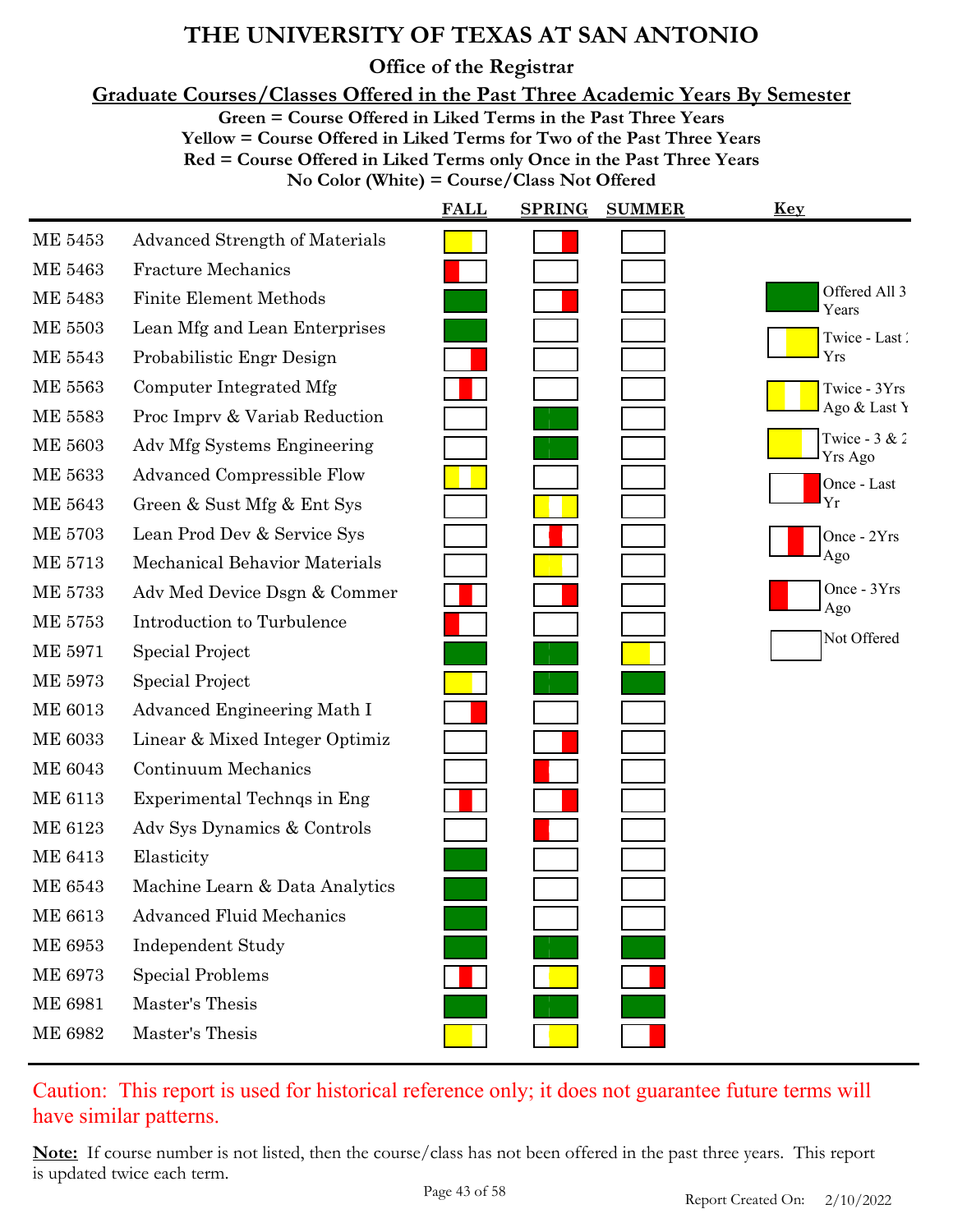**Office of the Registrar**

**Graduate Courses/Classes Offered in the Past Three Academic Years By Semester**

**Green = Course Offered in Liked Terms in the Past Three Years**

**Yellow = Course Offered in Liked Terms for Two of the Past Three Years**

**Red = Course Offered in Liked Terms only Once in the Past Three Years**

| No Color (White) = Course/Class Not Offered |  |
|---------------------------------------------|--|
|                                             |  |

|                |                                       | <b>FALL</b> | <b>SPRING</b><br><b>SUMMER</b> | <b>Key</b>                 |
|----------------|---------------------------------------|-------------|--------------------------------|----------------------------|
| <b>ME 5453</b> | <b>Advanced Strength of Materials</b> |             |                                |                            |
| ME 5463        | <b>Fracture Mechanics</b>             |             |                                |                            |
| <b>ME 5483</b> | <b>Finite Element Methods</b>         |             |                                | Offered All 3<br>Years     |
| <b>ME 5503</b> | Lean Mfg and Lean Enterprises         |             |                                | Twice - Last               |
| ME 5543        | Probabilistic Engr Design             |             |                                | Yrs                        |
| ME 5563        | Computer Integrated Mfg               |             |                                | Twice - 3Yrs               |
| <b>ME 5583</b> | Proc Impry & Variab Reduction         |             |                                | Ago & Last Y               |
| ME 5603        | Adv Mfg Systems Engineering           |             |                                | Twice - $3 & 2$<br>Yrs Ago |
| ME 5633        | <b>Advanced Compressible Flow</b>     |             |                                | Once - Last                |
| ME 5643        | Green & Sust Mfg & Ent Sys            |             |                                | Yr                         |
| <b>ME 5703</b> | Lean Prod Dev & Service Sys           |             |                                | Once - 2Yrs                |
| ME 5713        | Mechanical Behavior Materials         |             |                                | Ago                        |
| <b>ME 5733</b> | Adv Med Device Dsgn & Commer          |             |                                | Once - 3Yrs<br>Ago         |
| <b>ME 5753</b> | Introduction to Turbulence            |             |                                | Not Offered                |
| <b>ME 5971</b> | <b>Special Project</b>                |             |                                |                            |
| ME 5973        | Special Project                       |             |                                |                            |
| <b>ME 6013</b> | Advanced Engineering Math I           |             |                                |                            |
| <b>ME 6033</b> | Linear & Mixed Integer Optimiz        |             |                                |                            |
| <b>ME 6043</b> | <b>Continuum Mechanics</b>            |             |                                |                            |
| ME 6113        | Experimental Technqs in Eng           |             |                                |                            |
| <b>ME 6123</b> | Adv Sys Dynamics & Controls           |             |                                |                            |
| ME 6413        | Elasticity                            |             |                                |                            |
| <b>ME 6543</b> | Machine Learn & Data Analytics        |             |                                |                            |
| ME 6613        | <b>Advanced Fluid Mechanics</b>       |             |                                |                            |
| ME 6953        | <b>Independent Study</b>              |             |                                |                            |
| <b>ME 6973</b> | <b>Special Problems</b>               |             |                                |                            |
| <b>ME 6981</b> | Master's Thesis                       |             |                                |                            |
| <b>ME 6982</b> | Master's Thesis                       |             |                                |                            |

### Caution: This report is used for historical reference only; it does not guarantee future terms will have similar patterns.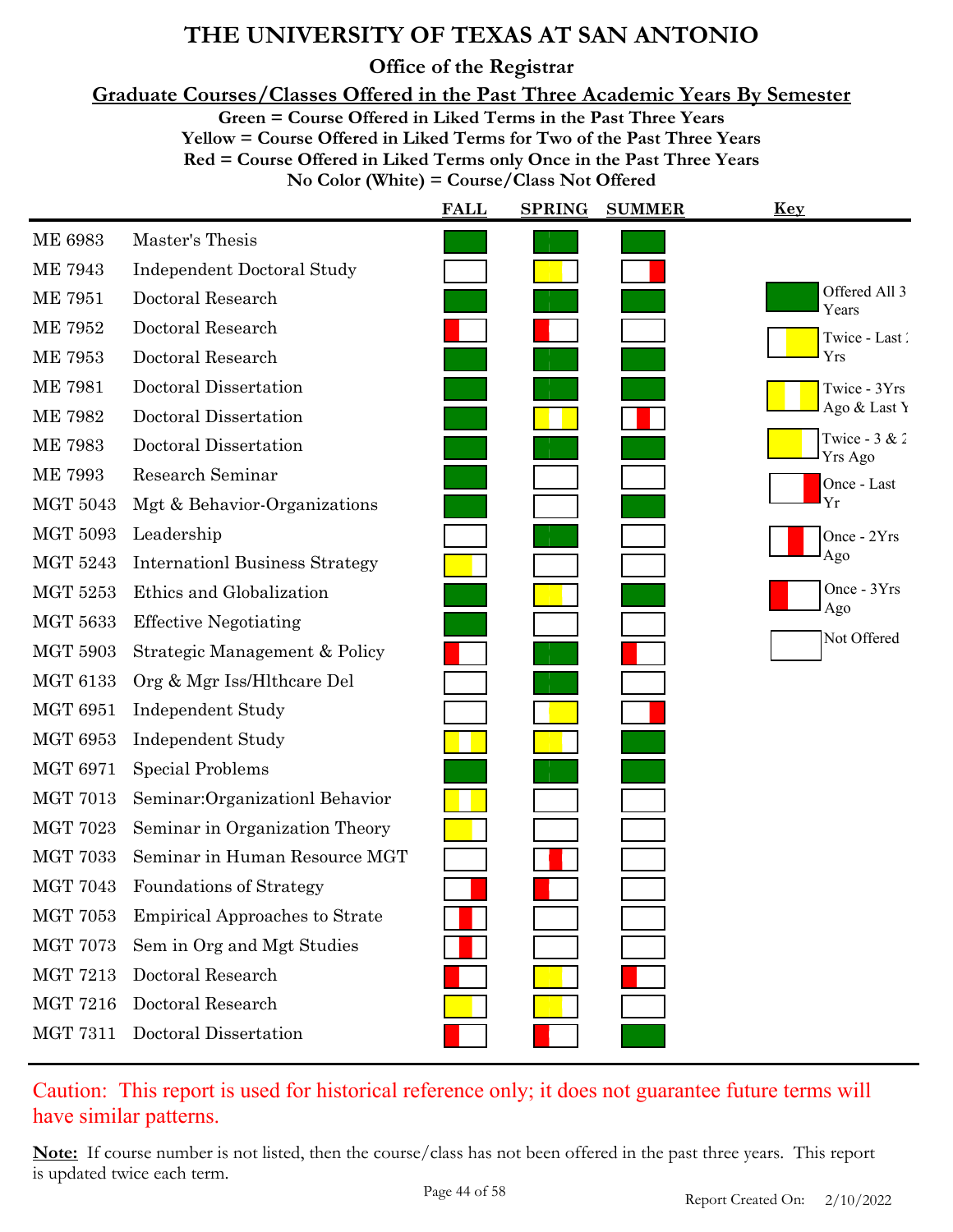**Office of the Registrar**

**Graduate Courses/Classes Offered in the Past Three Academic Years By Semester**

**Green = Course Offered in Liked Terms in the Past Three Years**

**Yellow = Course Offered in Liked Terms for Two of the Past Three Years Red = Course Offered in Liked Terms only Once in the Past Three Years No Color (White) = Course/Class Not Offered**

|                 |                                       | <b>FALL</b> | <b>SPRING</b> | <b>SUMMER</b> | <b>Key</b>                 |
|-----------------|---------------------------------------|-------------|---------------|---------------|----------------------------|
| <b>ME 6983</b>  | Master's Thesis                       |             |               |               |                            |
| <b>ME 7943</b>  | <b>Independent Doctoral Study</b>     |             |               |               |                            |
| <b>ME 7951</b>  | Doctoral Research                     |             |               |               | Offered All 3<br>Years     |
| <b>ME 7952</b>  | Doctoral Research                     |             |               |               | Twice - Last               |
| <b>ME 7953</b>  | Doctoral Research                     |             |               |               | Yrs                        |
| <b>ME 7981</b>  | Doctoral Dissertation                 |             |               |               | Twice - 3Yrs               |
| <b>ME 7982</b>  | Doctoral Dissertation                 |             |               |               | Ago & Last Y               |
| <b>ME 7983</b>  | Doctoral Dissertation                 |             |               |               | Twice - $3 & 2$<br>Yrs Ago |
| <b>ME 7993</b>  | Research Seminar                      |             |               |               | Once - Last                |
| <b>MGT 5043</b> | Mgt & Behavior-Organizations          |             |               |               | Yr                         |
| <b>MGT 5093</b> | Leadership                            |             |               |               | Once - 2Yrs                |
| <b>MGT 5243</b> | <b>Internationl Business Strategy</b> |             |               |               | Ago                        |
| <b>MGT 5253</b> | Ethics and Globalization              |             |               |               | Once - 3Yrs<br>Ago         |
| <b>MGT 5633</b> | <b>Effective Negotiating</b>          |             |               |               |                            |
| <b>MGT 5903</b> | Strategic Management & Policy         |             |               |               | Not Offered                |
| <b>MGT 6133</b> | Org & Mgr Iss/Hlthcare Del            |             |               |               |                            |
| <b>MGT 6951</b> | <b>Independent Study</b>              |             |               |               |                            |
| <b>MGT 6953</b> | <b>Independent Study</b>              |             |               |               |                            |
| <b>MGT 6971</b> | <b>Special Problems</b>               |             |               |               |                            |
| <b>MGT 7013</b> | Seminar: Organizationl Behavior       |             |               |               |                            |
| <b>MGT 7023</b> | Seminar in Organization Theory        |             |               |               |                            |
| <b>MGT 7033</b> | Seminar in Human Resource MGT         |             |               |               |                            |
| <b>MGT 7043</b> | Foundations of Strategy               |             |               |               |                            |
| <b>MGT 7053</b> | <b>Empirical Approaches to Strate</b> |             |               |               |                            |
| <b>MGT 7073</b> | Sem in Org and Mgt Studies            |             |               |               |                            |
| <b>MGT 7213</b> | Doctoral Research                     |             |               |               |                            |
| <b>MGT 7216</b> | Doctoral Research                     |             |               |               |                            |
| <b>MGT 7311</b> | Doctoral Dissertation                 |             |               |               |                            |

Caution: This report is used for historical reference only; it does not guarantee future terms will have similar patterns.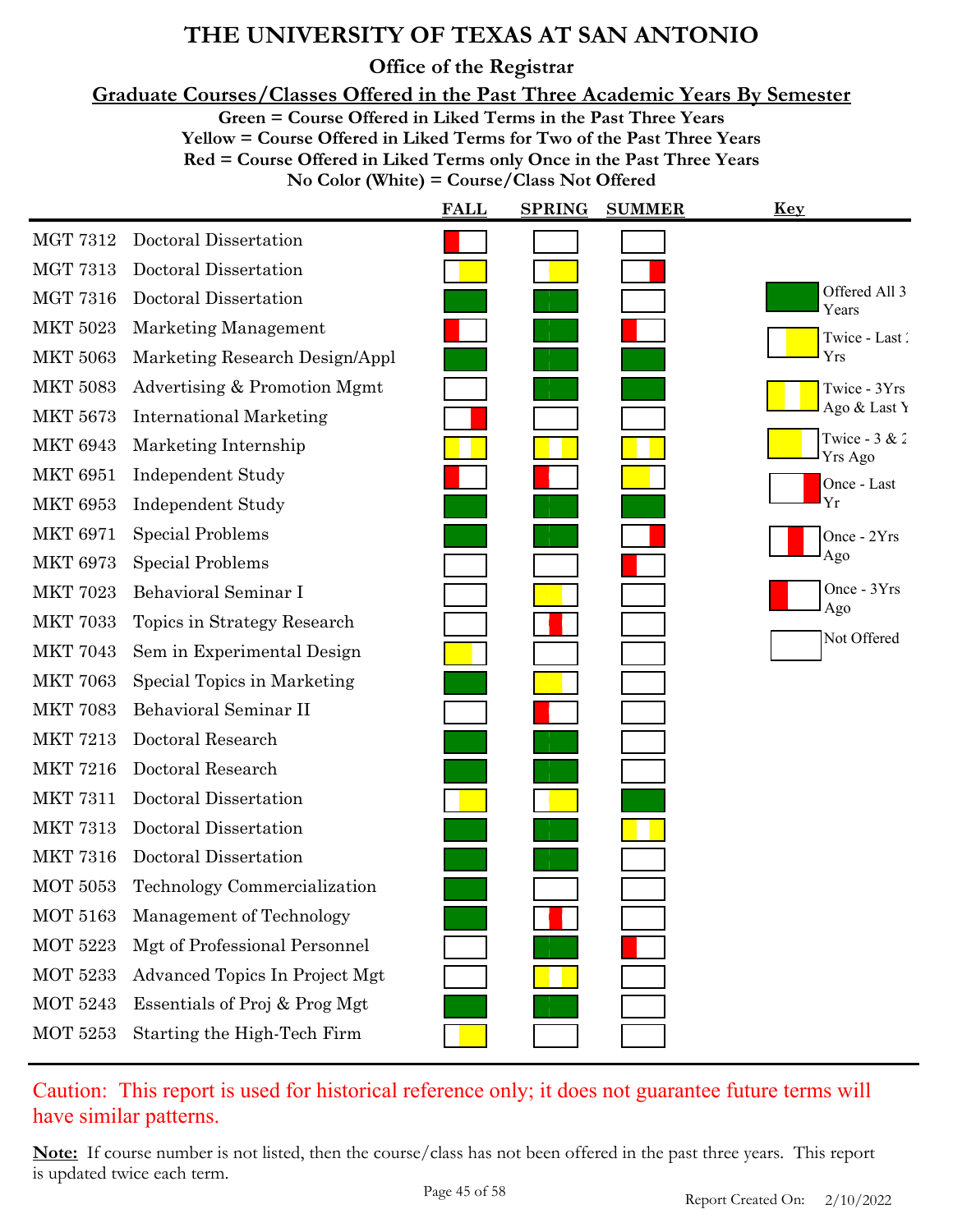**Office of the Registrar**

**Graduate Courses/Classes Offered in the Past Three Academic Years By Semester**

**Green = Course Offered in Liked Terms in the Past Three Years**

**Yellow = Course Offered in Liked Terms for Two of the Past Three Years**

**Red = Course Offered in Liked Terms only Once in the Past Three Years**

**No Color (White) = Course/Class Not Offered**

|                 |                                | <b>FALL</b> | <b>SPRING</b> | <b>SUMMER</b> | <u>Key</u>                 |
|-----------------|--------------------------------|-------------|---------------|---------------|----------------------------|
| <b>MGT 7312</b> | Doctoral Dissertation          |             |               |               |                            |
| <b>MGT 7313</b> | Doctoral Dissertation          |             |               |               |                            |
| <b>MGT 7316</b> | Doctoral Dissertation          |             |               |               | Offered All 3<br>Years     |
| <b>MKT 5023</b> | Marketing Management           |             |               |               | Twice - Last               |
| <b>MKT 5063</b> | Marketing Research Design/Appl |             |               |               | Yrs                        |
| <b>MKT 5083</b> | Advertising & Promotion Mgmt   |             |               |               | Twice - 3Yrs               |
| <b>MKT 5673</b> | <b>International Marketing</b> |             |               |               | Ago & Last Y               |
| <b>MKT 6943</b> | Marketing Internship           |             |               |               | Twice - $3 & 2$<br>Yrs Ago |
| <b>MKT 6951</b> | <b>Independent Study</b>       |             |               |               | Once - Last                |
| <b>MKT 6953</b> | <b>Independent Study</b>       |             |               |               | Yr                         |
| <b>MKT 6971</b> | <b>Special Problems</b>        |             |               |               | Once - 2Yrs                |
| <b>MKT 6973</b> | <b>Special Problems</b>        |             |               |               | Ago                        |
| <b>MKT 7023</b> | Behavioral Seminar I           |             |               |               | Once - 3Yrs<br>Ago         |
| <b>MKT 7033</b> | Topics in Strategy Research    |             |               |               |                            |
| <b>MKT 7043</b> | Sem in Experimental Design     |             |               |               | Not Offered                |
| <b>MKT 7063</b> | Special Topics in Marketing    |             |               |               |                            |
| <b>MKT 7083</b> | Behavioral Seminar II          |             |               |               |                            |
| <b>MKT 7213</b> | Doctoral Research              |             |               |               |                            |
| <b>MKT 7216</b> | Doctoral Research              |             |               |               |                            |
| <b>MKT 7311</b> | Doctoral Dissertation          |             |               |               |                            |
| <b>MKT 7313</b> | Doctoral Dissertation          |             |               |               |                            |
| <b>MKT 7316</b> | Doctoral Dissertation          |             |               |               |                            |
| <b>MOT 5053</b> | Technology Commercialization   |             |               |               |                            |
| MOT 5163        | Management of Technology       |             |               |               |                            |
| <b>MOT 5223</b> | Mgt of Professional Personnel  |             |               |               |                            |
| <b>MOT 5233</b> | Advanced Topics In Project Mgt |             |               |               |                            |
| <b>MOT 5243</b> | Essentials of Proj & Prog Mgt  |             |               |               |                            |
| <b>MOT 5253</b> | Starting the High-Tech Firm    |             |               |               |                            |

Caution: This report is used for historical reference only; it does not guarantee future terms will have similar patterns.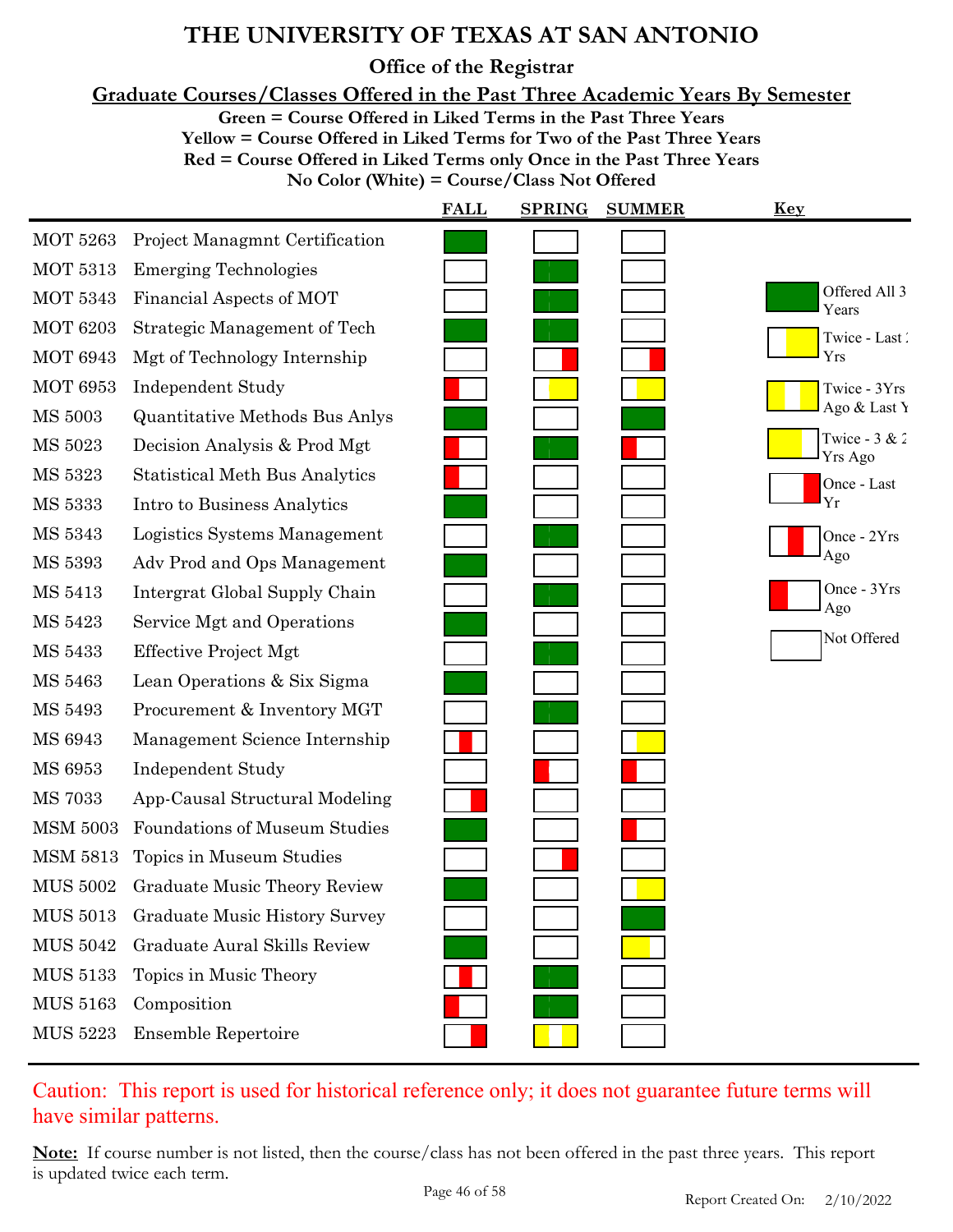**Office of the Registrar**

**Graduate Courses/Classes Offered in the Past Three Academic Years By Semester**

**Green = Course Offered in Liked Terms in the Past Three Years**

**Yellow = Course Offered in Liked Terms for Two of the Past Three Years**

**Red = Course Offered in Liked Terms only Once in the Past Three Years**

**No Color (White) = Course/Class Not Offered**

|                 |                                       | <b>FALL</b> | <b>SPRING</b> | <b>SUMMER</b> | <u>Key</u>                 |
|-----------------|---------------------------------------|-------------|---------------|---------------|----------------------------|
| <b>MOT 5263</b> | <b>Project Managmnt Certification</b> |             |               |               |                            |
| <b>MOT 5313</b> | <b>Emerging Technologies</b>          |             |               |               |                            |
| <b>MOT 5343</b> | Financial Aspects of MOT              |             |               |               | Offered All 3<br>Years     |
| <b>MOT 6203</b> | <b>Strategic Management of Tech</b>   |             |               |               | Twice - Last               |
| <b>MOT 6943</b> | Mgt of Technology Internship          |             |               |               | Yrs                        |
| <b>MOT 6953</b> | <b>Independent Study</b>              |             |               |               | Twice - 3Yrs               |
| <b>MS 5003</b>  | Quantitative Methods Bus Anlys        |             |               |               | Ago & Last Y               |
| MS 5023         | Decision Analysis & Prod Mgt          |             |               |               | Twice - $3 & 2$<br>Yrs Ago |
| MS 5323         | <b>Statistical Meth Bus Analytics</b> |             |               |               | Once - Last                |
| MS 5333         | Intro to Business Analytics           |             |               |               | Yr                         |
| MS 5343         | Logistics Systems Management          |             |               |               | Once - 2Yrs                |
| <b>MS 5393</b>  | Adv Prod and Ops Management           |             |               |               | Ago                        |
| MS 5413         | Intergrat Global Supply Chain         |             |               |               | Once - 3Yrs<br>Ago         |
| MS 5423         | Service Mgt and Operations            |             |               |               |                            |
| MS 5433         | <b>Effective Project Mgt</b>          |             |               |               | Not Offered                |
| MS 5463         | Lean Operations & Six Sigma           |             |               |               |                            |
| MS 5493         | Procurement & Inventory MGT           |             |               |               |                            |
| MS 6943         | Management Science Internship         |             |               |               |                            |
| MS 6953         | <b>Independent Study</b>              |             |               |               |                            |
| <b>MS 7033</b>  | App-Causal Structural Modeling        |             |               |               |                            |
| <b>MSM 5003</b> | <b>Foundations of Museum Studies</b>  |             |               |               |                            |
| <b>MSM 5813</b> | Topics in Museum Studies              |             |               |               |                            |
| <b>MUS 5002</b> | <b>Graduate Music Theory Review</b>   |             |               |               |                            |
| <b>MUS 5013</b> | <b>Graduate Music History Survey</b>  |             |               |               |                            |
| <b>MUS 5042</b> | <b>Graduate Aural Skills Review</b>   |             |               |               |                            |
| MUS 5133        | Topics in Music Theory                |             |               |               |                            |
| <b>MUS 5163</b> | Composition                           |             |               |               |                            |
| <b>MUS 5223</b> | <b>Ensemble Repertoire</b>            |             |               |               |                            |

### Caution: This report is used for historical reference only; it does not guarantee future terms will have similar patterns.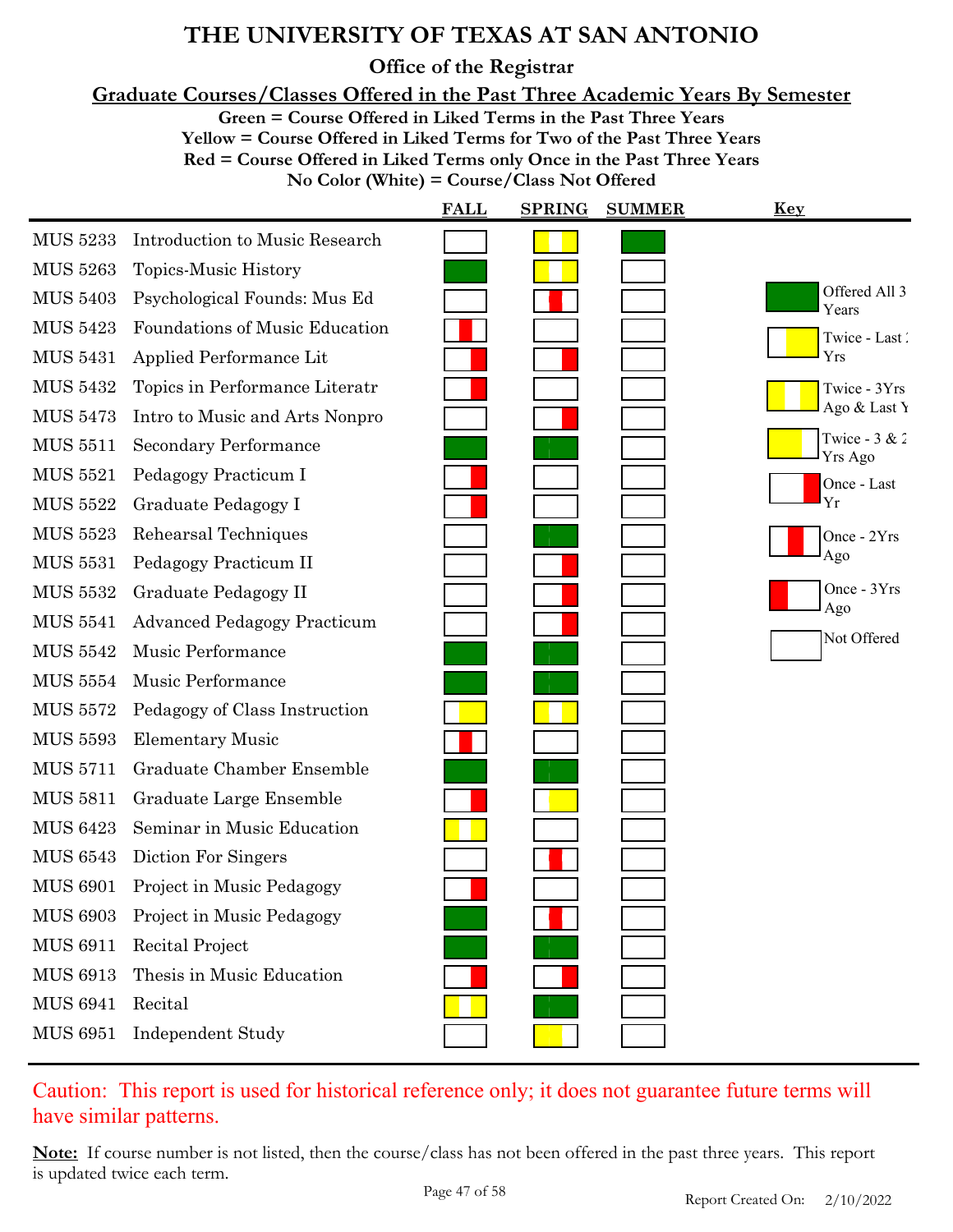**Office of the Registrar**

**Graduate Courses/Classes Offered in the Past Three Academic Years By Semester**

**Green = Course Offered in Liked Terms in the Past Three Years**

**Yellow = Course Offered in Liked Terms for Two of the Past Three Years Red = Course Offered in Liked Terms only Once in the Past Three Years**

**No Color (White) = Course/Class Not Offered**

|                 |                                       | <b>FALL</b> | <b>SPRING</b> | <b>SUMMER</b> | <b>Key</b>                 |
|-----------------|---------------------------------------|-------------|---------------|---------------|----------------------------|
| <b>MUS 5233</b> | <b>Introduction to Music Research</b> |             |               |               |                            |
| <b>MUS 5263</b> | Topics-Music History                  |             |               |               |                            |
| <b>MUS 5403</b> | Psychological Founds: Mus Ed          |             |               |               | Offered All 3<br>Years     |
| <b>MUS 5423</b> | Foundations of Music Education        |             |               |               | Twice - Last               |
| <b>MUS 5431</b> | Applied Performance Lit               |             |               |               | Yrs                        |
| <b>MUS 5432</b> | Topics in Performance Literatr        |             |               |               | Twice - 3Yrs               |
| <b>MUS 5473</b> | Intro to Music and Arts Nonpro        |             |               |               | Ago & Last Y               |
| <b>MUS 5511</b> | <b>Secondary Performance</b>          |             |               |               | Twice - $3 & 2$<br>Yrs Ago |
| <b>MUS 5521</b> | Pedagogy Practicum I                  |             |               |               | Once - Last                |
| <b>MUS 5522</b> | Graduate Pedagogy I                   |             |               |               | Yr                         |
| <b>MUS 5523</b> | Rehearsal Techniques                  |             |               |               | Once - 2Yrs                |
| <b>MUS 5531</b> | Pedagogy Practicum II                 |             |               |               | Ago                        |
| <b>MUS 5532</b> | Graduate Pedagogy II                  |             |               |               | Once - 3Yrs<br>Ago         |
| <b>MUS 5541</b> | <b>Advanced Pedagogy Practicum</b>    |             |               |               | Not Offered                |
| <b>MUS 5542</b> | Music Performance                     |             |               |               |                            |
| <b>MUS 5554</b> | Music Performance                     |             |               |               |                            |
| <b>MUS 5572</b> | Pedagogy of Class Instruction         |             |               |               |                            |
| <b>MUS 5593</b> | <b>Elementary Music</b>               |             |               |               |                            |
| <b>MUS 5711</b> | Graduate Chamber Ensemble             |             |               |               |                            |
| <b>MUS 5811</b> | Graduate Large Ensemble               |             |               |               |                            |
| <b>MUS 6423</b> | Seminar in Music Education            |             |               |               |                            |
| <b>MUS 6543</b> | Diction For Singers                   |             |               |               |                            |
| <b>MUS 6901</b> | Project in Music Pedagogy             |             |               |               |                            |
| <b>MUS 6903</b> | Project in Music Pedagogy             |             |               |               |                            |
| <b>MUS 6911</b> | Recital Project                       |             |               |               |                            |
| <b>MUS 6913</b> | Thesis in Music Education             |             |               |               |                            |
| <b>MUS 6941</b> | Recital                               |             |               |               |                            |
| <b>MUS 6951</b> | <b>Independent Study</b>              |             |               |               |                            |
|                 |                                       |             |               |               |                            |

Caution: This report is used for historical reference only; it does not guarantee future terms will have similar patterns.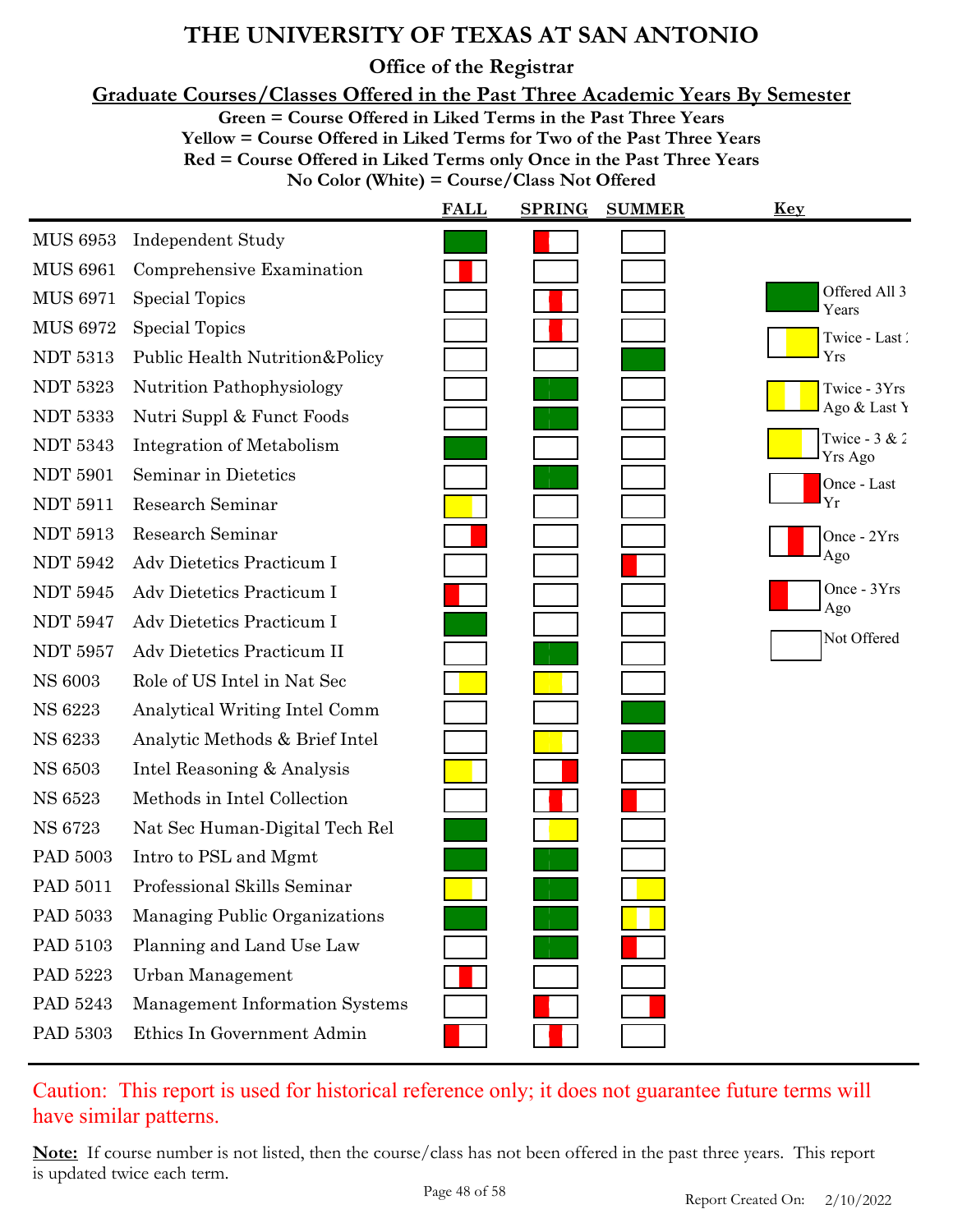**Office of the Registrar**

**Graduate Courses/Classes Offered in the Past Three Academic Years By Semester**

**Green = Course Offered in Liked Terms in the Past Three Years**

**Yellow = Course Offered in Liked Terms for Two of the Past Three Years**

**Red = Course Offered in Liked Terms only Once in the Past Three Years**

**No Color (White) = Course/Class Not Offered**

|                 |                                | <b>FALL</b> | <b>SPRING</b> | <b>SUMMER</b> | <u>Key</u>                 |
|-----------------|--------------------------------|-------------|---------------|---------------|----------------------------|
| <b>MUS 6953</b> | <b>Independent Study</b>       |             |               |               |                            |
| <b>MUS 6961</b> | Comprehensive Examination      |             |               |               |                            |
| <b>MUS 6971</b> | Special Topics                 |             |               |               | Offered All 3<br>Years     |
| <b>MUS 6972</b> | Special Topics                 |             |               |               | Twice - Last               |
| <b>NDT 5313</b> | Public Health Nutrition&Policy |             |               |               | Yrs                        |
| <b>NDT 5323</b> | Nutrition Pathophysiology      |             |               |               | Twice - 3Yrs               |
| <b>NDT 5333</b> | Nutri Suppl & Funct Foods      |             |               |               | Ago & Last Y               |
| <b>NDT 5343</b> | Integration of Metabolism      |             |               |               | Twice - $3 & 2$<br>Yrs Ago |
| <b>NDT 5901</b> | Seminar in Dietetics           |             |               |               | Once - Last                |
| <b>NDT 5911</b> | Research Seminar               |             |               |               | Yr                         |
| <b>NDT 5913</b> | Research Seminar               |             |               |               | Once - 2Yrs                |
| <b>NDT 5942</b> | Adv Dietetics Practicum I      |             |               |               | Ago                        |
| <b>NDT 5945</b> | Adv Dietetics Practicum I      |             |               |               | Once - 3Yrs<br>Ago         |
| <b>NDT 5947</b> | Adv Dietetics Practicum I      |             |               |               | Not Offered                |
| <b>NDT 5957</b> | Adv Dietetics Practicum II     |             |               |               |                            |
| <b>NS 6003</b>  | Role of US Intel in Nat Sec    |             |               |               |                            |
| NS 6223         | Analytical Writing Intel Comm  |             |               |               |                            |
| <b>NS 6233</b>  | Analytic Methods & Brief Intel |             |               |               |                            |
| <b>NS 6503</b>  | Intel Reasoning & Analysis     |             |               |               |                            |
| <b>NS 6523</b>  | Methods in Intel Collection    |             |               |               |                            |
| <b>NS 6723</b>  | Nat Sec Human-Digital Tech Rel |             |               |               |                            |
| PAD 5003        | Intro to PSL and Mgmt          |             |               |               |                            |
| PAD 5011        | Professional Skills Seminar    |             |               |               |                            |
| PAD 5033        | Managing Public Organizations  |             |               |               |                            |
| PAD 5103        | Planning and Land Use Law      |             |               |               |                            |
| PAD 5223        | Urban Management               |             |               |               |                            |
| PAD 5243        | Management Information Systems |             |               |               |                            |
| PAD 5303        | Ethics In Government Admin     |             |               |               |                            |

Caution: This report is used for historical reference only; it does not guarantee future terms will have similar patterns.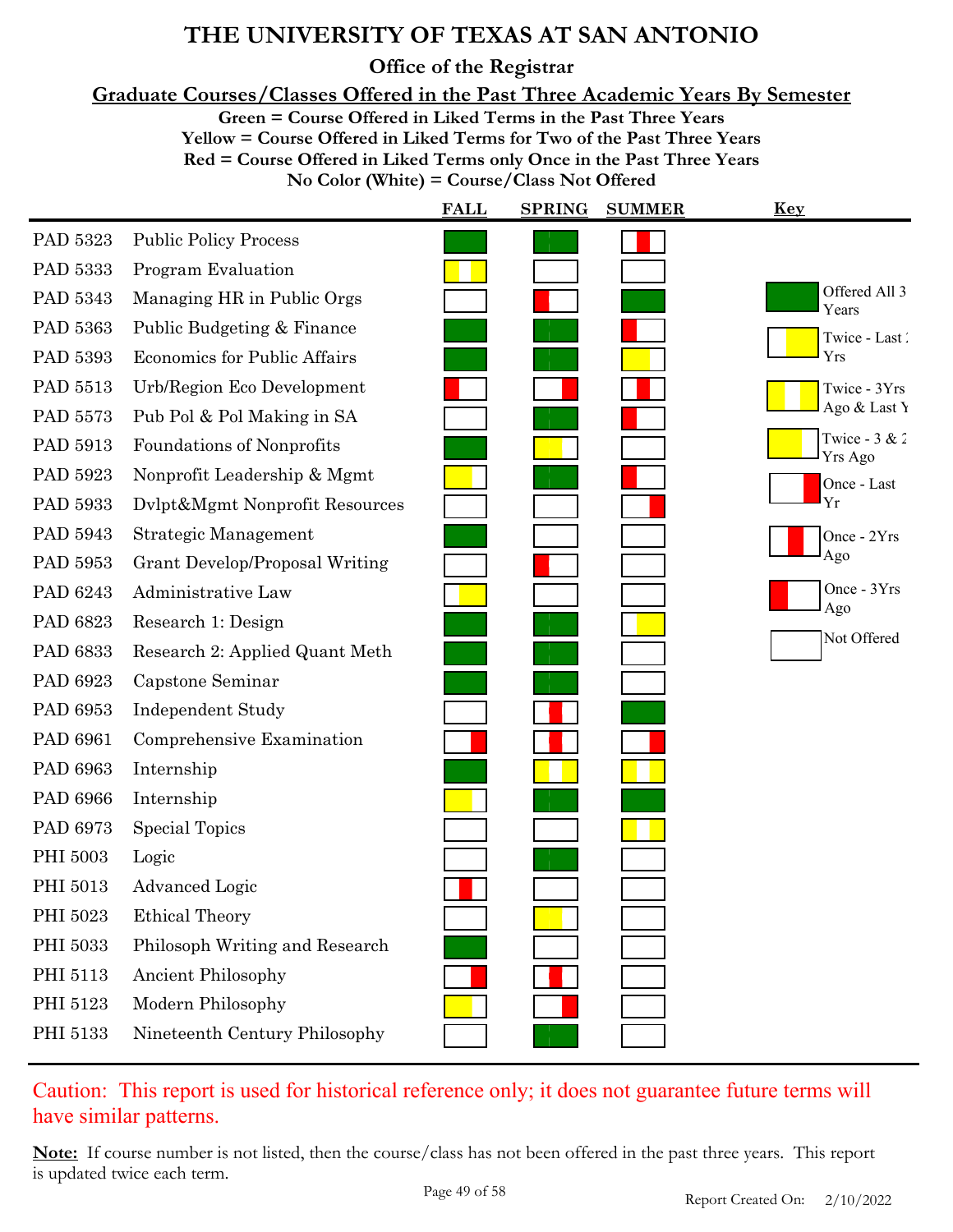**Office of the Registrar**

**Graduate Courses/Classes Offered in the Past Three Academic Years By Semester**

**Green = Course Offered in Liked Terms in the Past Three Years**

**Yellow = Course Offered in Liked Terms for Two of the Past Three Years Red = Course Offered in Liked Terms only Once in the Past Three Years**

**No Color (White) = Course/Class Not Offered**

|          |                                     | <b>FALL</b> | <b>SPRING</b> | <b>SUMMER</b> | Key                        |
|----------|-------------------------------------|-------------|---------------|---------------|----------------------------|
| PAD 5323 | <b>Public Policy Process</b>        |             |               |               |                            |
| PAD 5333 | Program Evaluation                  |             |               |               |                            |
| PAD 5343 | Managing HR in Public Orgs          |             |               |               | Offered All 3<br>Years     |
| PAD 5363 | Public Budgeting & Finance          |             |               |               | Twice - Last               |
| PAD 5393 | <b>Economics for Public Affairs</b> |             |               |               | Yrs                        |
| PAD 5513 | Urb/Region Eco Development          |             |               |               | Twice - 3Yrs               |
| PAD 5573 | Pub Pol & Pol Making in SA          |             |               |               | Ago & Last Y               |
| PAD 5913 | Foundations of Nonprofits           |             |               |               | Twice - $3 & 2$<br>Yrs Ago |
| PAD 5923 | Nonprofit Leadership & Mgmt         |             |               |               | Once - Last                |
| PAD 5933 | Dvlpt&Mgmt Nonprofit Resources      |             |               |               | Yr                         |
| PAD 5943 | Strategic Management                |             |               |               | Once - 2Yrs                |
| PAD 5953 | Grant Develop/Proposal Writing      |             |               |               | Ago                        |
| PAD 6243 | Administrative Law                  |             |               |               | Once - 3Yrs<br>Ago         |
| PAD 6823 | Research 1: Design                  |             |               |               | Not Offered                |
| PAD 6833 | Research 2: Applied Quant Meth      |             |               |               |                            |
| PAD 6923 | Capstone Seminar                    |             |               |               |                            |
| PAD 6953 | <b>Independent Study</b>            |             |               |               |                            |
| PAD 6961 | Comprehensive Examination           |             |               |               |                            |
| PAD 6963 | Internship                          |             |               |               |                            |
| PAD 6966 | Internship                          |             |               |               |                            |
| PAD 6973 | Special Topics                      |             |               |               |                            |
| PHI 5003 | Logic                               |             |               |               |                            |
| PHI 5013 | <b>Advanced Logic</b>               |             |               |               |                            |
| PHI 5023 | <b>Ethical Theory</b>               |             |               |               |                            |
| PHI 5033 | Philosoph Writing and Research      |             |               |               |                            |
| PHI 5113 | <b>Ancient Philosophy</b>           |             |               |               |                            |
| PHI 5123 | Modern Philosophy                   |             |               |               |                            |
| PHI 5133 | Nineteenth Century Philosophy       |             |               |               |                            |

Caution: This report is used for historical reference only; it does not guarantee future terms will have similar patterns.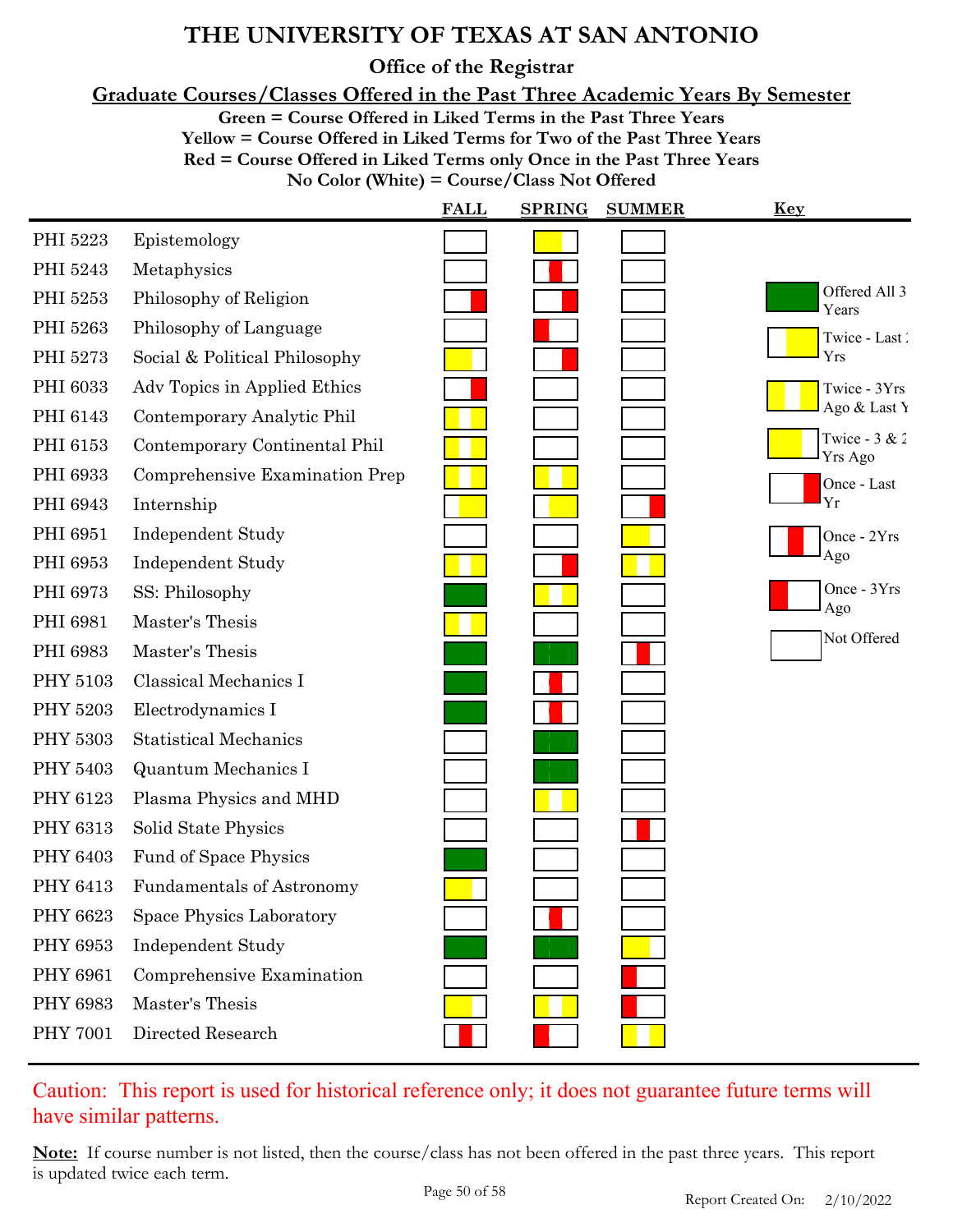**Office of the Registrar**

**Graduate Courses/Classes Offered in the Past Three Academic Years By Semester**

**Green = Course Offered in Liked Terms in the Past Three Years**

**Yellow = Course Offered in Liked Terms for Two of the Past Three Years**

**Red = Course Offered in Liked Terms only Once in the Past Three Years**

**No Color (White) = Course/Class Not Offered**

|                 |                                  | <b>FALL</b> | <b>SPRING</b> | <b>SUMMER</b> | <u>Key</u>                 |
|-----------------|----------------------------------|-------------|---------------|---------------|----------------------------|
| PHI 5223        | Epistemology                     |             |               |               |                            |
| PHI 5243        | Metaphysics                      |             |               |               |                            |
| PHI 5253        | Philosophy of Religion           |             |               |               | Offered All 3<br>Years     |
| PHI 5263        | Philosophy of Language           |             |               |               | Twice - Last               |
| PHI 5273        | Social & Political Philosophy    |             |               |               | Yrs                        |
| PHI 6033        | Adv Topics in Applied Ethics     |             |               |               | Twice - 3Yrs               |
| PHI 6143        | Contemporary Analytic Phil       |             |               |               | Ago & Last Y               |
| PHI 6153        | Contemporary Continental Phil    |             |               |               | Twice - $3 & 2$<br>Yrs Ago |
| PHI 6933        | Comprehensive Examination Prep   |             |               |               | Once - Last                |
| PHI 6943        | Internship                       |             |               |               | Yr                         |
| PHI 6951        | <b>Independent Study</b>         |             |               |               | Once - 2Yrs                |
| PHI 6953        | <b>Independent Study</b>         |             |               |               | Ago                        |
| PHI 6973        | SS: Philosophy                   |             |               |               | Once - 3Yrs<br>Ago         |
| PHI 6981        | Master's Thesis                  |             |               |               | Not Offered                |
| PHI 6983        | Master's Thesis                  |             |               |               |                            |
| PHY 5103        | Classical Mechanics I            |             |               |               |                            |
| <b>PHY 5203</b> | Electrodynamics I                |             |               |               |                            |
| PHY 5303        | <b>Statistical Mechanics</b>     |             |               |               |                            |
| PHY 5403        | <b>Quantum Mechanics I</b>       |             |               |               |                            |
| PHY 6123        | Plasma Physics and MHD           |             |               |               |                            |
| PHY 6313        | Solid State Physics              |             |               |               |                            |
| PHY 6403        | Fund of Space Physics            |             |               |               |                            |
| PHY 6413        | <b>Fundamentals of Astronomy</b> |             |               |               |                            |
| PHY 6623        | Space Physics Laboratory         |             |               |               |                            |
| PHY 6953        | Independent Study                |             |               |               |                            |
| PHY 6961        | Comprehensive Examination        |             |               |               |                            |
| PHY 6983        | Master's Thesis                  |             |               |               |                            |
| <b>PHY 7001</b> | Directed Research                |             |               |               |                            |

Caution: This report is used for historical reference only; it does not guarantee future terms will have similar patterns.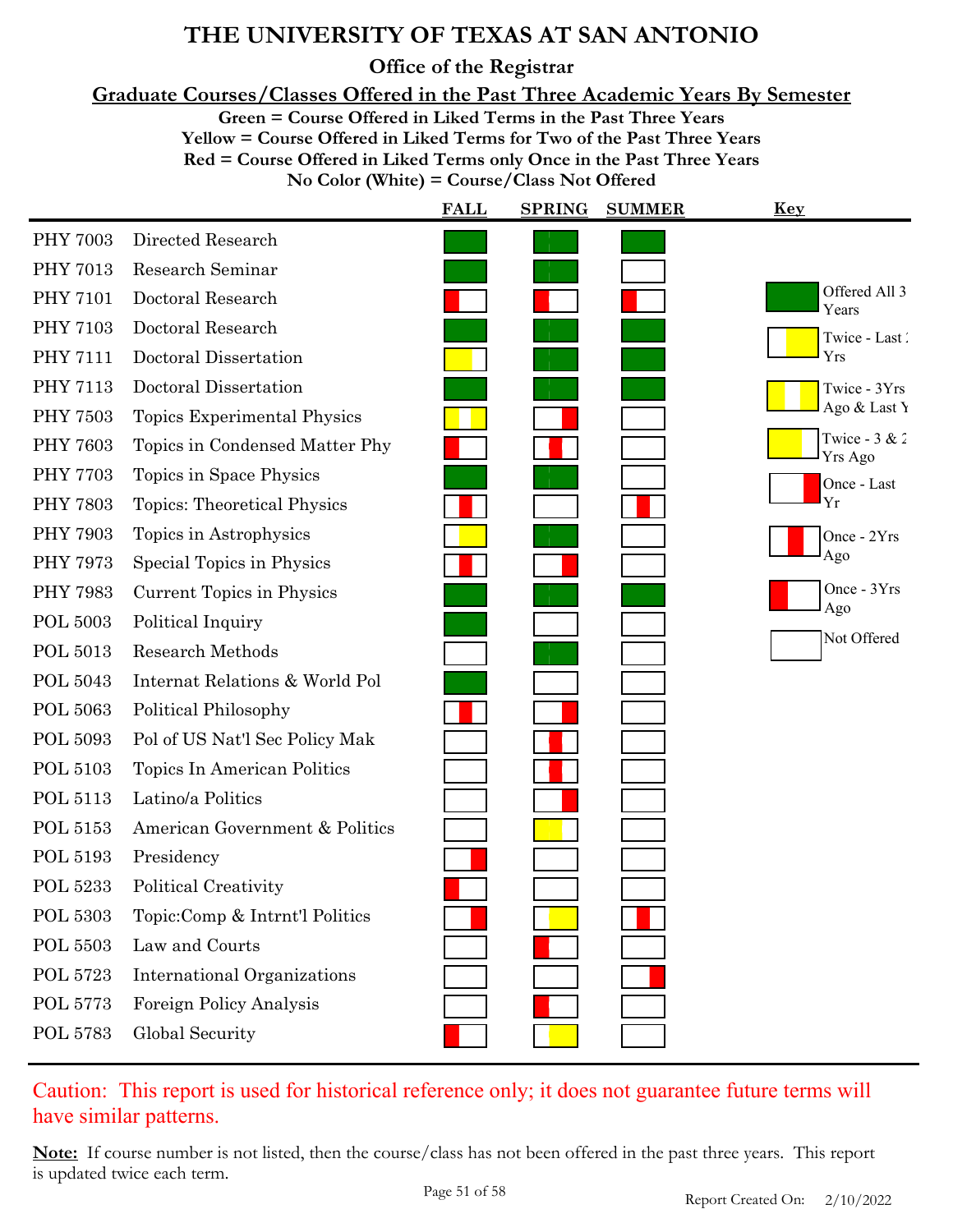**Office of the Registrar**

**Graduate Courses/Classes Offered in the Past Three Academic Years By Semester**

**Green = Course Offered in Liked Terms in the Past Three Years**

**Yellow = Course Offered in Liked Terms for Two of the Past Three Years Red = Course Offered in Liked Terms only Once in the Past Three Years**

**No Color (White) = Course/Class Not Offered**

|                                    | <b>FALL</b> | <b>SPRING</b> | <u>Key</u>                 |
|------------------------------------|-------------|---------------|----------------------------|
| Directed Research                  |             |               |                            |
| Research Seminar                   |             |               |                            |
| Doctoral Research                  |             |               | Offered All 3<br>Years     |
| Doctoral Research                  |             |               | Twice - Last               |
| Doctoral Dissertation              |             |               | Yrs                        |
| Doctoral Dissertation              |             |               | Twice - 3Yrs               |
| Topics Experimental Physics        |             |               | Ago & Last Y               |
| Topics in Condensed Matter Phy     |             |               | Twice - $3 & 2$<br>Yrs Ago |
| Topics in Space Physics            |             |               | Once - Last                |
| <b>Topics: Theoretical Physics</b> |             |               | Yr                         |
| Topics in Astrophysics             |             |               | Once - 2Yrs                |
| Special Topics in Physics          |             |               | Ago                        |
| Current Topics in Physics          |             |               | Once - 3Yrs<br>Ago         |
| Political Inquiry                  |             |               | Not Offered                |
| <b>Research Methods</b>            |             |               |                            |
| Internat Relations & World Pol     |             |               |                            |
| Political Philosophy               |             |               |                            |
| Pol of US Nat'l Sec Policy Mak     |             |               |                            |
| Topics In American Politics        |             |               |                            |
| Latino/a Politics                  |             |               |                            |
| American Government & Politics     |             |               |                            |
| Presidency                         |             |               |                            |
| Political Creativity               |             |               |                            |
| Topic:Comp & Intrnt'l Politics     |             |               |                            |
| Law and Courts                     |             |               |                            |
| <b>International Organizations</b> |             |               |                            |
| Foreign Policy Analysis            |             |               |                            |
| Global Security                    |             |               |                            |
|                                    |             |               | <b>SUMMER</b>              |

### Caution: This report is used for historical reference only; it does not guarantee future terms will have similar patterns.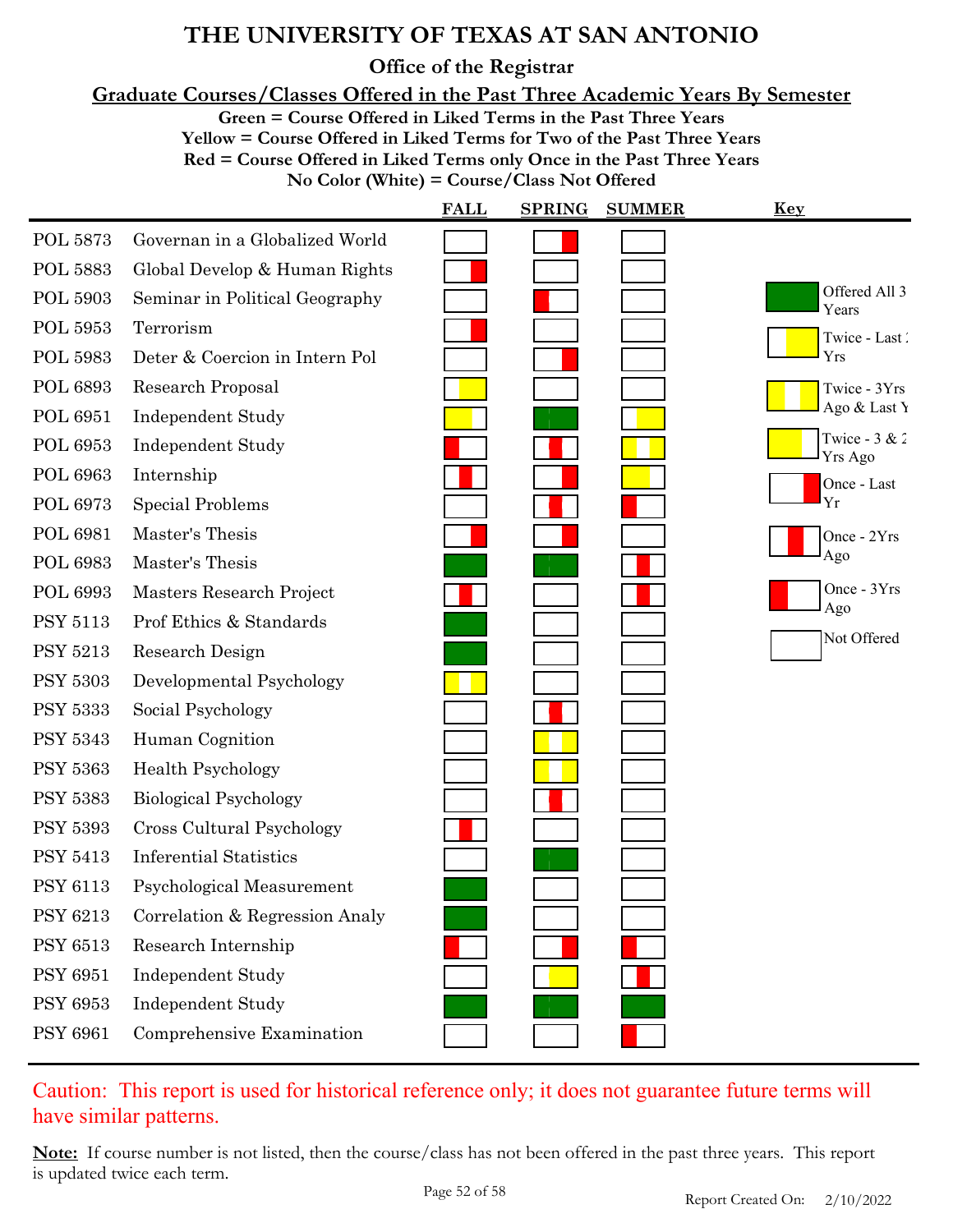**Office of the Registrar**

**Graduate Courses/Classes Offered in the Past Three Academic Years By Semester**

**Green = Course Offered in Liked Terms in the Past Three Years**

**Yellow = Course Offered in Liked Terms for Two of the Past Three Years**

**Red = Course Offered in Liked Terms only Once in the Past Three Years**

**No Color (White) = Course/Class Not Offered**

|                 |                                | <b>FALL</b> | <b>SPRING</b> | <b>SUMMER</b> | Key                        |
|-----------------|--------------------------------|-------------|---------------|---------------|----------------------------|
| POL 5873        | Governan in a Globalized World |             |               |               |                            |
| <b>POL 5883</b> | Global Develop & Human Rights  |             |               |               |                            |
| <b>POL 5903</b> | Seminar in Political Geography |             |               |               | Offered All 3<br>Years     |
| POL 5953        | Terrorism                      |             |               |               | Twice - Last               |
| <b>POL 5983</b> | Deter & Coercion in Intern Pol |             |               |               | Yrs                        |
| <b>POL 6893</b> | Research Proposal              |             |               |               | Twice - 3Yrs               |
| <b>POL 6951</b> | <b>Independent Study</b>       |             |               |               | Ago & Last Y               |
| POL 6953        | Independent Study              |             |               |               | Twice - $3 & 2$<br>Yrs Ago |
| <b>POL 6963</b> | Internship                     |             |               |               | Once - Last                |
| <b>POL 6973</b> | <b>Special Problems</b>        |             |               |               | Yr                         |
| <b>POL 6981</b> | Master's Thesis                |             |               |               | Once - 2Yrs                |
| <b>POL 6983</b> | Master's Thesis                |             |               |               | Ago                        |
| POL 6993        | Masters Research Project       |             |               |               | Once - 3Yrs<br>Ago         |
| <b>PSY 5113</b> | Prof Ethics & Standards        |             |               |               | Not Offered                |
| <b>PSY 5213</b> | Research Design                |             |               |               |                            |
| <b>PSY 5303</b> | Developmental Psychology       |             |               |               |                            |
| <b>PSY 5333</b> | Social Psychology              |             |               |               |                            |
| <b>PSY 5343</b> | Human Cognition                |             |               |               |                            |
| <b>PSY 5363</b> | <b>Health Psychology</b>       |             |               |               |                            |
| <b>PSY 5383</b> | <b>Biological Psychology</b>   |             |               |               |                            |
| <b>PSY 5393</b> | Cross Cultural Psychology      |             |               |               |                            |
| <b>PSY 5413</b> | <b>Inferential Statistics</b>  |             |               |               |                            |
| PSY 6113        | Psychological Measurement      |             |               |               |                            |
| <b>PSY 6213</b> | Correlation & Regression Analy |             |               |               |                            |
| <b>PSY 6513</b> | Research Internship            |             |               |               |                            |
| <b>PSY 6951</b> | Independent Study              |             |               |               |                            |
| <b>PSY 6953</b> | <b>Independent Study</b>       |             |               |               |                            |
| <b>PSY 6961</b> | Comprehensive Examination      |             |               |               |                            |

### Caution: This report is used for historical reference only; it does not guarantee future terms will have similar patterns.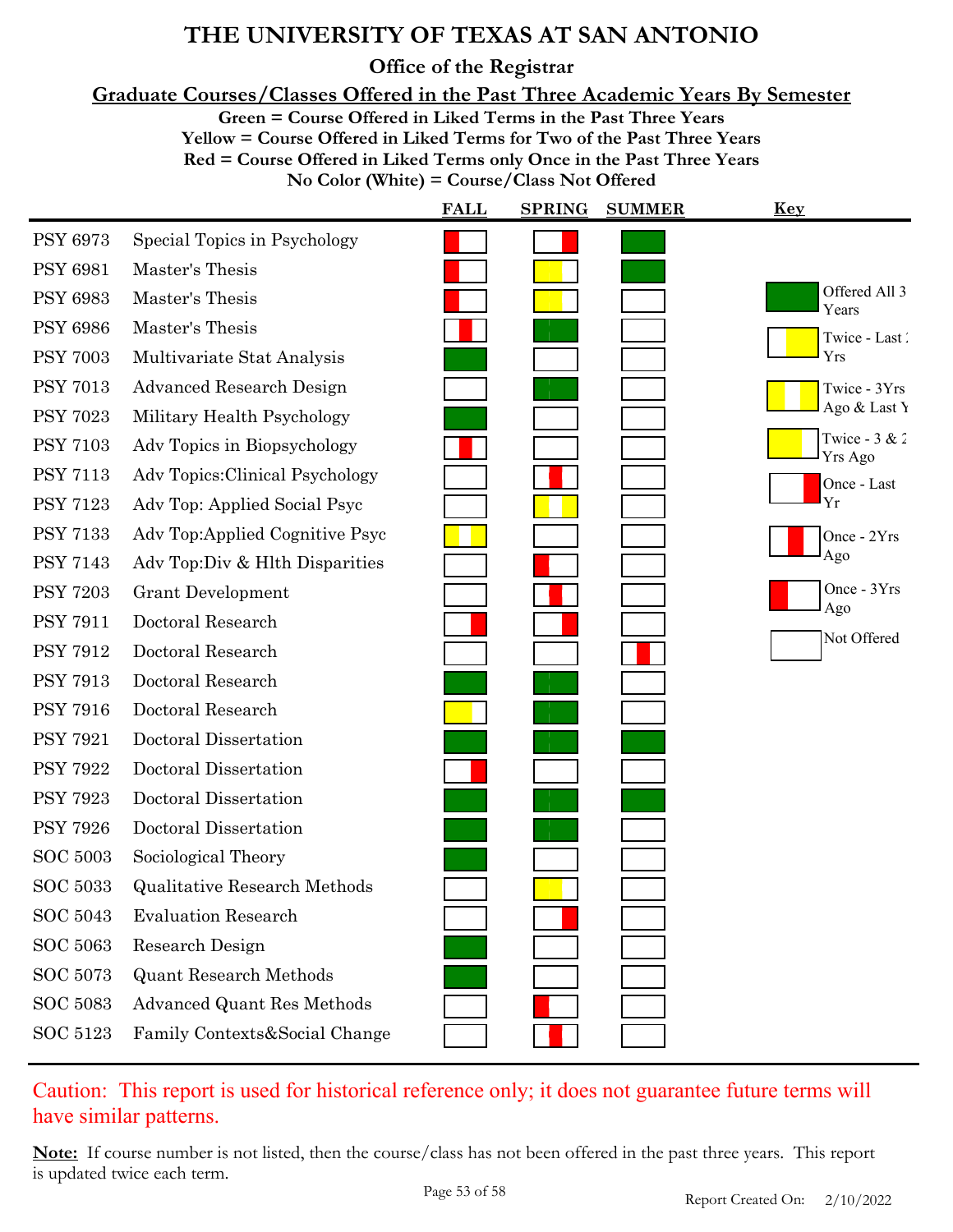**Office of the Registrar**

**Graduate Courses/Classes Offered in the Past Three Academic Years By Semester**

**Green = Course Offered in Liked Terms in the Past Three Years**

**Yellow = Course Offered in Liked Terms for Two of the Past Three Years Red = Course Offered in Liked Terms only Once in the Past Three Years No Color (White) = Course/Class Not Offered**

|                 |                                     | <b>FALL</b> | <b>SPRING</b> | <b>SUMMER</b> | <b>Key</b>                 |
|-----------------|-------------------------------------|-------------|---------------|---------------|----------------------------|
| <b>PSY 6973</b> | Special Topics in Psychology        |             |               |               |                            |
| <b>PSY 6981</b> | Master's Thesis                     |             |               |               |                            |
| <b>PSY 6983</b> | Master's Thesis                     |             |               |               | Offered All 3<br>Years     |
| <b>PSY 6986</b> | Master's Thesis                     |             |               |               | Twice - Last               |
| <b>PSY 7003</b> | Multivariate Stat Analysis          |             |               |               | Yrs                        |
| <b>PSY 7013</b> | <b>Advanced Research Design</b>     |             |               |               | Twice - 3Yrs               |
| <b>PSY 7023</b> | Military Health Psychology          |             |               |               | Ago & Last Y               |
| <b>PSY 7103</b> | Adv Topics in Biopsychology         |             |               |               | Twice - $3 & 2$<br>Yrs Ago |
| <b>PSY 7113</b> | Adv Topics: Clinical Psychology     |             |               |               | Once - Last                |
| <b>PSY 7123</b> | Adv Top: Applied Social Psyc        |             |               |               | Yr                         |
| <b>PSY 7133</b> | Adv Top:Applied Cognitive Psyc      |             |               |               | Once - 2Yrs                |
| <b>PSY 7143</b> | Adv Top: Div & Hlth Disparities     |             |               |               | Ago                        |
| <b>PSY 7203</b> | <b>Grant Development</b>            |             |               |               | Once - 3Yrs                |
| <b>PSY 7911</b> | Doctoral Research                   |             |               |               | Ago                        |
| <b>PSY 7912</b> | Doctoral Research                   |             |               |               | Not Offered                |
| <b>PSY 7913</b> | Doctoral Research                   |             |               |               |                            |
| <b>PSY 7916</b> | Doctoral Research                   |             |               |               |                            |
| <b>PSY 7921</b> | Doctoral Dissertation               |             |               |               |                            |
| <b>PSY 7922</b> | Doctoral Dissertation               |             |               |               |                            |
| <b>PSY 7923</b> | Doctoral Dissertation               |             |               |               |                            |
| <b>PSY 7926</b> | Doctoral Dissertation               |             |               |               |                            |
| <b>SOC 5003</b> | Sociological Theory                 |             |               |               |                            |
| $\rm SOC$ 5033  | <b>Qualitative Research Methods</b> |             |               |               |                            |
| SOC 5043        | <b>Evaluation Research</b>          |             |               |               |                            |
| <b>SOC 5063</b> | Research Design                     |             |               |               |                            |
| SOC 5073        | <b>Quant Research Methods</b>       |             |               |               |                            |
| <b>SOC 5083</b> | Advanced Quant Res Methods          |             |               |               |                            |
| SOC 5123        | Family Contexts&Social Change       |             |               |               |                            |

Caution: This report is used for historical reference only; it does not guarantee future terms will have similar patterns.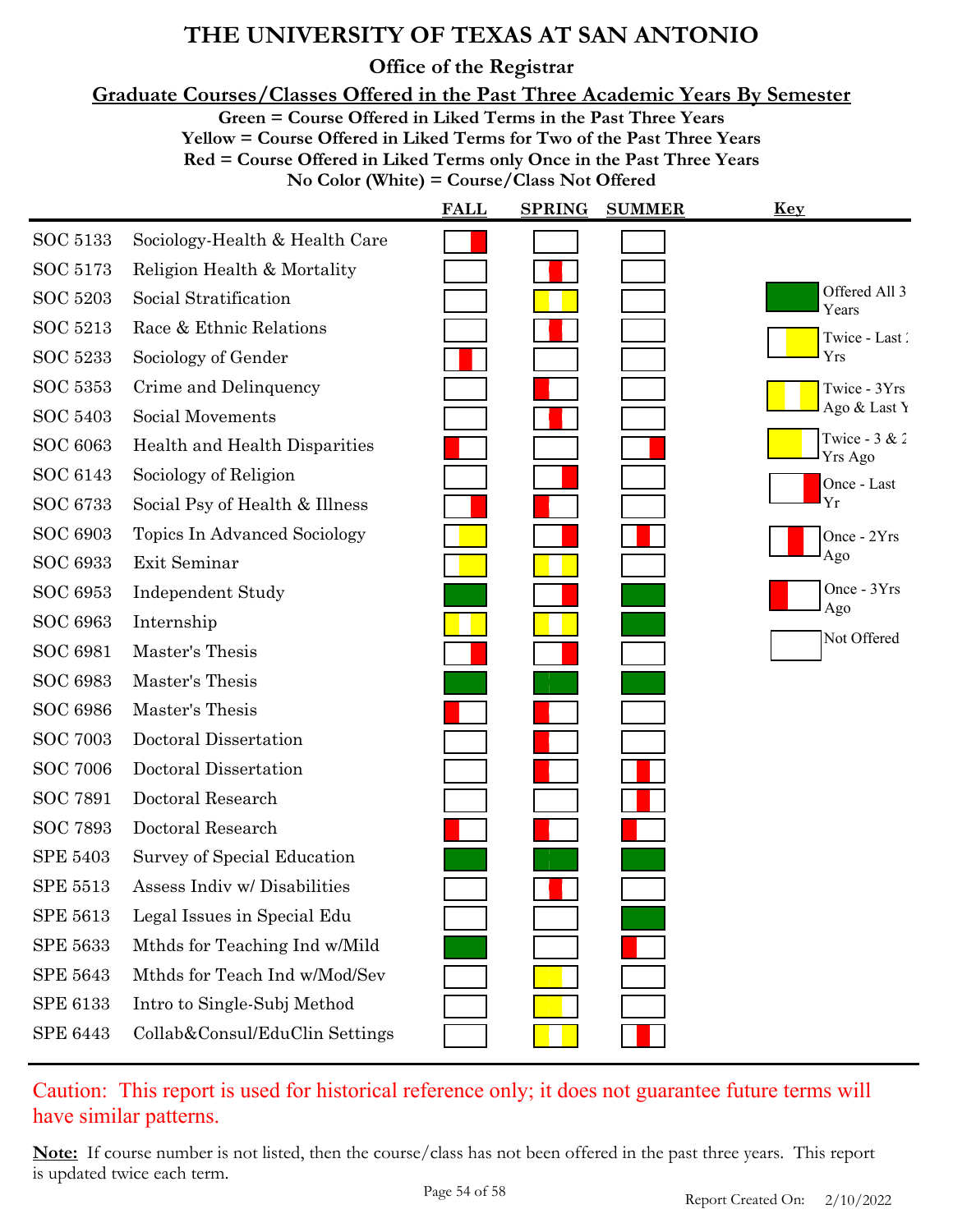**Office of the Registrar**

**Graduate Courses/Classes Offered in the Past Three Academic Years By Semester**

**Green = Course Offered in Liked Terms in the Past Three Years**

**Yellow = Course Offered in Liked Terms for Two of the Past Three Years**

**Red = Course Offered in Liked Terms only Once in the Past Three Years**

**No Color (White) = Course/Class Not Offered**

|                 |                                | <b>FALL</b> | <b>SPRING</b> | <b>SUMMER</b> | <u>Key</u>                        |
|-----------------|--------------------------------|-------------|---------------|---------------|-----------------------------------|
| SOC 5133        | Sociology-Health & Health Care |             |               |               |                                   |
| SOC 5173        | Religion Health & Mortality    |             |               |               |                                   |
| SOC 5203        | Social Stratification          |             |               |               | Offered All 3<br>Years            |
| <b>SOC 5213</b> | Race & Ethnic Relations        |             |               |               | Twice - Last                      |
| <b>SOC 5233</b> | Sociology of Gender            |             |               |               | Yrs                               |
| <b>SOC 5353</b> | Crime and Delinquency          |             |               |               | Twice - 3Yrs                      |
| <b>SOC 5403</b> | Social Movements               |             |               |               | Ago & Last Y                      |
| <b>SOC 6063</b> | Health and Health Disparities  |             |               |               | Twice - $3 & 2$<br><b>Yrs Ago</b> |
| SOC 6143        | Sociology of Religion          |             |               |               | Once - Last                       |
| SOC 6733        | Social Psy of Health & Illness |             |               |               | Yr                                |
| <b>SOC 6903</b> | Topics In Advanced Sociology   |             |               |               | Once - 2Yrs                       |
| <b>SOC 6933</b> | Exit Seminar                   |             |               |               | Ago                               |
| <b>SOC 6953</b> | <b>Independent Study</b>       |             |               |               | Once - 3Yrs<br>Ago                |
| <b>SOC 6963</b> | Internship                     |             |               |               |                                   |
| <b>SOC 6981</b> | Master's Thesis                |             |               |               | Not Offered                       |
| <b>SOC 6983</b> | Master's Thesis                |             |               |               |                                   |
| <b>SOC 6986</b> | Master's Thesis                |             |               |               |                                   |
| <b>SOC 7003</b> | Doctoral Dissertation          |             |               |               |                                   |
| <b>SOC 7006</b> | Doctoral Dissertation          |             |               |               |                                   |
| <b>SOC 7891</b> | Doctoral Research              |             |               |               |                                   |
| <b>SOC 7893</b> | Doctoral Research              |             |               |               |                                   |
| <b>SPE 5403</b> | Survey of Special Education    |             |               |               |                                   |
| <b>SPE 5513</b> | Assess Indiv w/ Disabilities   |             |               |               |                                   |
| <b>SPE 5613</b> | Legal Issues in Special Edu    |             |               |               |                                   |
| <b>SPE 5633</b> | Mthds for Teaching Ind w/Mild  |             |               |               |                                   |
| <b>SPE 5643</b> | Mthds for Teach Ind w/Mod/Sev  |             |               |               |                                   |
| <b>SPE 6133</b> | Intro to Single-Subj Method    |             |               |               |                                   |
| <b>SPE 6443</b> | Collab&Consul/EduClin Settings |             |               |               |                                   |

Caution: This report is used for historical reference only; it does not guarantee future terms will have similar patterns.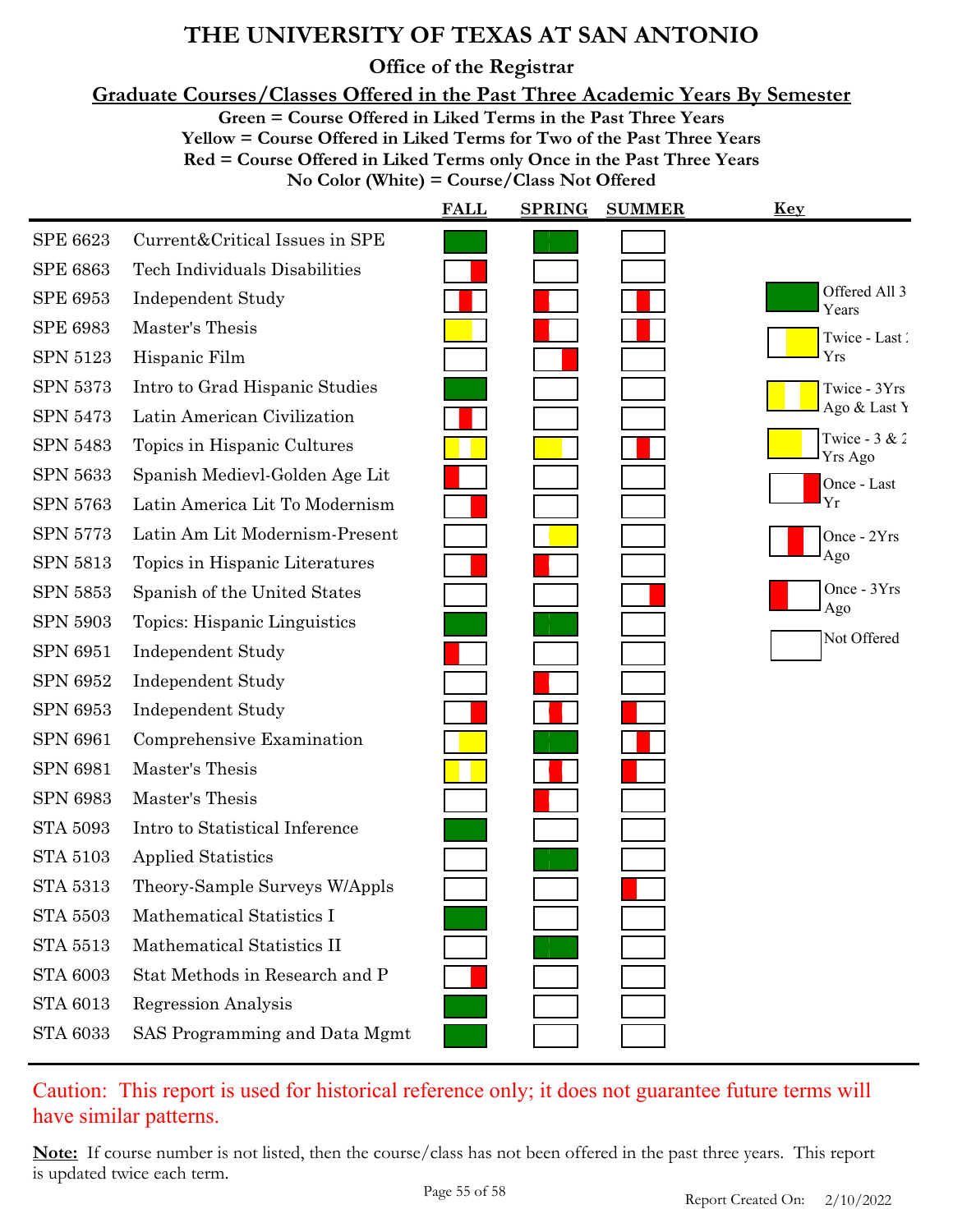**Office of the Registrar**

**Graduate Courses/Classes Offered in the Past Three Academic Years By Semester**

**Green = Course Offered in Liked Terms in the Past Three Years**

**Yellow = Course Offered in Liked Terms for Two of the Past Three Years**

**Red = Course Offered in Liked Terms only Once in the Past Three Years**

**No Color (White) = Course/Class Not Offered**

|                 |                                | <b>FALL</b> | <b>SPRING</b> | <b>SUMMER</b> | <u>Key</u>                 |
|-----------------|--------------------------------|-------------|---------------|---------------|----------------------------|
| <b>SPE 6623</b> | Current&Critical Issues in SPE |             |               |               |                            |
| <b>SPE 6863</b> | Tech Individuals Disabilities  |             |               |               |                            |
| <b>SPE 6953</b> | <b>Independent Study</b>       |             |               |               | Offered All 3<br>Years     |
| <b>SPE 6983</b> | Master's Thesis                |             |               |               | Twice - Last               |
| <b>SPN 5123</b> | Hispanic Film                  |             |               |               | Yrs                        |
| <b>SPN 5373</b> | Intro to Grad Hispanic Studies |             |               |               | Twice - 3Yrs               |
| <b>SPN 5473</b> | Latin American Civilization    |             |               |               | Ago & Last Y               |
| <b>SPN 5483</b> | Topics in Hispanic Cultures    |             |               |               | Twice - $3 & 2$<br>Yrs Ago |
| <b>SPN 5633</b> | Spanish Medievl-Golden Age Lit |             |               |               | Once - Last                |
| <b>SPN 5763</b> | Latin America Lit To Modernism |             |               |               | Yr                         |
| <b>SPN 5773</b> | Latin Am Lit Modernism-Present |             |               |               | Once - 2Yrs                |
| <b>SPN 5813</b> | Topics in Hispanic Literatures |             |               |               | Ago                        |
| SPN 5853        | Spanish of the United States   |             |               |               | Once - 3Yrs                |
| SPN 5903        | Topics: Hispanic Linguistics   |             |               |               | Ago                        |
| <b>SPN 6951</b> | <b>Independent Study</b>       |             |               |               | Not Offered                |
| <b>SPN 6952</b> | <b>Independent Study</b>       |             |               |               |                            |
| <b>SPN 6953</b> | <b>Independent Study</b>       |             |               |               |                            |
| <b>SPN 6961</b> | Comprehensive Examination      |             |               |               |                            |
| <b>SPN 6981</b> | Master's Thesis                |             |               |               |                            |
| <b>SPN 6983</b> | Master's Thesis                |             |               |               |                            |
| <b>STA 5093</b> | Intro to Statistical Inference |             |               |               |                            |
| <b>STA 5103</b> | <b>Applied Statistics</b>      |             |               |               |                            |
| <b>STA 5313</b> | Theory-Sample Surveys W/Appls  |             |               |               |                            |
| <b>STA 5503</b> | Mathematical Statistics I      |             |               |               |                            |
| <b>STA 5513</b> | Mathematical Statistics II     |             |               |               |                            |
| <b>STA 6003</b> | Stat Methods in Research and P |             |               |               |                            |
| <b>STA 6013</b> | <b>Regression Analysis</b>     |             |               |               |                            |
| <b>STA 6033</b> | SAS Programming and Data Mgmt  |             |               |               |                            |

### Caution: This report is used for historical reference only; it does not guarantee future terms will have similar patterns.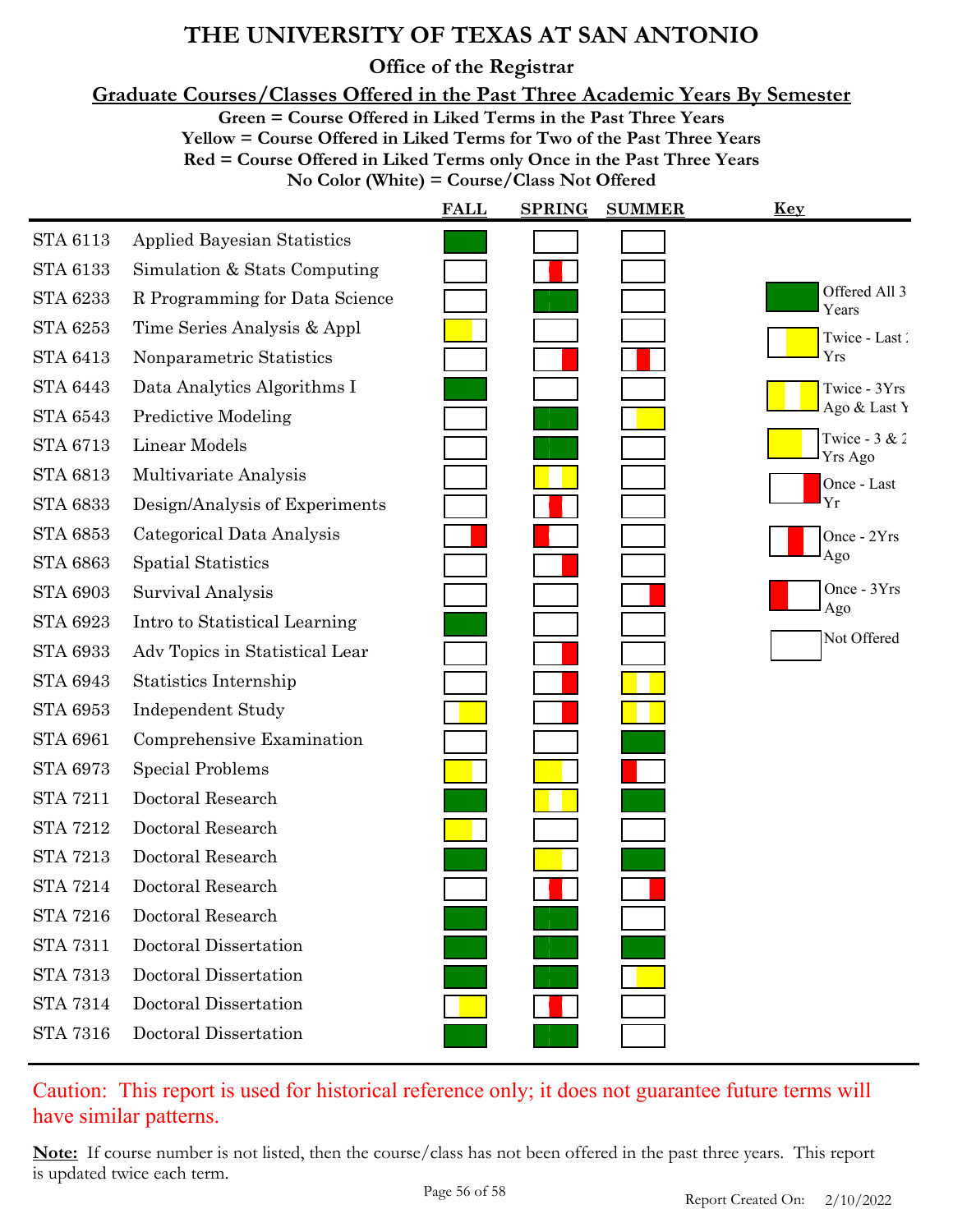**Office of the Registrar**

**Graduate Courses/Classes Offered in the Past Three Academic Years By Semester**

**Green = Course Offered in Liked Terms in the Past Three Years**

**Yellow = Course Offered in Liked Terms for Two of the Past Three Years**

**Red = Course Offered in Liked Terms only Once in the Past Three Years**

**No Color (White) = Course/Class Not Offered**

|                 |                                    | <b>FALL</b> | <b>SPRING</b> | <b>SUMMER</b> | <u>Key</u>                 |
|-----------------|------------------------------------|-------------|---------------|---------------|----------------------------|
| <b>STA 6113</b> | <b>Applied Bayesian Statistics</b> |             |               |               |                            |
| <b>STA 6133</b> | Simulation & Stats Computing       |             |               |               |                            |
| <b>STA 6233</b> | R Programming for Data Science     |             |               |               | Offered All 3<br>Years     |
| <b>STA 6253</b> | Time Series Analysis & Appl        |             |               |               | Twice - Last               |
| <b>STA 6413</b> | Nonparametric Statistics           |             |               |               | Yrs                        |
| <b>STA 6443</b> | Data Analytics Algorithms I        |             |               |               | Twice - 3Yrs               |
| <b>STA 6543</b> | <b>Predictive Modeling</b>         |             |               |               | Ago & Last Y               |
| <b>STA 6713</b> | <b>Linear Models</b>               |             |               |               | Twice - $3 & 2$<br>Yrs Ago |
| <b>STA 6813</b> | Multivariate Analysis              |             |               |               | Once - Last                |
| <b>STA 6833</b> | Design/Analysis of Experiments     |             |               |               | Yr                         |
| <b>STA 6853</b> | Categorical Data Analysis          |             |               |               | Once - 2Yrs                |
| <b>STA 6863</b> | <b>Spatial Statistics</b>          |             |               |               | Ago                        |
| <b>STA 6903</b> | Survival Analysis                  |             |               |               | Once - 3Yrs                |
| <b>STA 6923</b> | Intro to Statistical Learning      |             |               |               | Ago                        |
| <b>STA 6933</b> | Adv Topics in Statistical Lear     |             |               |               | Not Offered                |
| <b>STA 6943</b> | Statistics Internship              |             |               |               |                            |
| <b>STA 6953</b> | <b>Independent Study</b>           |             |               |               |                            |
| <b>STA 6961</b> | Comprehensive Examination          |             |               |               |                            |
| <b>STA 6973</b> | <b>Special Problems</b>            |             |               |               |                            |
| <b>STA 7211</b> | Doctoral Research                  |             |               |               |                            |
| <b>STA 7212</b> | Doctoral Research                  |             |               |               |                            |
| <b>STA 7213</b> | Doctoral Research                  |             |               |               |                            |
| <b>STA 7214</b> | Doctoral Research                  |             |               |               |                            |
| <b>STA 7216</b> | Doctoral Research                  |             |               |               |                            |
| <b>STA 7311</b> | Doctoral Dissertation              |             |               |               |                            |
| <b>STA 7313</b> | Doctoral Dissertation              |             |               |               |                            |
| <b>STA 7314</b> | Doctoral Dissertation              |             |               |               |                            |
| <b>STA 7316</b> | Doctoral Dissertation              |             |               |               |                            |
|                 |                                    |             |               |               |                            |

### Caution: This report is used for historical reference only; it does not guarantee future terms will have similar patterns.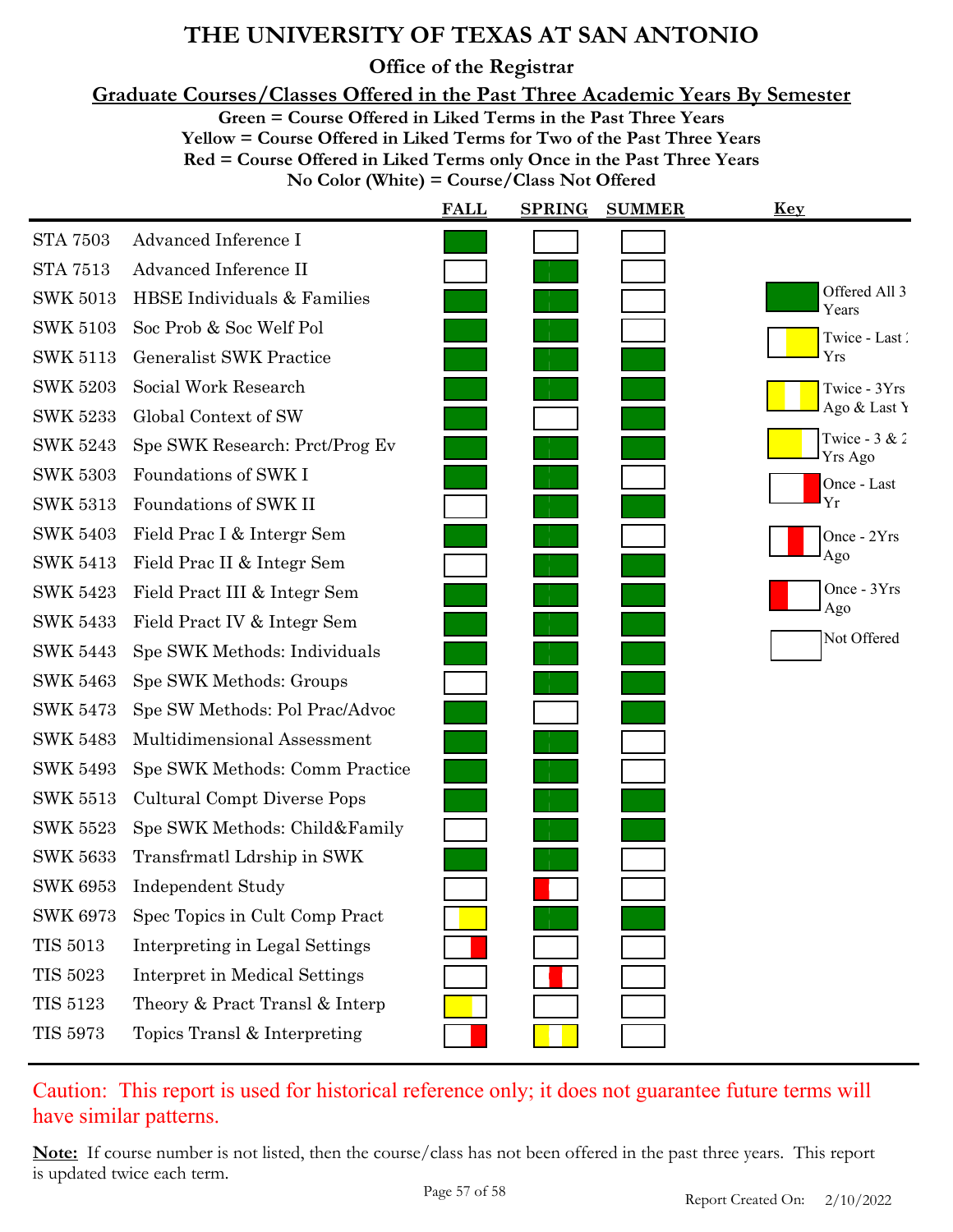**Office of the Registrar**

**Graduate Courses/Classes Offered in the Past Three Academic Years By Semester**

**Green = Course Offered in Liked Terms in the Past Three Years**

**Yellow = Course Offered in Liked Terms for Two of the Past Three Years**

**Red = Course Offered in Liked Terms only Once in the Past Three Years**

**No Color (White) = Course/Class Not Offered**

|                 |                                | <b>FALL</b> | <b>SPRING</b> | <b>SUMMER</b> | <b>Key</b>                 |
|-----------------|--------------------------------|-------------|---------------|---------------|----------------------------|
| <b>STA 7503</b> | Advanced Inference I           |             |               |               |                            |
| <b>STA 7513</b> | Advanced Inference II          |             |               |               |                            |
| <b>SWK 5013</b> | HBSE Individuals & Families    |             |               |               | Offered All 3<br>Years     |
| <b>SWK 5103</b> | Soc Prob & Soc Welf Pol        |             |               |               | Twice - Last               |
| <b>SWK 5113</b> | <b>Generalist SWK Practice</b> |             |               |               | Yrs                        |
| <b>SWK 5203</b> | Social Work Research           |             |               |               | Twice - 3Yrs               |
| <b>SWK 5233</b> | Global Context of SW           |             |               |               | Ago & Last Y               |
| <b>SWK 5243</b> | Spe SWK Research: Prct/Prog Ev |             |               |               | Twice - $3 & 2$<br>Yrs Ago |
| <b>SWK 5303</b> | Foundations of SWK I           |             |               |               | Once - Last                |
| <b>SWK 5313</b> | Foundations of SWK II          |             |               |               | Yr                         |
| <b>SWK 5403</b> | Field Prac I & Intergr Sem     |             |               |               | Once - 2Yrs                |
| <b>SWK 5413</b> | Field Prac II & Integr Sem     |             |               |               | Ago                        |
| <b>SWK 5423</b> | Field Pract III & Integr Sem   |             |               |               | Once - 3Yrs<br>Ago         |
| <b>SWK 5433</b> | Field Pract IV & Integr Sem    |             |               |               |                            |
| <b>SWK 5443</b> | Spe SWK Methods: Individuals   |             |               |               | Not Offered                |
| <b>SWK 5463</b> | Spe SWK Methods: Groups        |             |               |               |                            |
| <b>SWK 5473</b> | Spe SW Methods: Pol Prac/Advoc |             |               |               |                            |
| <b>SWK 5483</b> | Multidimensional Assessment    |             |               |               |                            |
| <b>SWK 5493</b> | Spe SWK Methods: Comm Practice |             |               |               |                            |
| <b>SWK 5513</b> | Cultural Compt Diverse Pops    |             |               |               |                            |
| <b>SWK 5523</b> | Spe SWK Methods: Child&Family  |             |               |               |                            |
| <b>SWK 5633</b> | Transfrmatl Ldrship in SWK     |             |               |               |                            |
| <b>SWK 6953</b> | <b>Independent Study</b>       |             |               |               |                            |
| <b>SWK 6973</b> | Spec Topics in Cult Comp Pract |             |               |               |                            |
| <b>TIS 5013</b> | Interpreting in Legal Settings |             |               |               |                            |
| <b>TIS 5023</b> | Interpret in Medical Settings  |             |               |               |                            |
| <b>TIS 5123</b> | Theory & Pract Transl & Interp |             |               |               |                            |
| <b>TIS 5973</b> | Topics Transl & Interpreting   |             |               |               |                            |

Caution: This report is used for historical reference only; it does not guarantee future terms will have similar patterns.